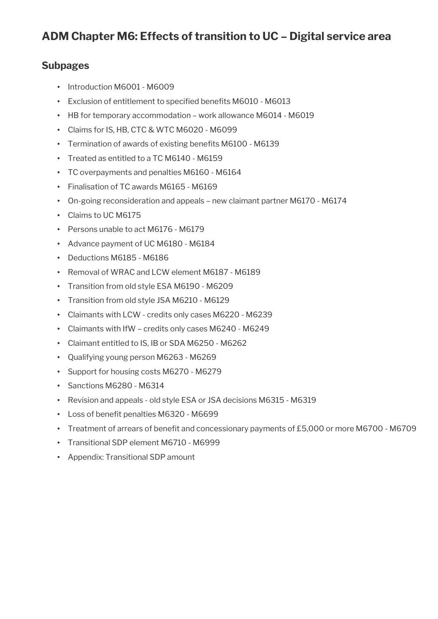## **Subpages**

- Introduction M6001 M6009
- Exclusion of entitlement to specified benefits M6010 M6013
- HB for temporary accommodation work allowance M6014 M6019
- Claims for IS, HB, CTC & WTC M6020 M6099
- Termination of awards of existing benefts M6100 M6139
- Treated as entitled to a TC M6140 M6159
- TC overpayments and penalties M6160 M6164
- Finalisation of TC awards M6165 M6169
- On-going reconsideration and appeals new claimant partner M6170 M6174
- Claims to UC M6175
- Persons unable to act M6176 M6179
- Advance payment of UC M6180 M6184
- Deductions M6185 M6186
- Removal of WRAC and LCW element M6187 M6189
- Transition from old style ESA M6190 M6209
- Transition from old style JSA M6210 M6129
- Claimants with LCW credits only cases M6220 M6239
- Claimants with IfW credits only cases M6240 M6249
- Claimant entitled to IS, IB or SDA M6250 M6262
- Qualifying young person M6263 M6269
- Support for housing costs M6270 M6279
- Sanctions M6280 M6314
- Revision and appeals old style ESA or JSA decisions M6315 M6319
- Loss of benefit penalties M6320 M6699
- Treatment of arrears of benefit and concessionary payments of £5,000 or more M6700 M6709
- Transitional SDP element M6710 M6999
- Appendix: Transitional SDP amount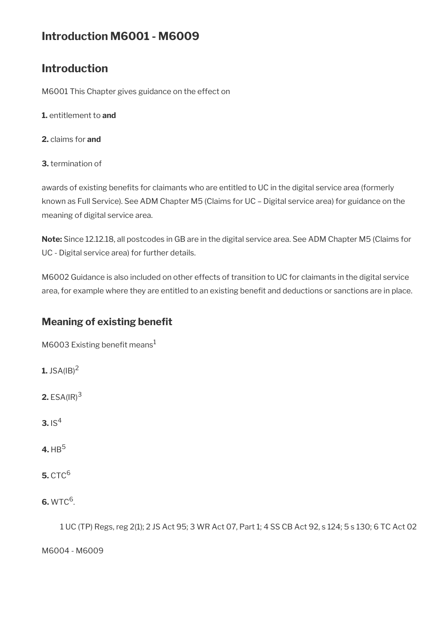# **Introduction M6001 - M6009**

# **Introduction**

M6001 This Chapter gives guidance on the effect on

- **1.** entitlement to **and**
- **2.** claims for **and**
- **3.** termination of

awards of existing benefits for claimants who are entitled to UC in the digital service area (formerly known as Full Service). See ADM Chapter M5 (Claims for UC – Digital service area) for guidance on the meaning of digital service area.

**Note:** Since 12.12.18, all postcodes in GB are in the digital service area. See ADM Chapter M5 (Claims for UC - Digital service area) for further details.

M6002 Guidance is also included on other effects of transition to UC for claimants in the digital service area, for example where they are entitled to an existing benefit and deductions or sanctions are in place.

# **Meaning of existing benefit**

M6003 Existing benefit means $1$ 

- **1.** JSA( $IB$ )<sup>2</sup>
- **2.** ESA(IR)<sup>3</sup>
- **3.**  $IS^4$
- **4.** HB<sup>5</sup>
- **5.** CTC<sup>6</sup>

**6.** WTC<sup>6</sup>.

1 UC (TP) Regs, reg 2(1); 2 JS Act 95; 3 WR Act 07, Part 1; 4 SS CB Act 92, s 124; 5 s 130; 6 TC Act 02

M6004 - M6009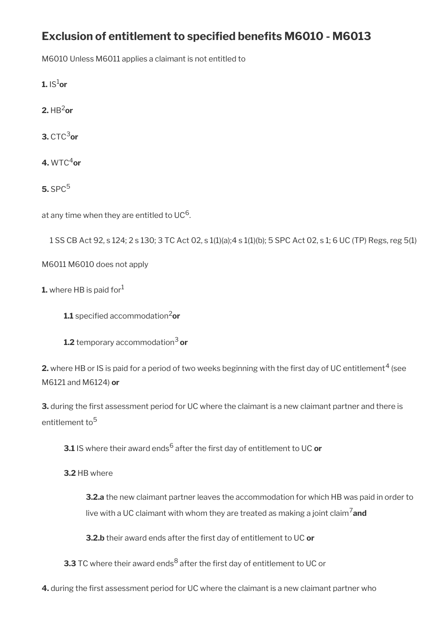# **Exclusion of entitlement to specifed benefts M6010 - M6013**

M6010 Unless M6011 applies a claimant is not entitled to

**1.**  $|S^1$ or

 $2.$  HB<sup>2</sup>or

**3.** CTC3**or**

**4.** WTC4**or**

**5.** SPC<sup>5</sup>

at any time when they are entitled to UC<sup>6</sup>.

```
1 SS CB Act 92, s 124; 2 s 130; 3 TC Act 02, s 1(1)(a);4 s 1(1)(b); 5 SPC Act 02, s 1; 6 UC (TP) Regs, reg 5(1)
```
M6011 M6010 does not apply

```
1. where HB is paid for<sup>1</sup>
```
**1.1** specified accommodation<sup>2</sup>or

**1.2** temporary accommodation3 **or**

**2.** where HB or IS is paid for a period of two weeks beginning with the first day of UC entitlement  $^4$  (see M6121 and M6124) **or**

**3.** during the first assessment period for UC where the claimant is a new claimant partner and there is entitlement to<sup>5</sup>

**3.1** IS where their award ends<sup>6</sup> after the first day of entitlement to UC **or** 

**3.2** HB where

**3.2.a** the new claimant partner leaves the accommodation for which HB was paid in order to live with a UC claimant with whom they are treated as making a joint claim7**and**

**3.2.b** their award ends after the first day of entitlement to UC or

**3.3** TC where their award ends $^8$  after the first day of entitlement to UC or

**4.** during the frst assessment period for UC where the claimant is a new claimant partner who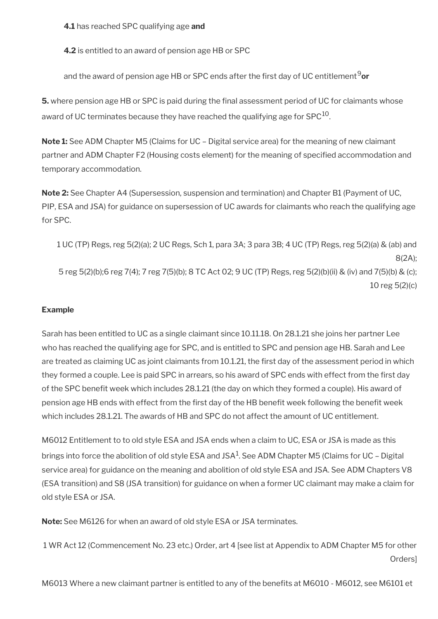**4.1** has reached SPC qualifying age **and**

**4.2** is entitled to an award of pension age HB or SPC

and the award of pension age HB or SPC ends after the first day of UC entitlement<sup>9</sup> or

**5.** where pension age HB or SPC is paid during the final assessment period of UC for claimants whose award of UC terminates because they have reached the qualifying age for  $SPC^{10}$ .

**Note 1:** See ADM Chapter M5 (Claims for UC – Digital service area) for the meaning of new claimant partner and ADM Chapter F2 (Housing costs element) for the meaning of specifed accommodation and temporary accommodation.

**Note 2:** See Chapter A4 (Supersession, suspension and termination) and Chapter B1 (Payment of UC, PIP, ESA and JSA) for guidance on supersession of UC awards for claimants who reach the qualifying age for SPC.

1 UC (TP) Regs, reg 5(2)(a); 2 UC Regs, Sch 1, para 3A; 3 para 3B; 4 UC (TP) Regs, reg 5(2)(a) & (ab) and 8(2A); 5 reg 5(2)(b);6 reg 7(4); 7 reg 7(5)(b); 8 TC Act 02; 9 UC (TP) Regs, reg 5(2)(b)(ii) & (iv) and 7(5)(b) & (c); 10 reg 5(2)(c)

### **Example**

Sarah has been entitled to UC as a single claimant since 10.11.18. On 28.1.21 she joins her partner Lee who has reached the qualifying age for SPC, and is entitled to SPC and pension age HB. Sarah and Lee are treated as claiming UC as joint claimants from 10.1.21, the first day of the assessment period in which they formed a couple. Lee is paid SPC in arrears, so his award of SPC ends with effect from the frst day of the SPC benefit week which includes 28.1.21 (the day on which they formed a couple). His award of pension age HB ends with effect from the first day of the HB benefit week following the benefit week which includes 28.1.21. The awards of HB and SPC do not affect the amount of UC entitlement.

M6012 Entitlement to to old style ESA and JSA ends when a claim to UC, ESA or JSA is made as this brings into force the abolition of old style ESA and JSA $^1$ . See ADM Chapter M5 (Claims for UC – Digital service area) for guidance on the meaning and abolition of old style ESA and JSA. See ADM Chapters V8 (ESA transition) and S8 (JSA transition) for guidance on when a former UC claimant may make a claim for old style ESA or JSA.

**Note:** See M6126 for when an award of old style ESA or JSA terminates.

1 WR Act 12 (Commencement No. 23 etc.) Order, art 4 [see list at Appendix to ADM Chapter M5 for other Orders]

M6013 Where a new claimant partner is entitled to any of the benefts at M6010 - M6012, see M6101 et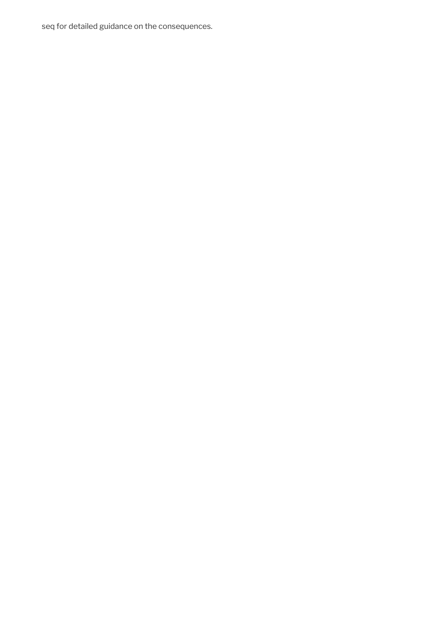seq for detailed guidance on the consequences.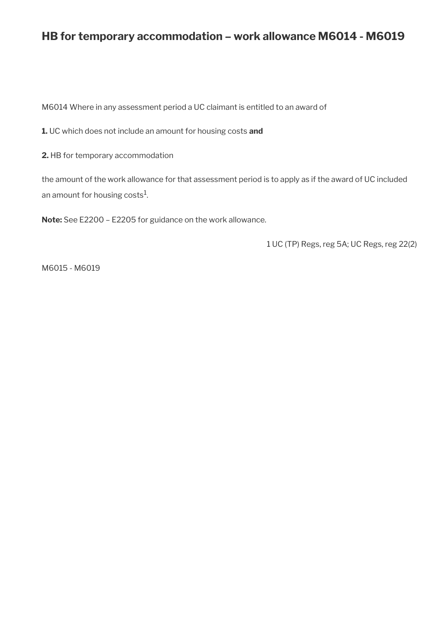# **HB for temporary accommodation – work allowance M6014 - M6019**

M6014 Where in any assessment period a UC claimant is entitled to an award of

**1.** UC which does not include an amount for housing costs **and**

**2.** HB for temporary accommodation

the amount of the work allowance for that assessment period is to apply as if the award of UC included an amount for housing costs $^{\rm 1}$ .

**Note:** See E2200 – E2205 for guidance on the work allowance.

1 UC (TP) Regs, reg 5A; UC Regs, reg 22(2)

M6015 - M6019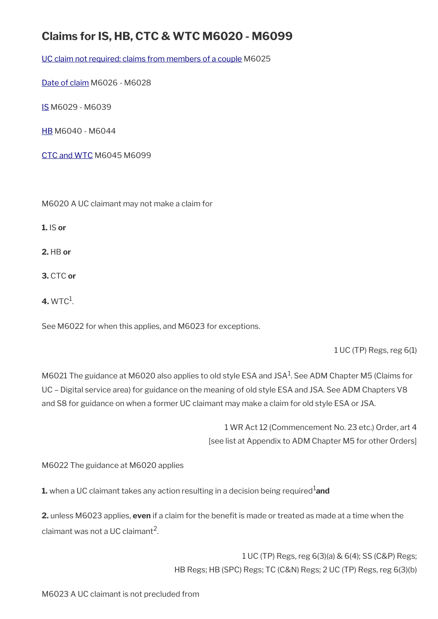# **Claims for IS, HB, CTC & WTC M6020 - M6099**

[UC claim not required: claims from members of a couple](#page-8-0) M6025

[Date of claim](#page-8-1) M6026 - M6028

[IS](#page-9-0) M6029 - M6039

[HB](#page-11-0) M6040 - M6044

[CTC and WTC](#page-12-0) M6045 M6099

M6020 A UC claimant may not make a claim for

**1.** IS **or**

**2.** HB **or**

**3.** CTC **or**

 $4.$  WTC $^1$ .

See M6022 for when this applies, and M6023 for exceptions.

1 UC (TP) Regs, reg 6(1)

M6021 The guidance at M6020 also applies to old style ESA and JSA $^1$ . See ADM Chapter M5 (Claims for UC – Digital service area) for guidance on the meaning of old style ESA and JSA. See ADM Chapters V8 and S8 for guidance on when a former UC claimant may make a claim for old style ESA or JSA.

> 1 WR Act 12 (Commencement No. 23 etc.) Order, art 4 [see list at Appendix to ADM Chapter M5 for other Orders]

M6022 The guidance at M6020 applies

**1.** when a UC claimant takes any action resulting in a decision being required<sup>1</sup>and

**2.** unless M6023 applies, **even** if a claim for the beneft is made or treated as made at a time when the claimant was not a UC claimant $^2$ .

> 1 UC (TP) Regs, reg 6(3)(a) & 6(4); SS (C&P) Regs; HB Regs; HB (SPC) Regs; TC (C&N) Regs; 2 UC (TP) Regs, reg 6(3)(b)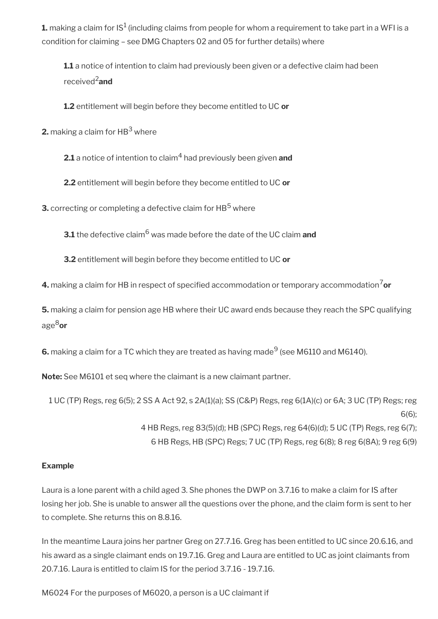**1.** making a claim for IS $^1$  (including claims from people for whom a requirement to take part in a WFI is a condition for claiming – see DMG Chapters 02 and 05 for further details) where

**1.1** a notice of intention to claim had previously been given or a defective claim had been received2**and**

**1.2** entitlement will begin before they become entitled to UC **or**

**2.** making a claim for  $\mathsf{HB}^3$  where

**2.1** a notice of intention to claim<sup>4</sup> had previously been given **and** 

**2.2** entitlement will begin before they become entitled to UC **or**

**3.** correcting or completing a defective claim for  $\mathsf{HB}^5$  where

**3.1** the defective claim<sup>6</sup> was made before the date of the UC claim **and**

**3.2** entitlement will begin before they become entitled to UC **or**

**4.** making a claim for HB in respect of specified accommodation or temporary accommodation<sup>7</sup>or

**5.** making a claim for pension age HB where their UC award ends because they reach the SPC qualifying age8**or**

 $\bm{6}.$  making a claim for a TC which they are treated as having made $^9$  (see M6110 and M6140).

**Note:** See M6101 et seq where the claimant is a new claimant partner.

1 UC (TP) Regs, reg 6(5); 2 SS A Act 92, s 2A(1)(a); SS (C&P) Regs, reg 6(1A)(c) or 6A; 3 UC (TP) Regs; reg 6(6); 4 HB Regs, reg 83(5)(d); HB (SPC) Regs, reg 64(6)(d); 5 UC (TP) Regs, reg 6(7); 6 HB Regs, HB (SPC) Regs; 7 UC (TP) Regs, reg 6(8); 8 reg 6(8A); 9 reg 6(9)

### **Example**

Laura is a lone parent with a child aged 3. She phones the DWP on 3.7.16 to make a claim for IS after losing her job. She is unable to answer all the questions over the phone, and the claim form is sent to her to complete. She returns this on 8.8.16.

In the meantime Laura joins her partner Greg on 27.7.16. Greg has been entitled to UC since 20.6.16, and his award as a single claimant ends on 19.7.16. Greg and Laura are entitled to UC as joint claimants from 20.7.16. Laura is entitled to claim IS for the period 3.7.16 - 19.7.16.

M6024 For the purposes of M6020, a person is a UC claimant if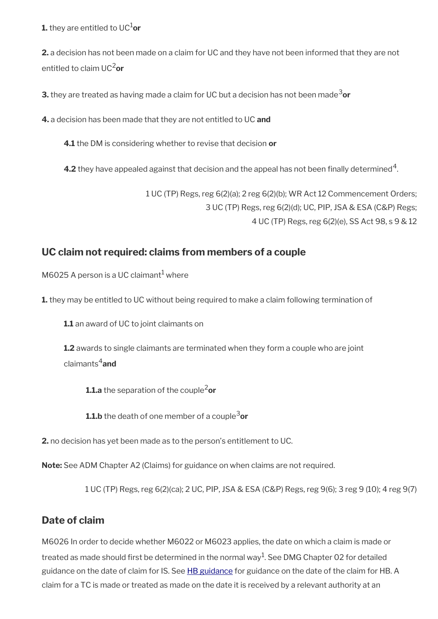**1.** they are entitled to UC $^{1}$ or

**2.** a decision has not been made on a claim for UC and they have not been informed that they are not entitled to claim UC2**or**

**3.** they are treated as having made a claim for UC but a decision has not been made<sup>3</sup>or

**4.** a decision has been made that they are not entitled to UC **and**

**4.1** the DM is considering whether to revise that decision **or**

**4.2** they have appealed against that decision and the appeal has not been finally determined  $^4$ .

1 UC (TP) Regs, reg 6(2)(a); 2 reg 6(2)(b); WR Act 12 Commencement Orders; 3 UC (TP) Regs, reg 6(2)(d); UC, PIP, JSA & ESA (C&P) Regs; 4 UC (TP) Regs, reg 6(2)(e), SS Act 98, s 9 & 12

## <span id="page-8-0"></span>**UC claim not required: claims from members of a couple**

M6025 A person is a UC claimant $^1$  where

**1.** they may be entitled to UC without being required to make a claim following termination of

**1.1** an award of UC to joint claimants on

**1.2** awards to single claimants are terminated when they form a couple who are joint claimants4**and**

**1.1.a** the separation of the couple<sup>2</sup>or

**1.1.b** the death of one member of a couple<sup>3</sup>or

**2.** no decision has yet been made as to the person's entitlement to UC.

**Note:** See ADM Chapter A2 (Claims) for guidance on when claims are not required.

1 UC (TP) Regs, reg 6(2)(ca); 2 UC, PIP, JSA & ESA (C&P) Regs, reg 9(6); 3 reg 9 (10); 4 reg 9(7)

## <span id="page-8-1"></span>**Date of claim**

M6026 In order to decide whether M6022 or M6023 applies, the date on which a claim is made or treated as made should first be determined in the normal way $^1$ . See DMG Chapter 02 for detailed guidance on the date of claim for IS. See [HB guidance](http://www.dwp.gov.uk/docs/hbgm-a2-claims.pdf) for guidance on the date of the claim for HB. A claim for a TC is made or treated as made on the date it is received by a relevant authority at an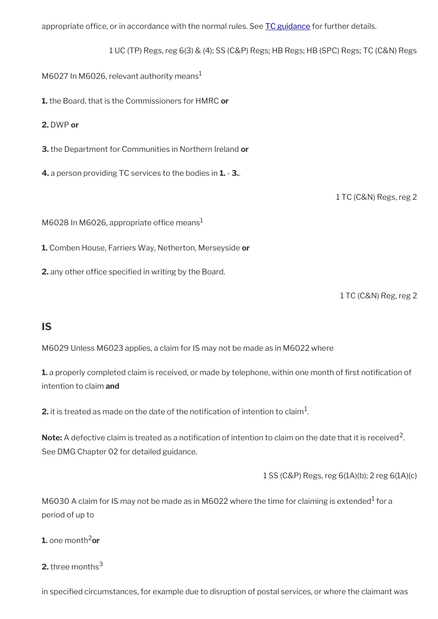appropriate office, or in accordance with the normal rules. See [TC guidance](http://www.hmrc.gov.uk/manuals/tctmanual/TCTM06000.htm) for further details.

1 UC (TP) Regs, reg 6(3) & (4); SS (C&P) Regs; HB Regs; HB (SPC) Regs; TC (C&N) Regs

M6027 In M6026, relevant authority means<sup>1</sup>

**1.** the Board, that is the Commissioners for HMRC **or**

**2.** DWP **or**

**3.** the Department for Communities in Northern Ireland **or**

**4.** a person providing TC services to the bodies in **1.** - **3.**.

1 TC (C&N) Regs, reg 2

M6028 In M6026, appropriate office means $<sup>1</sup>$ </sup>

**1.** Comben House, Farriers Way, Netherton, Merseyside **or**

**2.** any other office specified in writing by the Board.

1 TC (C&N) Reg, reg 2

## <span id="page-9-0"></span>**IS**

M6029 Unless M6023 applies, a claim for IS may not be made as in M6022 where

**1.** a properly completed claim is received, or made by telephone, within one month of first notification of intention to claim **and**

**2.** it is treated as made on the date of the notification of intention to claim $^1$ .

 $\textsf{Note:}$  A defective claim is treated as a notification of intention to claim on the date that it is received  $^2$ . See DMG Chapter 02 for detailed guidance.

1 SS (C&P) Regs, reg 6(1A)(b); 2 reg 6(1A)(c)

M6030 A claim for IS may not be made as in M6022 where the time for claiming is extended<sup>1</sup> for a period of up to

**1.** one month<sup>2</sup>or

**2.** three months<sup>3</sup>

in specifed circumstances, for example due to disruption of postal services, or where the claimant was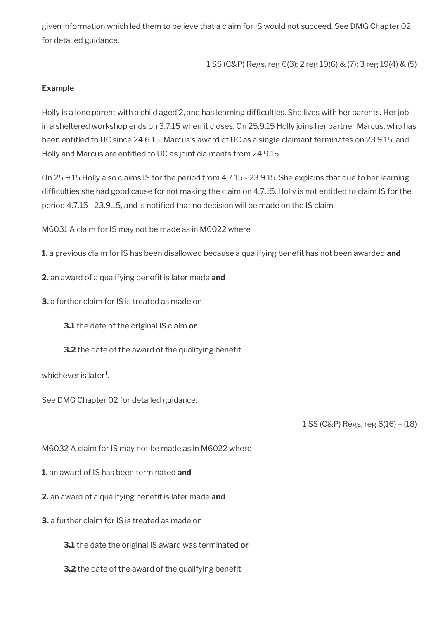given information which led them to believe that a claim for IS would not succeed. See DMG Chapter 02 for detailed guidance.

1 SS (C&P) Regs, reg 6(3); 2 reg 19(6) & (7); 3 reg 19(4) & (5)

#### **Example**

Holly is a lone parent with a child aged 2, and has learning diffculties. She lives with her parents. Her job in a sheltered workshop ends on 3.7.15 when it closes. On 25.9.15 Holly joins her partner Marcus, who has been entitled to UC since 24.6.15. Marcus's award of UC as a single claimant terminates on 23.9.15, and Holly and Marcus are entitled to UC as joint claimants from 24.9.15.

On 25.9.15 Holly also claims IS for the period from 4.7.15 - 23.9.15. She explains that due to her learning difficulties she had good cause for not making the claim on 4.7.15. Holly is not entitled to claim IS for the period 4.7.15 - 23.9.15, and is notified that no decision will be made on the IS claim.

M6031 A claim for IS may not be made as in M6022 where

**1.** a previous claim for IS has been disallowed because a qualifying benefit has not been awarded **and** 

**2.** an award of a qualifying benefit is later made and

**3.** a further claim for IS is treated as made on

**3.1** the date of the original IS claim **or**

**3.2** the date of the award of the qualifying benefit

whichever is later $^{\rm 1}$ .

See DMG Chapter 02 for detailed guidance.

1 SS (C&P) Regs, reg 6(16) – (18)

M6032 A claim for IS may not be made as in M6022 where

**1.** an award of IS has been terminated **and**

**2.** an award of a qualifying benefit is later made and

**3.** a further claim for IS is treated as made on

**3.1** the date the original IS award was terminated **or**

**3.2** the date of the award of the qualifying benefit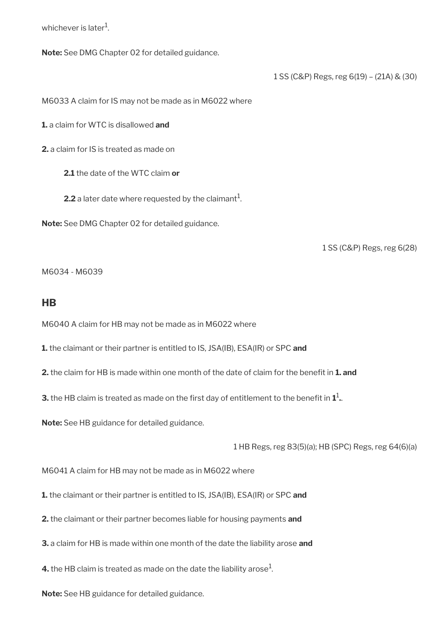whichever is later $^{\rm 1}$ .

**Note:** See DMG Chapter 02 for detailed guidance.

1 SS (C&P) Regs, reg 6(19) – (21A) & (30)

M6033 A claim for IS may not be made as in M6022 where

**1.** a claim for WTC is disallowed **and**

**2.** a claim for IS is treated as made on

**2.1** the date of the WTC claim **or**

**2.2** a later date where requested by the claimant $^1$ .

**Note:** See DMG Chapter 02 for detailed guidance.

1 SS (C&P) Regs, reg 6(28)

M6034 - M6039

### <span id="page-11-0"></span>**HB**

M6040 A claim for HB may not be made as in M6022 where

**1.** the claimant or their partner is entitled to IS, JSA(IB), ESA(IR) or SPC **and**

**2.** the claim for HB is made within one month of the date of claim for the benefit in **1. and** 

**3.** the HB claim is treated as made on the first day of entitlement to the benefit in  $\mathbf{1}^{1}$ .

**Note:** See HB guidance for detailed guidance.

1 HB Regs, reg 83(5)(a); HB (SPC) Regs, reg 64(6)(a)

M6041 A claim for HB may not be made as in M6022 where

**1.** the claimant or their partner is entitled to IS, JSA(IB), ESA(IR) or SPC **and**

**2.** the claimant or their partner becomes liable for housing payments **and**

**3.** a claim for HB is made within one month of the date the liability arose **and**

**4.** the HB claim is treated as made on the date the liability arose $^1$ .

**Note:** See HB guidance for detailed guidance.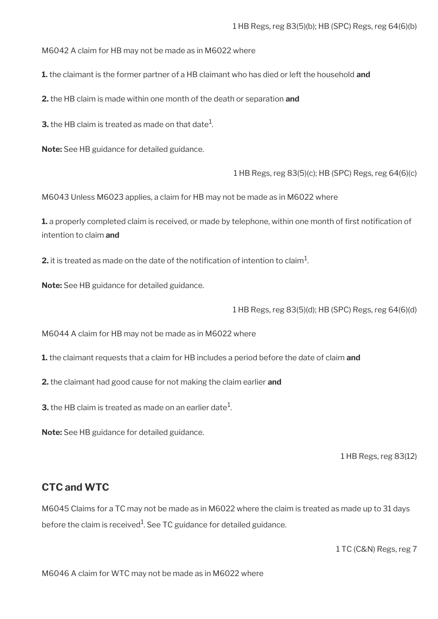M6042 A claim for HB may not be made as in M6022 where

**1.** the claimant is the former partner of a HB claimant who has died or left the household **and**

**2.** the HB claim is made within one month of the death or separation **and**

**3.** the HB claim is treated as made on that date $^1$ .

**Note:** See HB guidance for detailed guidance.

1 HB Regs, reg 83(5)(c); HB (SPC) Regs, reg 64(6)(c)

M6043 Unless M6023 applies, a claim for HB may not be made as in M6022 where

**1.** a properly completed claim is received, or made by telephone, within one month of first notification of intention to claim **and**

**2.** it is treated as made on the date of the notification of intention to claim $^1$ .

**Note:** See HB guidance for detailed guidance.

1 HB Regs, reg 83(5)(d); HB (SPC) Regs, reg 64(6)(d)

M6044 A claim for HB may not be made as in M6022 where

**1.** the claimant requests that a claim for HB includes a period before the date of claim **and**

**2.** the claimant had good cause for not making the claim earlier **and**

**3.** the HB claim is treated as made on an earlier date $^1$ .

**Note:** See HB guidance for detailed guidance.

1 HB Regs, reg 83(12)

## <span id="page-12-0"></span>**CTC and WTC**

M6045 Claims for a TC may not be made as in M6022 where the claim is treated as made up to 31 days before the claim is received $^{\rm 1}$ . See TC guidance for detailed guidance.

1 TC (C&N) Regs, reg 7

M6046 A claim for WTC may not be made as in M6022 where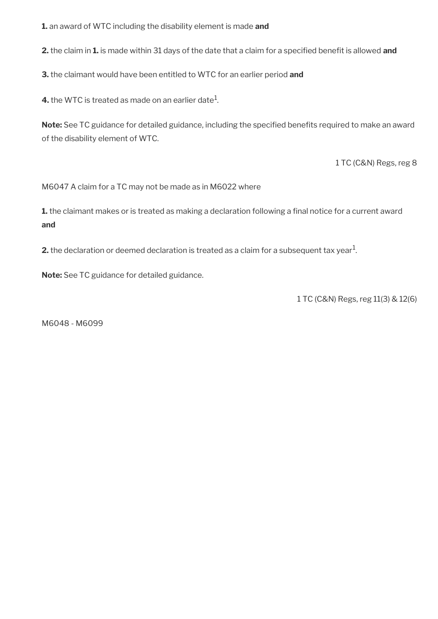**1.** an award of WTC including the disability element is made **and**

**2.** the claim in **1.** is made within 31 days of the date that a claim for a specified benefit is allowed and

**3.** the claimant would have been entitled to WTC for an earlier period **and**

**4.** the WTC is treated as made on an earlier date $^1$ .

Note: See TC guidance for detailed guidance, including the specified benefits required to make an award of the disability element of WTC.

1 TC (C&N) Regs, reg 8

M6047 A claim for a TC may not be made as in M6022 where

1. the claimant makes or is treated as making a declaration following a final notice for a current award **and**

**2.** the declaration or deemed declaration is treated as a claim for a subsequent tax year $^1$ .

**Note:** See TC guidance for detailed guidance.

1 TC (C&N) Regs, reg 11(3) & 12(6)

M6048 - M6099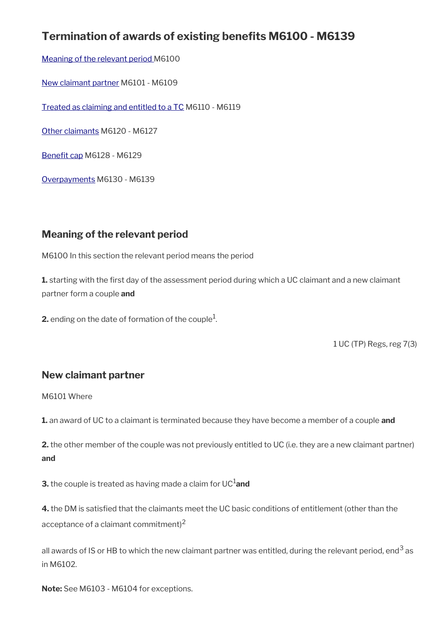# **Termination of awards of existing benefts M6100 - M6139**

[Meaning of the relevant period](#page-14-1) M6100

[New claimant partner](#page-14-0) M6101 - M6109

[Treated as claiming and entitled to a TC](#page-16-0) M6110 - M6119

[Other claimants](#page-17-0) M6120 - M6127

Benefit cap M6128 - M6129

[Overpayments](#page-20-0) M6130 - M6139

## <span id="page-14-1"></span>**Meaning of the relevant period**

M6100 In this section the relevant period means the period

**1.** starting with the first day of the assessment period during which a UC claimant and a new claimant partner form a couple **and**

**2.** ending on the date of formation of the couple $^1$ .

1 UC (TP) Regs, reg 7(3)

## <span id="page-14-0"></span>**New claimant partner**

M6101 Where

**1.** an award of UC to a claimant is terminated because they have become a member of a couple **and**

**2.** the other member of the couple was not previously entitled to UC (i.e. they are a new claimant partner) **and**

**3.** the couple is treated as having made a claim for UC<sup>1</sup>and

**4.** the DM is satisfed that the claimants meet the UC basic conditions of entitlement (other than the acceptance of a claimant commitment)<sup>2</sup>

all awards of IS or HB to which the new claimant partner was entitled, during the relevant period, end $^3$  as in M6102.

**Note:** See M6103 - M6104 for exceptions.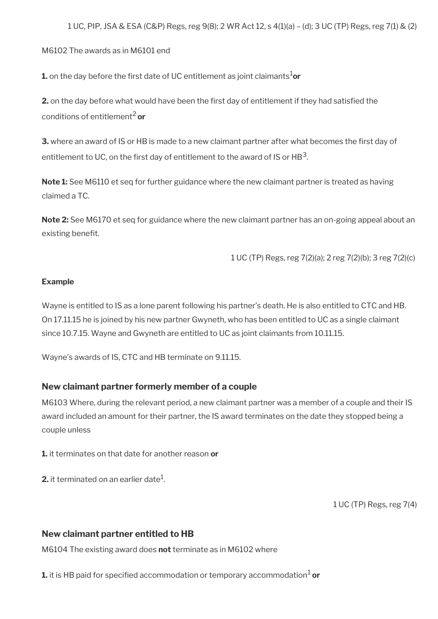M6102 The awards as in M6101 end

**1.** on the day before the first date of UC entitlement as joint claimants<sup>1</sup>or

**2.** on the day before what would have been the first day of entitlement if they had satisfied the conditions of entitlement2 **or**

**3.** where an award of IS or HB is made to a new claimant partner after what becomes the first day of entitlement to UC, on the first day of entitlement to the award of IS or HB $^{\rm 3}$ .

**Note 1:** See M6110 et seq for further guidance where the new claimant partner is treated as having claimed a TC.

**Note 2:** See M6170 et seq for guidance where the new claimant partner has an on-going appeal about an existing benefit.

1 UC (TP) Regs, reg 7(2)(a); 2 reg 7(2)(b); 3 reg 7(2)(c)

#### **Example**

Wayne is entitled to IS as a lone parent following his partner's death. He is also entitled to CTC and HB. On 17.11.15 he is joined by his new partner Gwyneth, who has been entitled to UC as a single claimant since 10.7.15. Wayne and Gwyneth are entitled to UC as joint claimants from 10.11.15.

Wayne's awards of IS, CTC and HB terminate on 9.11.15.

#### **New claimant partner formerly member of a couple**

M6103 Where, during the relevant period, a new claimant partner was a member of a couple and their IS award included an amount for their partner, the IS award terminates on the date they stopped being a couple unless

**1.** it terminates on that date for another reason **or**

**2.** it terminated on an earlier date $^1$ .

1 UC (TP) Regs, reg 7(4)

#### **New claimant partner entitled to HB**

M6104 The existing award does **not** terminate as in M6102 where

 $\boldsymbol{1}$  it is HB paid for specified accommodation or temporary accommodation $^{1}$  **or**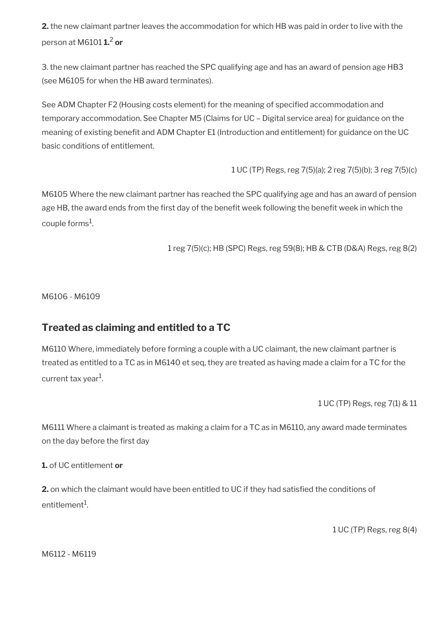**2.** the new claimant partner leaves the accommodation for which HB was paid in order to live with the person at M6101 **1.**<sup>2</sup> **or**

3. the new claimant partner has reached the SPC qualifying age and has an award of pension age HB3 (see M6105 for when the HB award terminates).

See ADM Chapter F2 (Housing costs element) for the meaning of specifed accommodation and temporary accommodation. See Chapter M5 (Claims for UC – Digital service area) for guidance on the meaning of existing benefit and ADM Chapter E1 (Introduction and entitlement) for guidance on the UC basic conditions of entitlement.

1 UC (TP) Regs, reg 7(5)(a); 2 reg 7(5)(b); 3 reg 7(5)(c)

M6105 Where the new claimant partner has reached the SPC qualifying age and has an award of pension age HB, the award ends from the first day of the benefit week following the benefit week in which the couple forms $^1$ .

1 reg 7(5)(c); HB (SPC) Regs, reg 59(8); HB & CTB (D&A) Regs, reg 8(2)

M6106 - M6109

## <span id="page-16-0"></span>**Treated as claiming and entitled to a TC**

M6110 Where, immediately before forming a couple with a UC claimant, the new claimant partner is treated as entitled to a TC as in M6140 et seq, they are treated as having made a claim for a TC for the current tax year<sup>1</sup>.

1 UC (TP) Regs, reg 7(1) & 11

M6111 Where a claimant is treated as making a claim for a TC as in M6110, any award made terminates on the day before the first day

**1.** of UC entitlement **or**

**2.** on which the claimant would have been entitled to UC if they had satisfed the conditions of entitlement $^{\rm 1}$ .

1 UC (TP) Regs, reg 8(4)

M6112 - M6119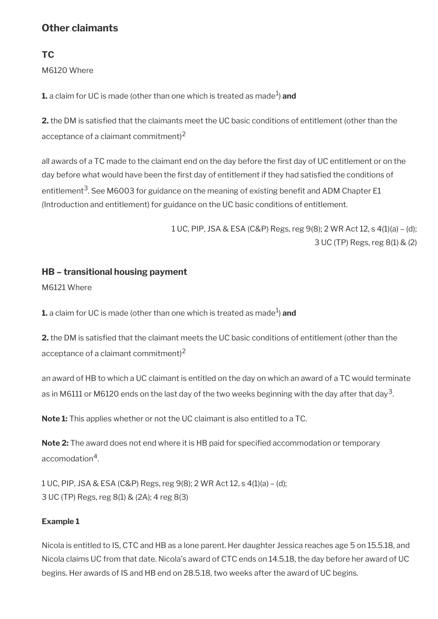# <span id="page-17-0"></span>**Other claimants**

## **TC**

M6120 Where

 $\boldsymbol{1}$ . a claim for UC is made (other than one which is treated as made $^1$ )  $\boldsymbol{a}$ n**d** 

**2.** the DM is satisfed that the claimants meet the UC basic conditions of entitlement (other than the acceptance of a claimant commitment) $2$ 

all awards of a TC made to the claimant end on the day before the first day of UC entitlement or on the day before what would have been the first day of entitlement if they had satisfied the conditions of entitlement<sup>3</sup>. See M6003 for guidance on the meaning of existing benefit and ADM Chapter E1 (Introduction and entitlement) for guidance on the UC basic conditions of entitlement.

> 1 UC, PIP, JSA & ESA (C&P) Regs, reg 9(8); 2 WR Act 12, s 4(1)(a) – (d); 3 UC (TP) Regs, reg 8(1) & (2)

## **HB – transitional housing payment**

M6121 Where

 $\boldsymbol{1}$ . a claim for UC is made (other than one which is treated as made $^1$ )  $\boldsymbol{a}$ n**d** 

**2.** the DM is satisfed that the claimant meets the UC basic conditions of entitlement (other than the acceptance of a claimant commitment) $^2$ 

an award of HB to which a UC claimant is entitled on the day on which an award of a TC would terminate as in M6111 or M6120 ends on the last day of the two weeks beginning with the day after that day $^{\rm 3}$ .

**Note 1:** This applies whether or not the UC claimant is also entitled to a TC.

**Note 2:** The award does not end where it is HB paid for specifed accommodation or temporary accomodation<sup>4</sup>.

1 UC, PIP, JSA & ESA (C&P) Regs, reg 9(8); 2 WR Act 12, s 4(1)(a) – (d); 3 UC (TP) Regs, reg 8(1) & (2A); 4 reg 8(3)

## **Example 1**

Nicola is entitled to IS, CTC and HB as a lone parent. Her daughter Jessica reaches age 5 on 15.5.18, and Nicola claims UC from that date. Nicola's award of CTC ends on 14.5.18, the day before her award of UC begins. Her awards of IS and HB end on 28.5.18, two weeks after the award of UC begins.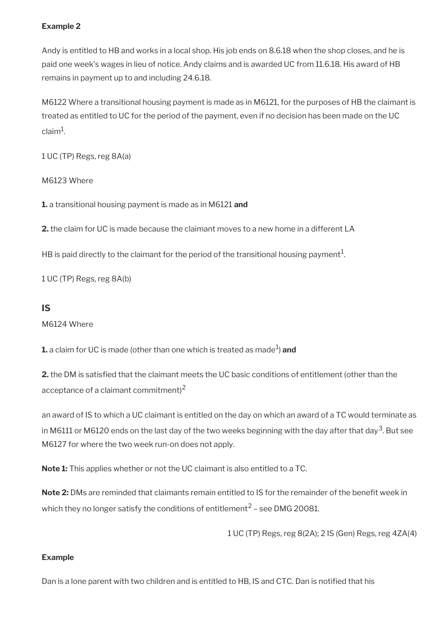### **Example 2**

Andy is entitled to HB and works in a local shop. His job ends on 8.6.18 when the shop closes, and he is paid one week's wages in lieu of notice. Andy claims and is awarded UC from 11.6.18. His award of HB remains in payment up to and including 24.6.18.

M6122 Where a transitional housing payment is made as in M6121, for the purposes of HB the claimant is treated as entitled to UC for the period of the payment, even if no decision has been made on the UC claim $^1$ .

1 UC (TP) Regs, reg 8A(a)

M6123 Where

**1.** a transitional housing payment is made as in M6121 **and**

**2.** the claim for UC is made because the claimant moves to a new home in a different LA

HB is paid directly to the claimant for the period of the transitional housing payment $^1\!$ 

1 UC (TP) Regs, reg 8A(b)

#### **IS**

M6124 Where

 $\boldsymbol{1}$ . a claim for UC is made (other than one which is treated as made $^1$ )  $\boldsymbol{a}$ n**d** 

**2.** the DM is satisfed that the claimant meets the UC basic conditions of entitlement (other than the acceptance of a claimant commitment)<sup>2</sup>

an award of IS to which a UC claimant is entitled on the day on which an award of a TC would terminate as in M6111 or M6120 ends on the last day of the two weeks beginning with the day after that day<sup>3</sup>. But see M6127 for where the two week run-on does not apply.

**Note 1:** This applies whether or not the UC claimant is also entitled to a TC.

**Note 2:** DMs are reminded that claimants remain entitled to IS for the remainder of the benefit week in which they no longer satisfy the conditions of entitlement $^2$  – see DMG 20081.

1 UC (TP) Regs, reg 8(2A); 2 IS (Gen) Regs, reg 4ZA(4)

#### **Example**

Dan is a lone parent with two children and is entitled to HB, IS and CTC. Dan is notifed that his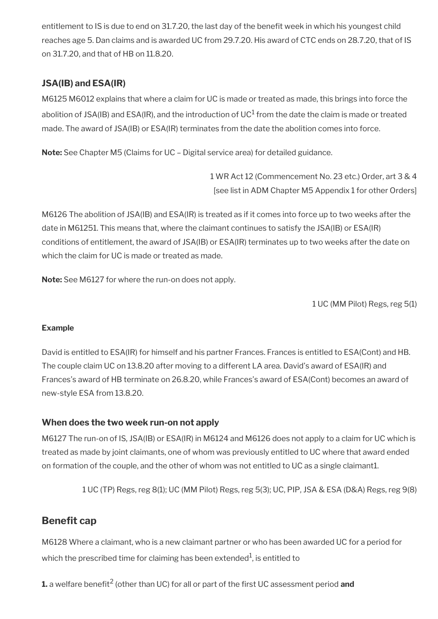entitlement to IS is due to end on 31.7.20, the last day of the benefit week in which his youngest child reaches age 5. Dan claims and is awarded UC from 29.7.20. His award of CTC ends on 28.7.20, that of IS on 31.7.20, and that of HB on 11.8.20.

## **JSA(IB) and ESA(IR)**

M6125 M6012 explains that where a claim for UC is made or treated as made, this brings into force the abolition of JSA(IB) and ESA(IR), and the introduction of UC $^1$  from the date the claim is made or treated made. The award of JSA(IB) or ESA(IR) terminates from the date the abolition comes into force.

**Note:** See Chapter M5 (Claims for UC – Digital service area) for detailed guidance.

1 WR Act 12 (Commencement No. 23 etc.) Order, art 3 & 4 [see list in ADM Chapter M5 Appendix 1 for other Orders]

M6126 The abolition of JSA(IB) and ESA(IR) is treated as if it comes into force up to two weeks after the date in M61251. This means that, where the claimant continues to satisfy the JSA(IB) or ESA(IR) conditions of entitlement, the award of JSA(IB) or ESA(IR) terminates up to two weeks after the date on which the claim for UC is made or treated as made.

**Note:** See M6127 for where the run-on does not apply.

1 UC (MM Pilot) Regs, reg 5(1)

### **Example**

David is entitled to ESA(IR) for himself and his partner Frances. Frances is entitled to ESA(Cont) and HB. The couple claim UC on 13.8.20 after moving to a different LA area. David's award of ESA(IR) and Frances's award of HB terminate on 26.8.20, while Frances's award of ESA(Cont) becomes an award of new-style ESA from 13.8.20.

## **When does the two week run-on not apply**

M6127 The run-on of IS, JSA(IB) or ESA(IR) in M6124 and M6126 does not apply to a claim for UC which is treated as made by joint claimants, one of whom was previously entitled to UC where that award ended on formation of the couple, and the other of whom was not entitled to UC as a single claimant1.

1 UC (TP) Regs, reg 8(1); UC (MM Pilot) Regs, reg 5(3); UC, PIP, JSA & ESA (D&A) Regs, reg 9(8)

## <span id="page-19-0"></span>**Benefit cap**

M6128 Where a claimant, who is a new claimant partner or who has been awarded UC for a period for which the prescribed time for claiming has been extended $^1$ , is entitled to

**1.** a welfare benefit<sup>2</sup> (other than UC) for all or part of the first UC assessment period **and**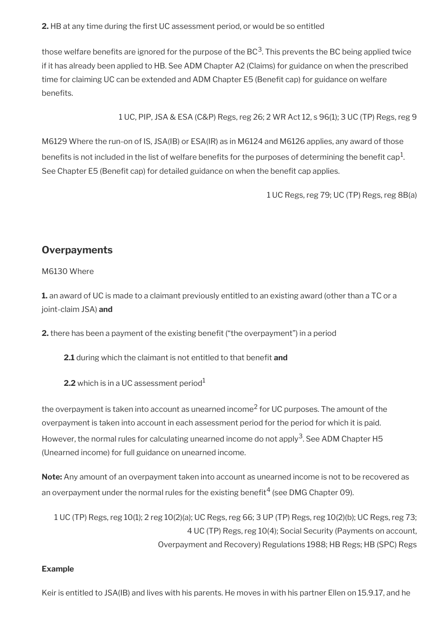**2.** HB at any time during the frst UC assessment period, or would be so entitled

those welfare benefits are ignored for the purpose of the BC $^3$ . This prevents the BC being applied twice if it has already been applied to HB. See ADM Chapter A2 (Claims) for guidance on when the prescribed time for claiming UC can be extended and ADM Chapter E5 (Beneft cap) for guidance on welfare benefits.

1 UC, PIP, JSA & ESA (C&P) Regs, reg 26; 2 WR Act 12, s 96(1); 3 UC (TP) Regs, reg 9

M6129 Where the run-on of IS, JSA(IB) or ESA(IR) as in M6124 and M6126 applies, any award of those benefits is not included in the list of welfare benefits for the purposes of determining the benefit cap $^{\rm 1}$ . See Chapter E5 (Benefit cap) for detailed guidance on when the benefit cap applies.

1 UC Regs, reg 79; UC (TP) Regs, reg 8B(a)

## <span id="page-20-0"></span>**Overpayments**

#### M6130 Where

**1.** an award of UC is made to a claimant previously entitled to an existing award (other than a TC or a joint-claim JSA) **and**

**2.** there has been a payment of the existing benefit ("the overpayment") in a period

2.1 during which the claimant is not entitled to that benefit and

**2.2** which is in a UC assessment period $<sup>1</sup>$ </sup>

the overpayment is taken into account as unearned income<sup>2</sup> for UC purposes. The amount of the overpayment is taken into account in each assessment period for the period for which it is paid. However, the normal rules for calculating unearned income do not apply<sup>3</sup>. See ADM Chapter H5 (Unearned income) for full guidance on unearned income.

**Note:** Any amount of an overpayment taken into account as unearned income is not to be recovered as an overpayment under the normal rules for the existing benefit<sup>4</sup> (see DMG Chapter 09).

1 UC (TP) Regs, reg 10(1); 2 reg 10(2)(a); UC Regs, reg 66; 3 UP (TP) Regs, reg 10(2)(b); UC Regs, reg 73; 4 UC (TP) Regs, reg 10(4); Social Security (Payments on account, Overpayment and Recovery) Regulations 1988; HB Regs; HB (SPC) Regs

#### **Example**

Keir is entitled to JSA(IB) and lives with his parents. He moves in with his partner Ellen on 15.9.17, and he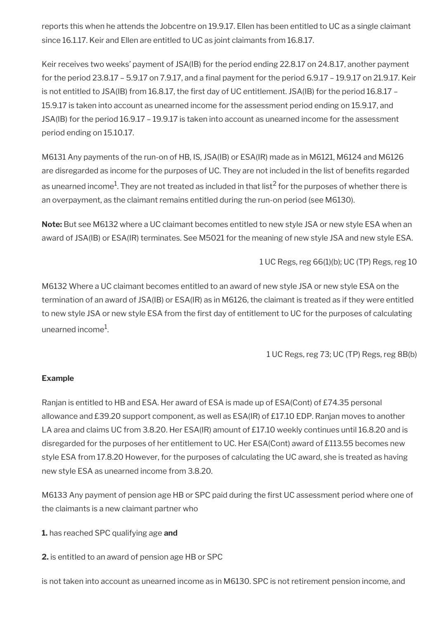reports this when he attends the Jobcentre on 19.9.17. Ellen has been entitled to UC as a single claimant since 16.1.17. Keir and Ellen are entitled to UC as joint claimants from 16.8.17.

Keir receives two weeks' payment of JSA(IB) for the period ending 22.8.17 on 24.8.17, another payment for the period 23.8.17 – 5.9.17 on 7.9.17, and a fnal payment for the period 6.9.17 – 19.9.17 on 21.9.17. Keir is not entitled to JSA(IB) from 16.8.17, the first day of UC entitlement. JSA(IB) for the period 16.8.17 -15.9.17 is taken into account as unearned income for the assessment period ending on 15.9.17, and JSA(IB) for the period 16.9.17 – 19.9.17 is taken into account as unearned income for the assessment period ending on 15.10.17.

M6131 Any payments of the run-on of HB, IS, JSA(IB) or ESA(IR) made as in M6121, M6124 and M6126 are disregarded as income for the purposes of UC. They are not included in the list of benefts regarded as unearned income $^1$ . They are not treated as included in that list $^2$  for the purposes of whether there is an overpayment, as the claimant remains entitled during the run-on period (see M6130).

**Note:** But see M6132 where a UC claimant becomes entitled to new style JSA or new style ESA when an award of JSA(IB) or ESA(IR) terminates. See M5021 for the meaning of new style JSA and new style ESA.

1 UC Regs, reg 66(1)(b); UC (TP) Regs, reg 10

M6132 Where a UC claimant becomes entitled to an award of new style JSA or new style ESA on the termination of an award of JSA(IB) or ESA(IR) as in M6126, the claimant is treated as if they were entitled to new style JSA or new style ESA from the first day of entitlement to UC for the purposes of calculating unearned income $^{\rm 1}$ .

1 UC Regs, reg 73; UC (TP) Regs, reg 8B(b)

### **Example**

Ranjan is entitled to HB and ESA. Her award of ESA is made up of ESA(Cont) of £74.35 personal allowance and £39.20 support component, as well as ESA(IR) of £17.10 EDP. Ranjan moves to another LA area and claims UC from 3.8.20. Her ESA(IR) amount of £17.10 weekly continues until 16.8.20 and is disregarded for the purposes of her entitlement to UC. Her ESA(Cont) award of £113.55 becomes new style ESA from 17.8.20 However, for the purposes of calculating the UC award, she is treated as having new style ESA as unearned income from 3.8.20.

M6133 Any payment of pension age HB or SPC paid during the frst UC assessment period where one of the claimants is a new claimant partner who

- **1.** has reached SPC qualifying age **and**
- **2.** is entitled to an award of pension age HB or SPC

is not taken into account as unearned income as in M6130. SPC is not retirement pension income, and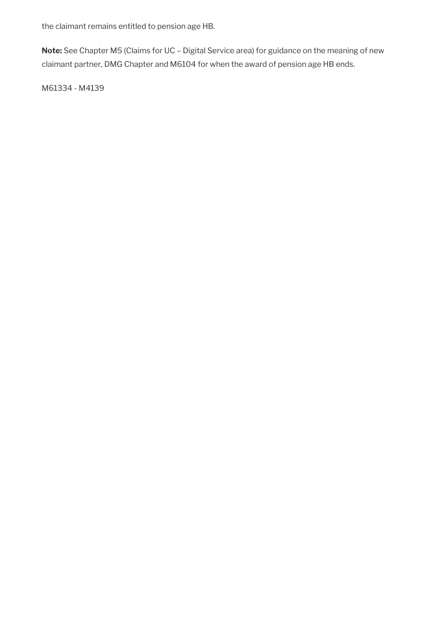the claimant remains entitled to pension age HB.

**Note:** See Chapter M5 (Claims for UC – Digital Service area) for guidance on the meaning of new claimant partner, DMG Chapter and M6104 for when the award of pension age HB ends.

M61334 - M4139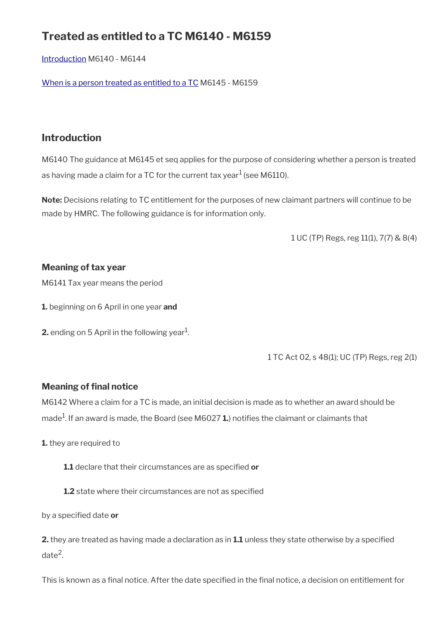# **Treated as entitled to a TC M6140 - M6159**

[Introduction](#page-23-0) M6140 - M6144

[When is a person treated as entitled to a TC](#page-24-0) M6145 - M6159

## <span id="page-23-0"></span>**Introduction**

M6140 The guidance at M6145 et seq applies for the purpose of considering whether a person is treated as having made a claim for a TC for the current tax year $^1$  (see M6110).

**Note:** Decisions relating to TC entitlement for the purposes of new claimant partners will continue to be made by HMRC. The following guidance is for information only.

1 UC (TP) Regs, reg 11(1), 7(7) & 8(4)

## **Meaning of tax year**

M6141 Tax year means the period

**1.** beginning on 6 April in one year **and**

**2.** ending on 5 April in the following year $^1$ .

1 TC Act 02, s 48(1); UC (TP) Regs, reg 2(1)

## **Meaning of final notice**

M6142 Where a claim for a TC is made, an initial decision is made as to whether an award should be made<sup>1</sup>. If an award is made, the Board (see M6027 **1.**) notifies the claimant or claimants that

**1.** they are required to

**1.1** declare that their circumstances are as specifed **or**

**1.2** state where their circumstances are not as specified

by a specifed date **or**

**2.** they are treated as having made a declaration as in **1.1** unless they state otherwise by a specifed date<sup>2</sup>.

This is known as a fnal notice. After the date specifed in the fnal notice, a decision on entitlement for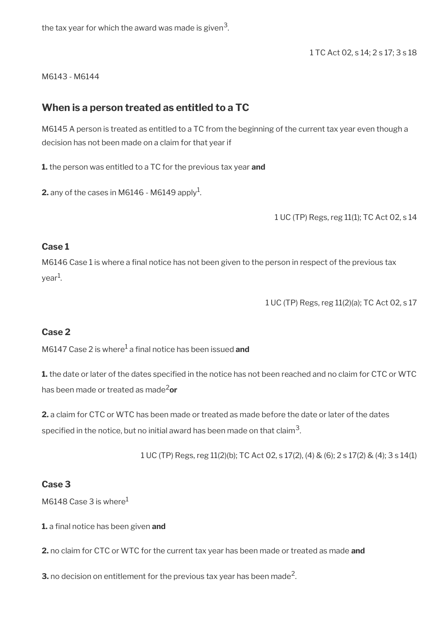the tax year for which the award was made is given $^3\!$ 

1 TC Act 02, s 14; 2 s 17; 3 s 18

M6143 - M6144

## <span id="page-24-0"></span>**When is a person treated as entitled to a TC**

M6145 A person is treated as entitled to a TC from the beginning of the current tax year even though a decision has not been made on a claim for that year if

**1.** the person was entitled to a TC for the previous tax year **and**

**2.** any of the cases in M6146 - M6149 apply<sup>1</sup>.

1 UC (TP) Regs, reg 11(1); TC Act 02, s 14

#### **Case 1**

M6146 Case 1 is where a final notice has not been given to the person in respect of the previous tax year<sup>1</sup>.

1 UC (TP) Regs, reg 11(2)(a); TC Act 02, s 17

### **Case 2**

M6147 Case 2 is where<sup>1</sup> a final notice has been issued **and** 

**1.** the date or later of the dates specifed in the notice has not been reached and no claim for CTC or WTC has been made or treated as made2**or**

**2.** a claim for CTC or WTC has been made or treated as made before the date or later of the dates specified in the notice, but no initial award has been made on that claim $^3\!$ 

1 UC (TP) Regs, reg 11(2)(b); TC Act 02, s 17(2), (4) & (6); 2 s 17(2) & (4); 3 s 14(1)

### **Case 3**

M6148 Case 3 is where $<sup>1</sup>$ </sup>

**1.** a final notice has been given and

**2.** no claim for CTC or WTC for the current tax year has been made or treated as made **and**

**3.** no decision on entitlement for the previous tax year has been made<sup>2</sup>.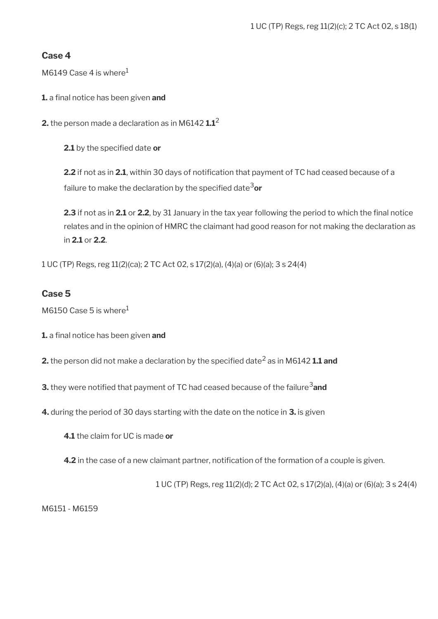### **Case 4**

M6149 Case 4 is where $<sup>1</sup>$ </sup>

**1.** a final notice has been given and

**2.** the person made a declaration as in M6142 **1.1**<sup>2</sup>

2.1 by the specified date or

**2.2** if not as in 2.1, within 30 days of notification that payment of TC had ceased because of a failure to make the declaration by the specified date<sup>3</sup>or

**2.3** if not as in **2.1** or **2.2**, by 31 January in the tax year following the period to which the final notice relates and in the opinion of HMRC the claimant had good reason for not making the declaration as in **2.1** or **2.2**.

1 UC (TP) Regs, reg 11(2)(ca); 2 TC Act 02, s 17(2)(a), (4)(a) or (6)(a); 3 s 24(4)

### **Case 5**

M6150 Case 5 is where $1$ 

**1.** a final notice has been given and

**2.** the person did not make a declaration by the specified date<sup>2</sup> as in M6142 **1.1 and** 

**3.** they were notified that payment of TC had ceased because of the failure<sup>3</sup> and

**4.** during the period of 30 days starting with the date on the notice in **3.** is given

**4.1** the claim for UC is made **or**

**4.2** in the case of a new claimant partner, notification of the formation of a couple is given.

1 UC (TP) Regs, reg 11(2)(d); 2 TC Act 02, s 17(2)(a), (4)(a) or (6)(a); 3 s 24(4)

M6151 - M6159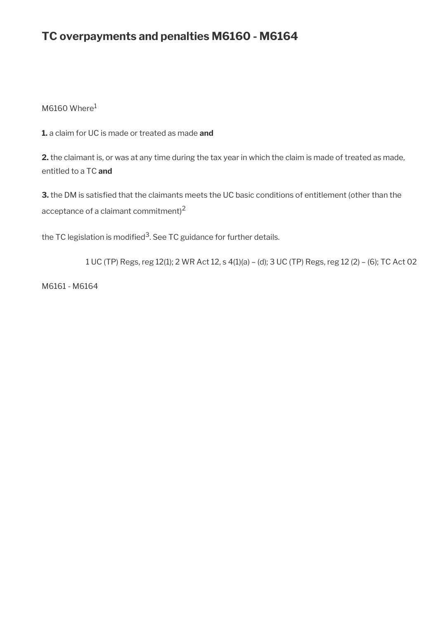# **TC overpayments and penalties M6160 - M6164**

 $M6160$  Where $1$ 

**1.** a claim for UC is made or treated as made **and**

**2.** the claimant is, or was at any time during the tax year in which the claim is made of treated as made, entitled to a TC **and**

**3.** the DM is satisfied that the claimants meets the UC basic conditions of entitlement (other than the acceptance of a claimant commitment)<sup>2</sup>

the TC legislation is modified $^3$ . See TC guidance for further details.

1 UC (TP) Regs, reg 12(1); 2 WR Act 12, s 4(1)(a) – (d); 3 UC (TP) Regs, reg 12 (2) – (6); TC Act 02

M6161 - M6164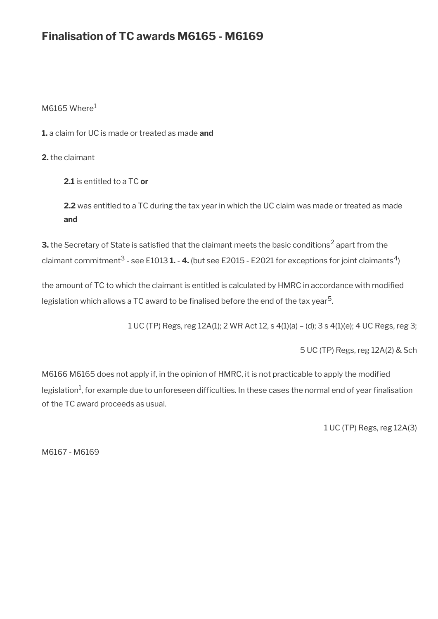# **Finalisation of TC awards M6165 - M6169**

 $M6165$  Where<sup>1</sup>

**1.** a claim for UC is made or treated as made **and**

**2.** the claimant

**2.1** is entitled to a TC **or**

**2.2** was entitled to a TC during the tax year in which the UC claim was made or treated as made **and**

**3.** the Secretary of State is satisfied that the claimant meets the basic conditions<sup>2</sup> apart from the claimant commitment<sup>3</sup> - see E1013 **1. - 4.** (but see E2015 - E2021 for exceptions for joint claimants<sup>4</sup>)

the amount of TC to which the claimant is entitled is calculated by HMRC in accordance with modifed legislation which allows a TC award to be finalised before the end of the tax year<sup>5</sup>.

1 UC (TP) Regs, reg 12A(1); 2 WR Act 12, s 4(1)(a) – (d); 3 s 4(1)(e); 4 UC Regs, reg 3;

5 UC (TP) Regs, reg 12A(2) & Sch

M6166 M6165 does not apply if, in the opinion of HMRC, it is not practicable to apply the modifed legislation $^1$ , for example due to unforeseen difficulties. In these cases the normal end of year finalisation of the TC award proceeds as usual.

1 UC (TP) Regs, reg 12A(3)

M6167 - M6169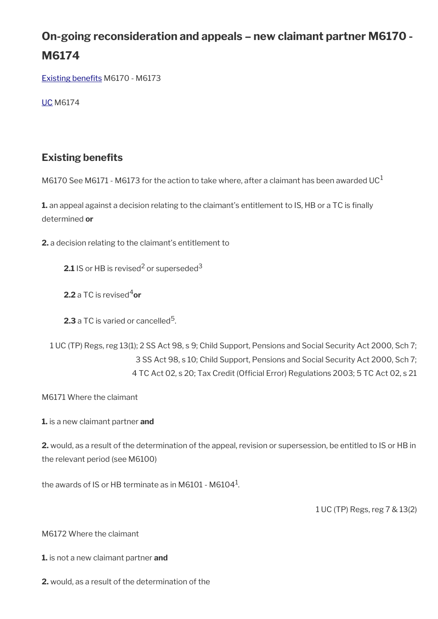# **On-going reconsideration and appeals – new claimant partner M6170 - M6174**

Existing benefits M6170 - M6173

[UC](#page-29-0) M6174

# <span id="page-28-0"></span>**Existing benefits**

M6170 See M6171 - M6173 for the action to take where, after a claimant has been awarded UC<sup>1</sup>

1. an appeal against a decision relating to the claimant's entitlement to IS, HB or a TC is finally determined **or**

**2.** a decision relating to the claimant's entitlement to

**2.1** IS or HB is revised<sup>2</sup> or superseded<sup>3</sup>

**2.2** a TC is revised<sup>4</sup>or

**2.3** a TC is varied or cancelled<sup>5</sup>.

1 UC (TP) Regs, reg 13(1); 2 SS Act 98, s 9; Child Support, Pensions and Social Security Act 2000, Sch 7; 3 SS Act 98, s 10; Child Support, Pensions and Social Security Act 2000, Sch 7; 4 TC Act 02, s 20; Tax Credit (Official Error) Regulations 2003; 5 TC Act 02, s 21

M6171 Where the claimant

**1.** is a new claimant partner **and**

**2.** would, as a result of the determination of the appeal, revision or supersession, be entitled to IS or HB in the relevant period (see M6100)

the awards of IS or HB terminate as in M6101 - M6104 $^{\rm 1}$ .

1 UC (TP) Regs, reg 7 & 13(2)

M6172 Where the claimant

**1.** is not a new claimant partner **and**

**2.** would, as a result of the determination of the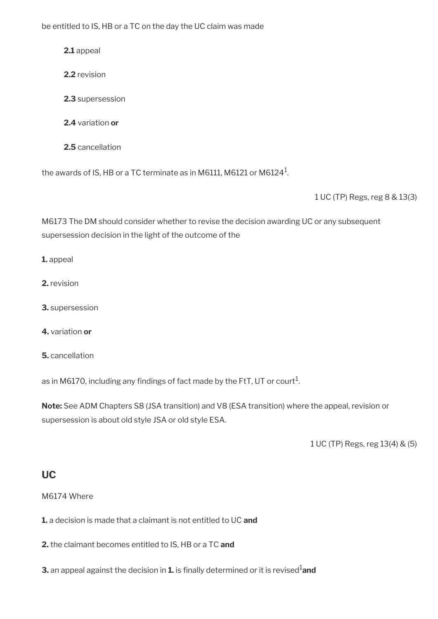be entitled to IS, HB or a TC on the day the UC claim was made

**2.1** appeal

- **2.2** revision
- **2.3** supersession
- **2.4** variation **or**
- **2.5** cancellation

the awards of IS, HB or a TC terminate as in M6111, M6121 or M6124 $^{\rm 1}$ .

1 UC (TP) Regs, reg 8 & 13(3)

M6173 The DM should consider whether to revise the decision awarding UC or any subsequent supersession decision in the light of the outcome of the

- **1.** appeal
- **2.** revision
- **3.** supersession
- **4.** variation **or**
- **5.** cancellation

as in M6170, including any findings of fact made by the FtT, UT or court $^1$ .

**Note:** See ADM Chapters S8 (JSA transition) and V8 (ESA transition) where the appeal, revision or supersession is about old style JSA or old style ESA.

1 UC (TP) Regs, reg 13(4) & (5)

## <span id="page-29-0"></span>**UC**

M6174 Where

**1.** a decision is made that a claimant is not entitled to UC **and**

**2.** the claimant becomes entitled to IS, HB or a TC **and**

**3.** an appeal against the decision in **1.** is finally determined or it is revised<sup>1</sup>and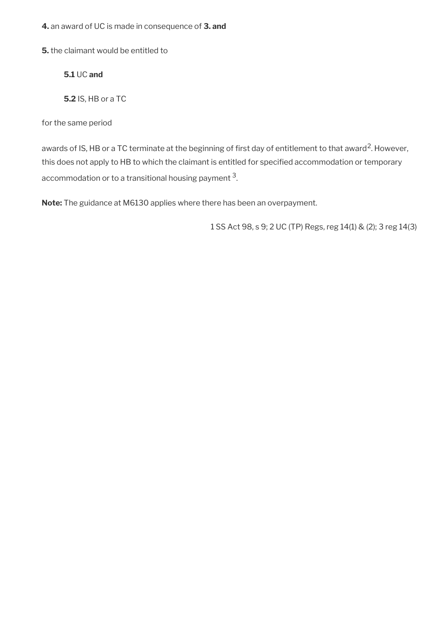**4.** an award of UC is made in consequence of **3. and**

**5.** the claimant would be entitled to

**5.1** UC **and**

**5.2** IS, HB or a TC

for the same period

awards of IS, HB or a TC terminate at the beginning of first day of entitlement to that award<sup>2</sup>. However, this does not apply to HB to which the claimant is entitled for specifed accommodation or temporary accommodation or to a transitional housing payment  $^3\!$ 

**Note:** The guidance at M6130 applies where there has been an overpayment.

1 SS Act 98, s 9; 2 UC (TP) Regs, reg 14(1) & (2); 3 reg 14(3)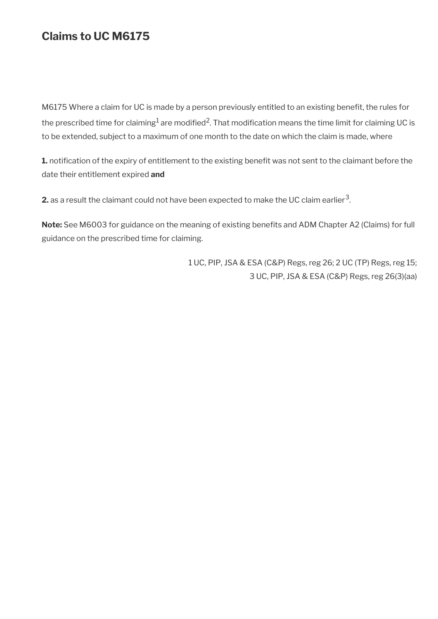# **Claims to UC M6175**

M6175 Where a claim for UC is made by a person previously entitled to an existing beneft, the rules for the prescribed time for claiming $^1$  are modified $^2$ . That modification means the time limit for claiming UC is to be extended, subject to a maximum of one month to the date on which the claim is made, where

**1.** notification of the expiry of entitlement to the existing benefit was not sent to the claimant before the date their entitlement expired **and**

**2.** as a result the claimant could not have been expected to make the UC claim earlier  $^3$ .

Note: See M6003 for guidance on the meaning of existing benefits and ADM Chapter A2 (Claims) for full guidance on the prescribed time for claiming.

> 1 UC, PIP, JSA & ESA (C&P) Regs, reg 26; 2 UC (TP) Regs, reg 15; 3 UC, PIP, JSA & ESA (C&P) Regs, reg 26(3)(aa)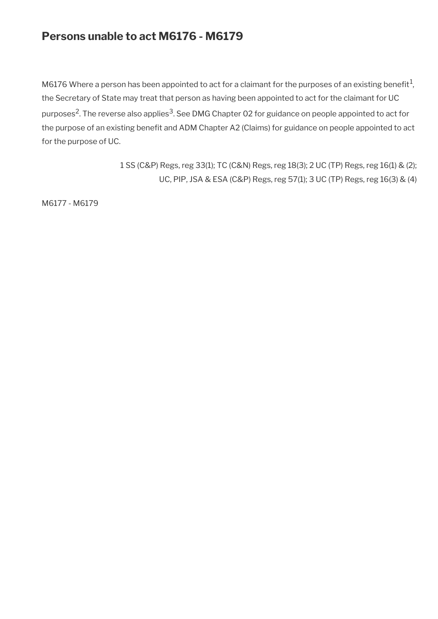# **Persons unable to act M6176 - M6179**

M6176 Where a person has been appointed to act for a claimant for the purposes of an existing benefit $^1$ , the Secretary of State may treat that person as having been appointed to act for the claimant for UC purposes<sup>2</sup>. The reverse also applies<sup>3</sup>. See DMG Chapter 02 for guidance on people appointed to act for the purpose of an existing benefit and ADM Chapter A2 (Claims) for guidance on people appointed to act for the purpose of UC.

> 1 SS (C&P) Regs, reg 33(1); TC (C&N) Regs, reg 18(3); 2 UC (TP) Regs, reg 16(1) & (2); UC, PIP, JSA & ESA (C&P) Regs, reg 57(1); 3 UC (TP) Regs, reg 16(3) & (4)

M6177 - M6179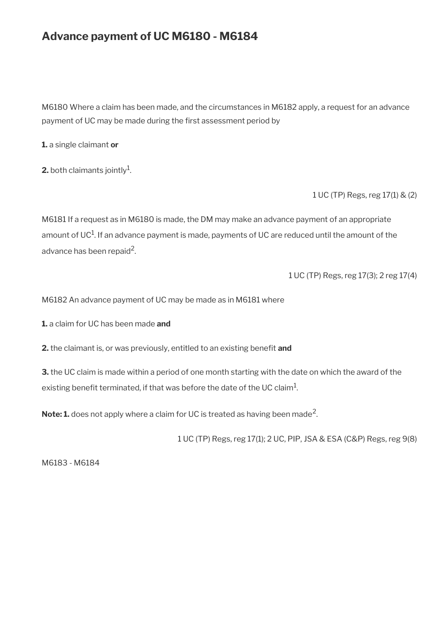# **Advance payment of UC M6180 - M6184**

M6180 Where a claim has been made, and the circumstances in M6182 apply, a request for an advance payment of UC may be made during the first assessment period by

**1.** a single claimant **or**

**2.** both claimants jointly $^1$ .

1 UC (TP) Regs, reg 17(1) & (2)

M6181 If a request as in M6180 is made, the DM may make an advance payment of an appropriate amount of UC $^1$ . If an advance payment is made, payments of UC are reduced until the amount of the advance has been repaid $^2$ .

1 UC (TP) Regs, reg 17(3); 2 reg 17(4)

M6182 An advance payment of UC may be made as in M6181 where

**1.** a claim for UC has been made **and**

**2.** the claimant is, or was previously, entitled to an existing benefit and

**3.** the UC claim is made within a period of one month starting with the date on which the award of the existing benefit terminated, if that was before the date of the UC claim $^{\rm 1}$ .

 $\mathsf{Note:} \mathbf{1}.$  does not apply where a claim for UC is treated as having been made<sup>2</sup>.

1 UC (TP) Regs, reg 17(1); 2 UC, PIP, JSA & ESA (C&P) Regs, reg 9(8)

M6183 - M6184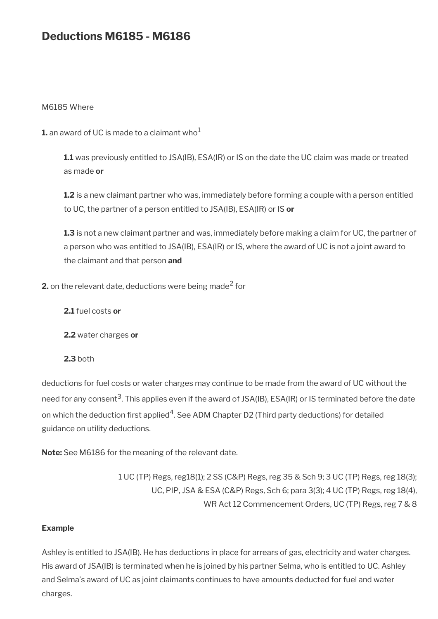# **Deductions M6185 - M6186**

#### M6185 Where

**1.** an award of UC is made to a claimant who<sup>1</sup>

**1.1** was previously entitled to JSA(IB), ESA(IR) or IS on the date the UC claim was made or treated as made **or**

**1.2** is a new claimant partner who was, immediately before forming a couple with a person entitled to UC, the partner of a person entitled to JSA(IB), ESA(IR) or IS **or**

**1.3** is not a new claimant partner and was, immediately before making a claim for UC, the partner of a person who was entitled to JSA(IB), ESA(IR) or IS, where the award of UC is not a joint award to the claimant and that person **and**

**2.** on the relevant date, deductions were being made<sup>2</sup> for

**2.1** fuel costs **or**

**2.2** water charges **or**

**2.3** both

deductions for fuel costs or water charges may continue to be made from the award of UC without the need for any consent<sup>3</sup>. This applies even if the award of JSA(IB), ESA(IR) or IS terminated before the date on which the deduction first applied<sup>4</sup>. See ADM Chapter D2 (Third party deductions) for detailed guidance on utility deductions.

**Note:** See M6186 for the meaning of the relevant date.

1 UC (TP) Regs, reg18(1); 2 SS (C&P) Regs, reg 35 & Sch 9; 3 UC (TP) Regs, reg 18(3); UC, PIP, JSA & ESA (C&P) Regs, Sch 6; para 3(3); 4 UC (TP) Regs, reg 18(4), WR Act 12 Commencement Orders, UC (TP) Regs, reg 7 & 8

#### **Example**

Ashley is entitled to JSA(IB). He has deductions in place for arrears of gas, electricity and water charges. His award of JSA(IB) is terminated when he is joined by his partner Selma, who is entitled to UC. Ashley and Selma's award of UC as joint claimants continues to have amounts deducted for fuel and water charges.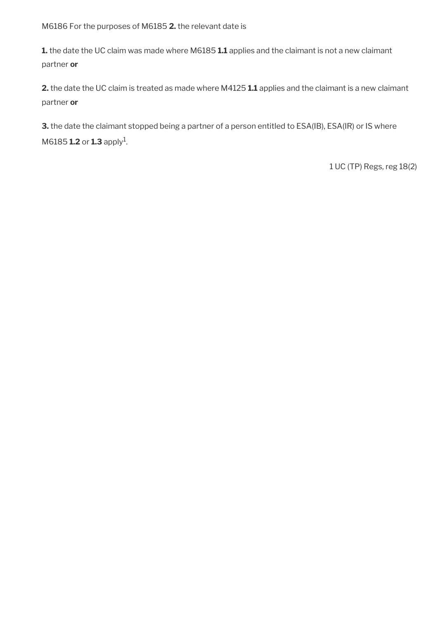M6186 For the purposes of M6185 **2.** the relevant date is

**1.** the date the UC claim was made where M6185 **1.1** applies and the claimant is not a new claimant partner **or**

**2.** the date the UC claim is treated as made where M4125 **1.1** applies and the claimant is a new claimant partner **or**

**3.** the date the claimant stopped being a partner of a person entitled to ESA(IB), ESA(IR) or IS where  $M6185$  **1.2** or **1.3** apply<sup>1</sup>.

1 UC (TP) Regs, reg 18(2)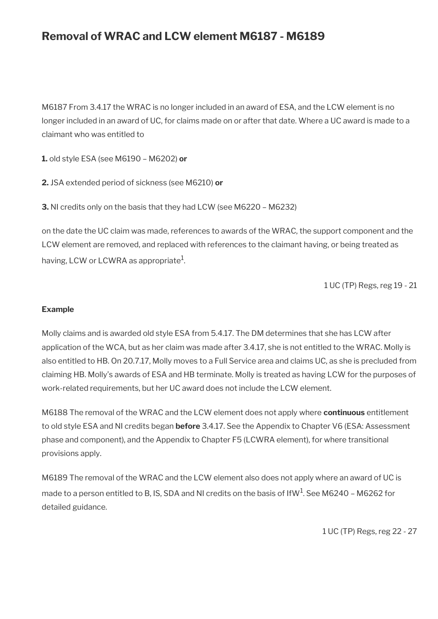# **Removal of WRAC and LCW element M6187 - M6189**

M6187 From 3.4.17 the WRAC is no longer included in an award of ESA, and the LCW element is no longer included in an award of UC, for claims made on or after that date. Where a UC award is made to a claimant who was entitled to

**1.** old style ESA (see M6190 – M6202) **or**

**2.** JSA extended period of sickness (see M6210) **or**

**3.** NI credits only on the basis that they had LCW (see M6220 – M6232)

on the date the UC claim was made, references to awards of the WRAC, the support component and the LCW element are removed, and replaced with references to the claimant having, or being treated as having, LCW or LCWRA as appropriate $^1\!$ 

1 UC (TP) Regs, reg 19 - 21

#### **Example**

Molly claims and is awarded old style ESA from 5.4.17. The DM determines that she has LCW after application of the WCA, but as her claim was made after 3.4.17, she is not entitled to the WRAC. Molly is also entitled to HB. On 20.7.17, Molly moves to a Full Service area and claims UC, as she is precluded from claiming HB. Molly's awards of ESA and HB terminate. Molly is treated as having LCW for the purposes of work-related requirements, but her UC award does not include the LCW element.

M6188 The removal of the WRAC and the LCW element does not apply where **continuous** entitlement to old style ESA and NI credits began **before** 3.4.17. See the Appendix to Chapter V6 (ESA: Assessment phase and component), and the Appendix to Chapter F5 (LCWRA element), for where transitional provisions apply.

M6189 The removal of the WRAC and the LCW element also does not apply where an award of UC is made to a person entitled to B, IS, SDA and NI credits on the basis of IfW $^{\rm 1}$ . See M6240 – M6262 for detailed guidance.

1 UC (TP) Regs, reg 22 - 27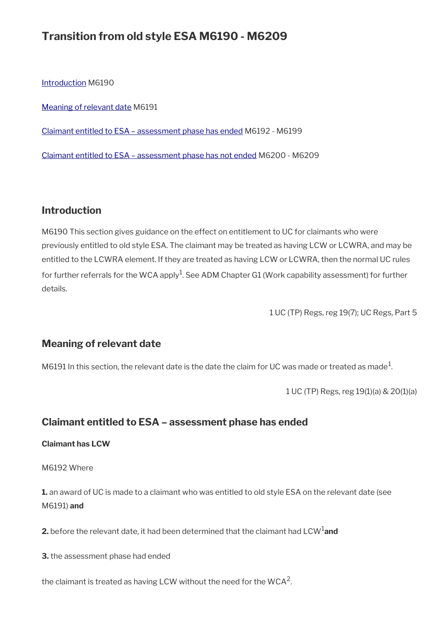# **Transition from old style ESA M6190 - M6209**

[Introduction](#page-23-0) M6190

[Meaning of relevant date](#page-37-1) M6191

[Claimant entitled to ESA – assessment phase has ended](#page-37-0) M6192 - M6199

[Claimant entitled to ESA – assessment phase has not ended](#page-39-0) M6200 - M6209

## **Introduction**

M6190 This section gives guidance on the effect on entitlement to UC for claimants who were previously entitled to old style ESA. The claimant may be treated as having LCW or LCWRA, and may be entitled to the LCWRA element. If they are treated as having LCW or LCWRA, then the normal UC rules for further referrals for the WCA apply<sup>1</sup>. See ADM Chapter G1 (Work capability assessment) for further details.

1 UC (TP) Regs, reg 19(7); UC Regs, Part 5

## <span id="page-37-1"></span>**Meaning of relevant date**

M6191 In this section, the relevant date is the date the claim for UC was made or treated as made $^1\!$ 

1 UC (TP) Regs, reg 19(1)(a) & 20(1)(a)

## <span id="page-37-0"></span>**Claimant entitled to ESA – assessment phase has ended**

#### **Claimant has LCW**

M6192 Where

**1.** an award of UC is made to a claimant who was entitled to old style ESA on the relevant date (see M6191) **and**

**2.** before the relevant date, it had been determined that the claimant had LCW<sup>1</sup>and

**3.** the assessment phase had ended

the claimant is treated as having LCW without the need for the WCA<sup>2</sup>.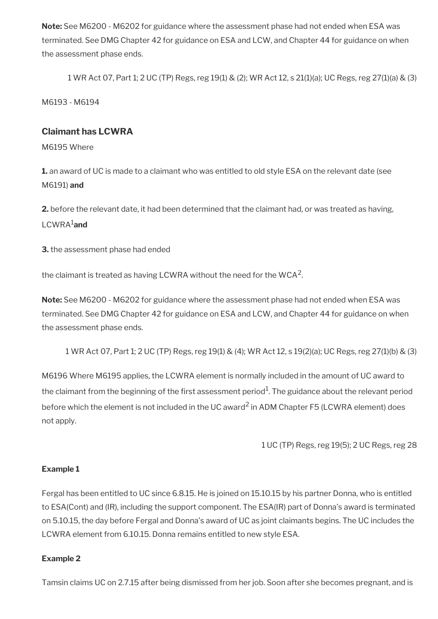**Note:** See M6200 - M6202 for guidance where the assessment phase had not ended when ESA was terminated. See DMG Chapter 42 for guidance on ESA and LCW, and Chapter 44 for guidance on when the assessment phase ends.

1 WR Act 07, Part 1; 2 UC (TP) Regs, reg 19(1) & (2); WR Act 12, s 21(1)(a); UC Regs, reg 27(1)(a) & (3)

M6193 - M6194

### **Claimant has LCWRA**

M6195 Where

**1.** an award of UC is made to a claimant who was entitled to old style ESA on the relevant date (see M6191) **and**

**2.** before the relevant date, it had been determined that the claimant had, or was treated as having, LCWRA1**and**

**3.** the assessment phase had ended

the claimant is treated as having LCWRA without the need for the WCA $^{\mathsf{2}}$ .

**Note:** See M6200 - M6202 for guidance where the assessment phase had not ended when ESA was terminated. See DMG Chapter 42 for guidance on ESA and LCW, and Chapter 44 for guidance on when the assessment phase ends.

1 WR Act 07, Part 1; 2 UC (TP) Regs, reg 19(1) & (4); WR Act 12, s 19(2)(a); UC Regs, reg 27(1)(b) & (3)

M6196 Where M6195 applies, the LCWRA element is normally included in the amount of UC award to the claimant from the beginning of the first assessment period $^1$ . The guidance about the relevant period before which the element is not included in the UC award<sup>2</sup> in ADM Chapter F5 (LCWRA element) does not apply.

1 UC (TP) Regs, reg 19(5); 2 UC Regs, reg 28

#### **Example 1**

Fergal has been entitled to UC since 6.8.15. He is joined on 15.10.15 by his partner Donna, who is entitled to ESA(Cont) and (IR), including the support component. The ESA(IR) part of Donna's award is terminated on 5.10.15, the day before Fergal and Donna's award of UC as joint claimants begins. The UC includes the LCWRA element from 6.10.15. Donna remains entitled to new style ESA.

#### **Example 2**

Tamsin claims UC on 2.7.15 after being dismissed from her job. Soon after she becomes pregnant, and is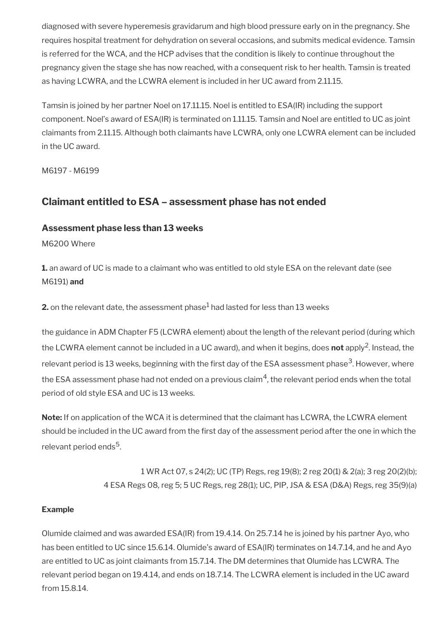diagnosed with severe hyperemesis gravidarum and high blood pressure early on in the pregnancy. She requires hospital treatment for dehydration on several occasions, and submits medical evidence. Tamsin is referred for the WCA, and the HCP advises that the condition is likely to continue throughout the pregnancy given the stage she has now reached, with a consequent risk to her health. Tamsin is treated as having LCWRA, and the LCWRA element is included in her UC award from 2.11.15.

Tamsin is joined by her partner Noel on 17.11.15. Noel is entitled to ESA(IR) including the support component. Noel's award of ESA(IR) is terminated on 1.11.15. Tamsin and Noel are entitled to UC as joint claimants from 2.11.15. Although both claimants have LCWRA, only one LCWRA element can be included in the UC award.

M6197 - M6199

## <span id="page-39-0"></span>**Claimant entitled to ESA – assessment phase has not ended**

## **Assessment phase less than 13 weeks**

M6200 Where

**1.** an award of UC is made to a claimant who was entitled to old style ESA on the relevant date (see M6191) **and**

**2.** on the relevant date, the assessment phase $^1$  had lasted for less than 13 weeks

the guidance in ADM Chapter F5 (LCWRA element) about the length of the relevant period (during which the LCWRA element cannot be included in a UC award), and when it begins, does **not** apply<sup>2</sup>. Instead, the relevant period is 13 weeks, beginning with the first day of the ESA assessment phase<sup>3</sup>. However, where the ESA assessment phase had not ended on a previous claim $^4$ , the relevant period ends when the total period of old style ESA and UC is 13 weeks.

**Note:** If on application of the WCA it is determined that the claimant has LCWRA, the LCWRA element should be included in the UC award from the frst day of the assessment period after the one in which the relevant period ends<sup>5</sup>.

> 1 WR Act 07, s 24(2); UC (TP) Regs, reg 19(8); 2 reg 20(1) & 2(a); 3 reg 20(2)(b); 4 ESA Regs 08, reg 5; 5 UC Regs, reg 28(1); UC, PIP, JSA & ESA (D&A) Regs, reg 35(9)(a)

#### **Example**

Olumide claimed and was awarded ESA(IR) from 19.4.14. On 25.7.14 he is joined by his partner Ayo, who has been entitled to UC since 15.6.14. Olumide's award of ESA(IR) terminates on 14.7.14, and he and Ayo are entitled to UC as joint claimants from 15.7.14. The DM determines that Olumide has LCWRA. The relevant period began on 19.4.14, and ends on 18.7.14. The LCWRA element is included in the UC award from 15.8.14.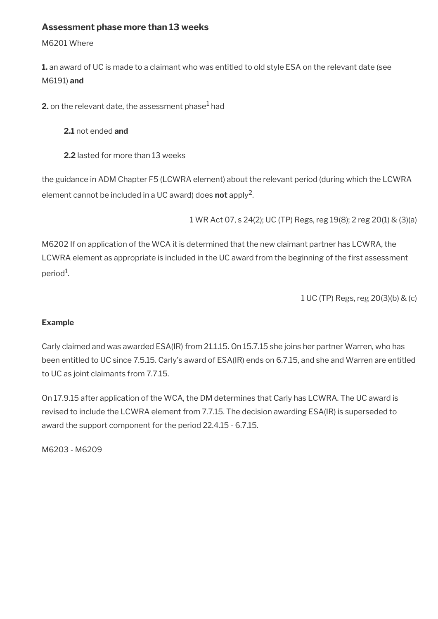### **Assessment phase more than 13 weeks**

M6201 Where

**1.** an award of UC is made to a claimant who was entitled to old style ESA on the relevant date (see M6191) **and**

**2.** on the relevant date, the assessment phase $^1$  had

**2.1** not ended **and**

**2.2** lasted for more than 13 weeks

the guidance in ADM Chapter F5 (LCWRA element) about the relevant period (during which the LCWRA element cannot be included in a UC award) does **not** apply<sup>2</sup> .

1 WR Act 07, s 24(2); UC (TP) Regs, reg 19(8); 2 reg 20(1) & (3)(a)

M6202 If on application of the WCA it is determined that the new claimant partner has LCWRA, the LCWRA element as appropriate is included in the UC award from the beginning of the first assessment period<sup>1</sup>.

1 UC (TP) Regs, reg 20(3)(b) & (c)

#### **Example**

Carly claimed and was awarded ESA(IR) from 21.1.15. On 15.7.15 she joins her partner Warren, who has been entitled to UC since 7.5.15. Carly's award of ESA(IR) ends on 6.7.15, and she and Warren are entitled to UC as joint claimants from 7.7.15.

On 17.9.15 after application of the WCA, the DM determines that Carly has LCWRA. The UC award is revised to include the LCWRA element from 7.7.15. The decision awarding ESA(IR) is superseded to award the support component for the period 22.4.15 - 6.7.15.

M6203 - M6209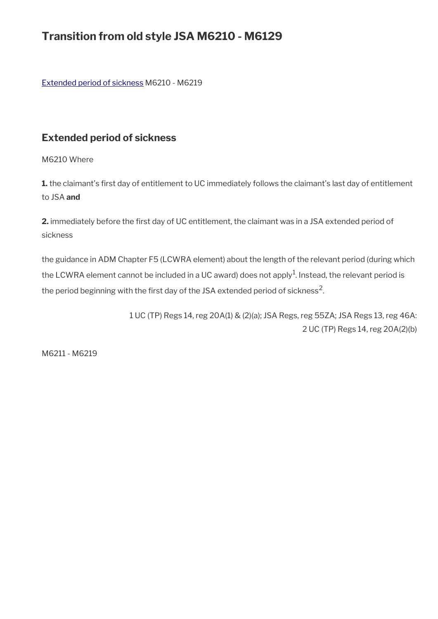# **Transition from old style JSA M6210 - M6129**

[Extended period of sickness](#page-41-0) M6210 - M6219

## <span id="page-41-0"></span>**Extended period of sickness**

M6210 Where

1. the claimant's first day of entitlement to UC immediately follows the claimant's last day of entitlement to JSA **and**

2. immediately before the first day of UC entitlement, the claimant was in a JSA extended period of sickness

the guidance in ADM Chapter F5 (LCWRA element) about the length of the relevant period (during which the LCWRA element cannot be included in a UC award) does not apply $^1$ . Instead, the relevant period is the period beginning with the first day of the JSA extended period of sickness<sup>2</sup>.

> 1 UC (TP) Regs 14, reg 20A(1) & (2)(a); JSA Regs, reg 55ZA; JSA Regs 13, reg 46A: 2 UC (TP) Regs 14, reg 20A(2)(b)

M6211 - M6219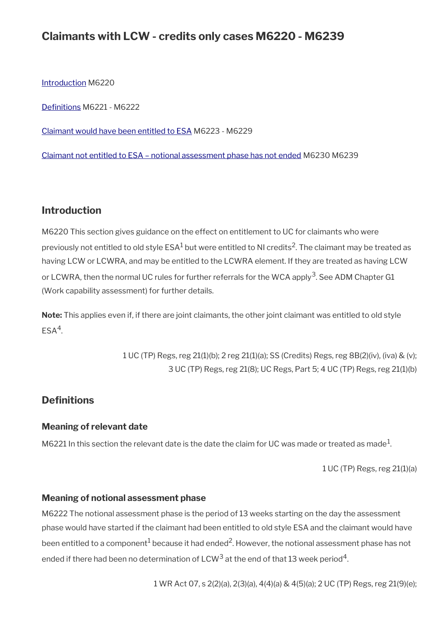## **Claimants with LCW - credits only cases M6220 - M6239**

[Introduction](#page-23-0) M6220

[Defnitions](#page-42-0) M6221 - M6222

[Claimant would have been entitled to ESA](#page-43-0) M6223 - M6229

[Claimant not entitled to ESA – notional assessment phase has not ended](#page-44-0) M6230 M6239

## **Introduction**

M6220 This section gives guidance on the effect on entitlement to UC for claimants who were previously not entitled to old style ESA $^1$  but were entitled to NI credits $^2$ . The claimant may be treated as having LCW or LCWRA, and may be entitled to the LCWRA element. If they are treated as having LCW or LCWRA, then the normal UC rules for further referrals for the WCA apply<sup>3</sup>. See ADM Chapter G1 (Work capability assessment) for further details.

**Note:** This applies even if, if there are joint claimants, the other joint claimant was entitled to old style  $ESA<sup>4</sup>$ .

> 1 UC (TP) Regs, reg 21(1)(b); 2 reg 21(1)(a); SS (Credits) Regs, reg 8B(2)(iv), (iva) & (v); 3 UC (TP) Regs, reg 21(8); UC Regs, Part 5; 4 UC (TP) Regs, reg 21(1)(b)

## <span id="page-42-0"></span>**Definitions**

#### **Meaning of relevant date**

M6221 In this section the relevant date is the date the claim for UC was made or treated as made $^1\!$ 

1 UC (TP) Regs, reg 21(1)(a)

#### **Meaning of notional assessment phase**

M6222 The notional assessment phase is the period of 13 weeks starting on the day the assessment phase would have started if the claimant had been entitled to old style ESA and the claimant would have been entitled to a component $^1$  because it had ended $^2$ . However, the notional assessment phase has not ended if there had been no determination of LCW<sup>3</sup> at the end of that 13 week period<sup>4</sup>.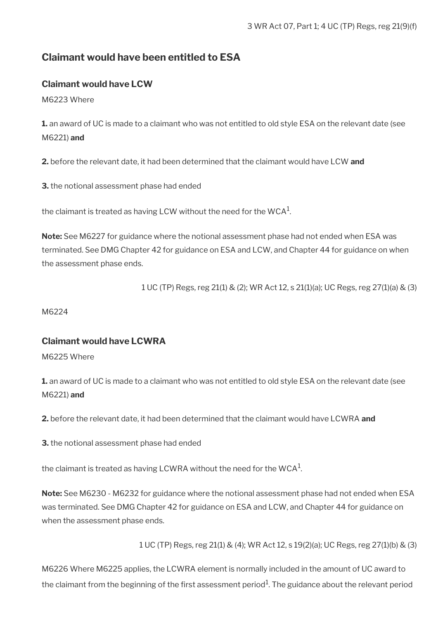## <span id="page-43-0"></span>**Claimant would have been entitled to ESA**

### **Claimant would have LCW**

M6223 Where

**1.** an award of UC is made to a claimant who was not entitled to old style ESA on the relevant date (see M6221) **and**

**2.** before the relevant date, it had been determined that the claimant would have LCW **and**

**3.** the notional assessment phase had ended

the claimant is treated as having LCW without the need for the WCA $^{\rm 1}$ .

**Note:** See M6227 for guidance where the notional assessment phase had not ended when ESA was terminated. See DMG Chapter 42 for guidance on ESA and LCW, and Chapter 44 for guidance on when the assessment phase ends.

1 UC (TP) Regs, reg 21(1) & (2); WR Act 12, s 21(1)(a); UC Regs, reg 27(1)(a) & (3)

M6224

### **Claimant would have LCWRA**

M6225 Where

**1.** an award of UC is made to a claimant who was not entitled to old style ESA on the relevant date (see M6221) **and**

**2.** before the relevant date, it had been determined that the claimant would have LCWRA **and**

**3.** the notional assessment phase had ended

the claimant is treated as having LCWRA without the need for the WCA $^{\rm 1}$ .

**Note:** See M6230 - M6232 for guidance where the notional assessment phase had not ended when ESA was terminated. See DMG Chapter 42 for guidance on ESA and LCW, and Chapter 44 for guidance on when the assessment phase ends.

1 UC (TP) Regs, reg 21(1) & (4); WR Act 12, s 19(2)(a); UC Regs, reg 27(1)(b) & (3)

M6226 Where M6225 applies, the LCWRA element is normally included in the amount of UC award to the claimant from the beginning of the first assessment period $^1$ . The guidance about the relevant period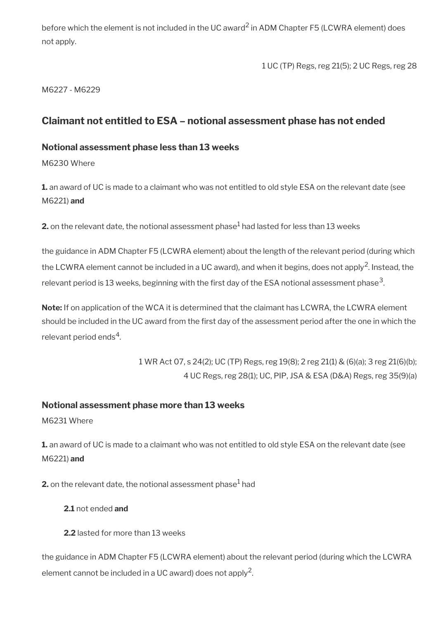before which the element is not included in the UC award<sup>2</sup> in ADM Chapter F5 (LCWRA element) does not apply.

1 UC (TP) Regs, reg 21(5); 2 UC Regs, reg 28

M6227 - M6229

## <span id="page-44-0"></span>**Claimant not entitled to ESA – notional assessment phase has not ended**

### **Notional assessment phase less than 13 weeks**

M6230 Where

**1.** an award of UC is made to a claimant who was not entitled to old style ESA on the relevant date (see M6221) **and**

**2.** on the relevant date, the notional assessment phase $^1$  had lasted for less than 13 weeks

the guidance in ADM Chapter F5 (LCWRA element) about the length of the relevant period (during which the LCWRA element cannot be included in a UC award), and when it begins, does not apply<sup>2</sup>. Instead, the relevant period is 13 weeks, beginning with the first day of the ESA notional assessment phase $^3\!$ 

**Note:** If on application of the WCA it is determined that the claimant has LCWRA, the LCWRA element should be included in the UC award from the frst day of the assessment period after the one in which the relevant period ends $^4$ .

> 1 WR Act 07, s 24(2); UC (TP) Regs, reg 19(8); 2 reg 21(1) & (6)(a); 3 reg 21(6)(b); 4 UC Regs, reg 28(1); UC, PIP, JSA & ESA (D&A) Regs, reg 35(9)(a)

## **Notional assessment phase more than 13 weeks**

M6231 Where

**1.** an award of UC is made to a claimant who was not entitled to old style ESA on the relevant date (see M6221) **and**

**2.** on the relevant date, the notional assessment phase $^{\rm 1}$  had

- **2.1** not ended **and**
- **2.2** lasted for more than 13 weeks

the guidance in ADM Chapter F5 (LCWRA element) about the relevant period (during which the LCWRA element cannot be included in a UC award) does not apply<sup>2</sup>.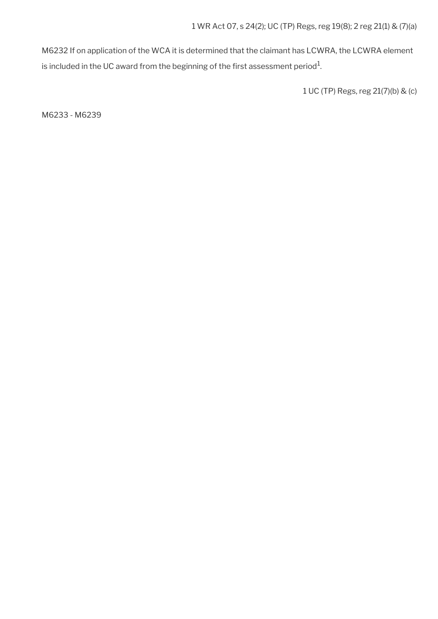M6232 If on application of the WCA it is determined that the claimant has LCWRA, the LCWRA element is included in the UC award from the beginning of the first assessment period $^1\!$ 

1 UC (TP) Regs, reg 21(7)(b) & (c)

M6233 - M6239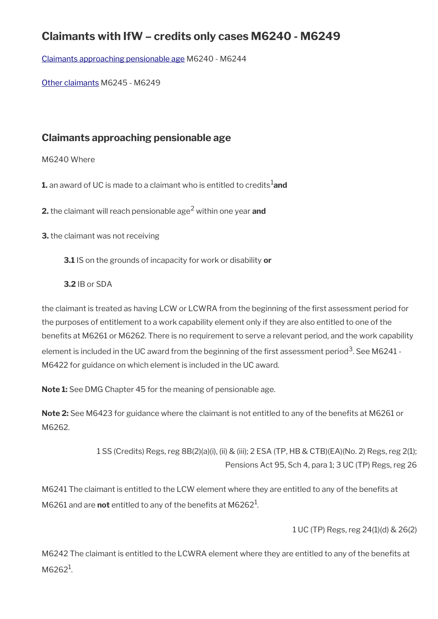# **Claimants with IfW – credits only cases M6240 - M6249**

[Claimants approaching pensionable age](#page-46-0) M6240 - M6244

[Other claimants](#page-17-0) M6245 - M6249

## <span id="page-46-0"></span>**Claimants approaching pensionable age**

M6240 Where

**1.** an award of UC is made to a claimant who is entitled to credits<sup>1</sup>and

**2.** the claimant will reach pensionable age<sup>2</sup> within one year **and**

**3.** the claimant was not receiving

**3.1** IS on the grounds of incapacity for work or disability **or**

**3.2** IB or SDA

the claimant is treated as having LCW or LCWRA from the beginning of the frst assessment period for the purposes of entitlement to a work capability element only if they are also entitled to one of the benefts at M6261 or M6262. There is no requirement to serve a relevant period, and the work capability element is included in the UC award from the beginning of the first assessment period $^3$ . See M6241 -M6422 for guidance on which element is included in the UC award.

**Note 1:** See DMG Chapter 45 for the meaning of pensionable age.

Note 2: See M6423 for guidance where the claimant is not entitled to any of the benefits at M6261 or M6262.

> 1 SS (Credits) Regs, reg 8B(2)(a)(i), (ii) & (iii); 2 ESA (TP, HB & CTB)(EA)(No. 2) Regs, reg 2(1); Pensions Act 95, Sch 4, para 1; 3 UC (TP) Regs, reg 26

M6241 The claimant is entitled to the LCW element where they are entitled to any of the benefits at M6261 and are **not** entitled to any of the benefits at M6262<sup>1</sup>.

1 UC (TP) Regs, reg 24(1)(d) & 26(2)

M6242 The claimant is entitled to the LCWRA element where they are entitled to any of the benefits at M6262<sup>1</sup>.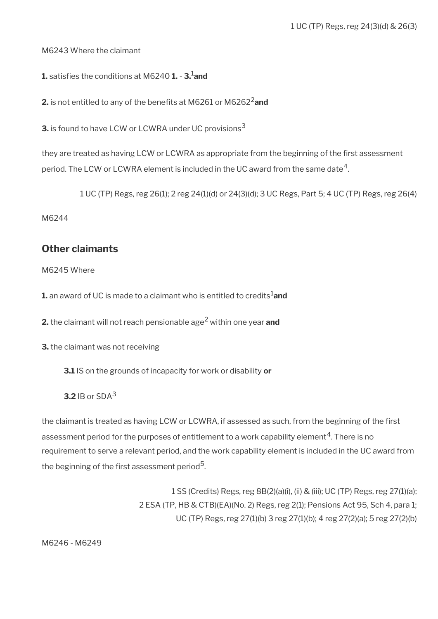M6243 Where the claimant

**1.** satisfes the conditions at M6240 **1.** - **3.**1**and**

**2.** is not entitled to any of the benefits at M6261 or M6262<sup>2</sup>and

**3.** is found to have LCW or LCWRA under UC provisions<sup>3</sup>

they are treated as having LCW or LCWRA as appropriate from the beginning of the first assessment period. The LCW or LCWRA element is included in the UC award from the same date $^4\!$ 

1 UC (TP) Regs, reg 26(1); 2 reg 24(1)(d) or 24(3)(d); 3 UC Regs, Part 5; 4 UC (TP) Regs, reg 26(4)

M6244

## **Other claimants**

M6245 Where

**1.** an award of UC is made to a claimant who is entitled to credits<sup>1</sup>and

**2.** the claimant will not reach pensionable age<sup>2</sup> within one year **and** 

**3.** the claimant was not receiving

**3.1** IS on the grounds of incapacity for work or disability **or**

**3.2** IB or SDA<sup>3</sup>

the claimant is treated as having LCW or LCWRA, if assessed as such, from the beginning of the first assessment period for the purposes of entitlement to a work capability element $\rm ^4$ . There is no requirement to serve a relevant period, and the work capability element is included in the UC award from the beginning of the first assessment period $^{\mathbf{5}}$ .

> 1 SS (Credits) Regs, reg 8B(2)(a)(i), (ii) & (iii); UC (TP) Regs, reg 27(1)(a); 2 ESA (TP, HB & CTB)(EA)(No. 2) Regs, reg 2(1); Pensions Act 95, Sch 4, para 1; UC (TP) Regs, reg 27(1)(b) 3 reg 27(1)(b); 4 reg 27(2)(a); 5 reg 27(2)(b)

M6246 - M6249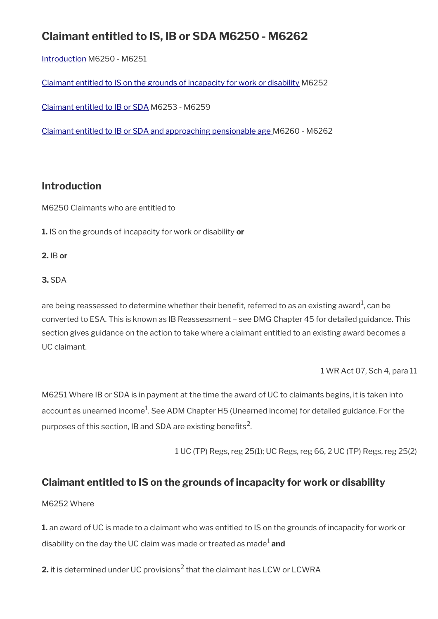# **Claimant entitled to IS, IB or SDA M6250 - M6262**

[Introduction](#page-23-0) M6250 - M6251

[Claimant entitled to IS on the grounds of incapacity for work or disability](#page-48-0) M6252

[Claimant entitled to IB or SDA](#page-49-0) M6253 - M6259

[Claimant entitled to IB or SDA and approaching pensionable age M](#page-50-0)6260 - M6262

## **Introduction**

M6250 Claimants who are entitled to

**1.** IS on the grounds of incapacity for work or disability **or**

**2.** IB **or**

### **3.** SDA

are being reassessed to determine whether their benefit, referred to as an existing award $^1$ , can be converted to ESA. This is known as IB Reassessment – see DMG Chapter 45 for detailed guidance. This section gives guidance on the action to take where a claimant entitled to an existing award becomes a UC claimant.

1 WR Act 07, Sch 4, para 11

M6251 Where IB or SDA is in payment at the time the award of UC to claimants begins, it is taken into account as unearned income $^1$ . See ADM Chapter H5 (Unearned income) for detailed guidance. For the purposes of this section, IB and SDA are existing benefits $^2\!$ 

1 UC (TP) Regs, reg 25(1); UC Regs, reg 66, 2 UC (TP) Regs, reg 25(2)

## <span id="page-48-0"></span>**Claimant entitled to IS on the grounds of incapacity for work or disability**

## M6252 Where

**1.** an award of UC is made to a claimant who was entitled to IS on the grounds of incapacity for work or disability on the day the UC claim was made or treated as made1 **and**

**2.** it is determined under UC provisions $^2$  that the claimant has LCW or LCWRA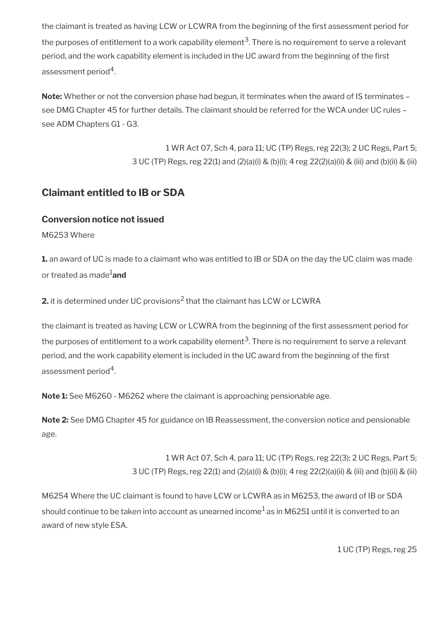the claimant is treated as having LCW or LCWRA from the beginning of the first assessment period for the purposes of entitlement to a work capability element $^3$ . There is no requirement to serve a relevant period, and the work capability element is included in the UC award from the beginning of the first assessment period $^{\rm 4}$ .

**Note:** Whether or not the conversion phase had begun, it terminates when the award of IS terminates – see DMG Chapter 45 for further details. The claimant should be referred for the WCA under UC rules – see ADM Chapters G1 - G3.

> 1 WR Act 07, Sch 4, para 11; UC (TP) Regs, reg 22(3); 2 UC Regs, Part 5; 3 UC (TP) Regs, reg 22(1) and (2)(a)(i) & (b)(i); 4 reg 22(2)(a)(ii) & (iii) and (b)(ii) & (iii)

## <span id="page-49-0"></span>**Claimant entitled to IB or SDA**

## **Conversion notice not issued**

M6253 Where

**1.** an award of UC is made to a claimant who was entitled to IB or SDA on the day the UC claim was made or treated as made1**and**

**2.** it is determined under UC provisions $^2$  that the claimant has LCW or LCWRA

the claimant is treated as having LCW or LCWRA from the beginning of the first assessment period for the purposes of entitlement to a work capability element $^3$ . There is no requirement to serve a relevant period, and the work capability element is included in the UC award from the beginning of the first assessment period $^{\rm 4}$ .

**Note 1:** See M6260 - M6262 where the claimant is approaching pensionable age.

**Note 2:** See DMG Chapter 45 for guidance on IB Reassessment, the conversion notice and pensionable age.

> 1 WR Act 07, Sch 4, para 11; UC (TP) Regs, reg 22(3); 2 UC Regs, Part 5; 3 UC (TP) Regs, reg 22(1) and (2)(a)(i) & (b)(i); 4 reg 22(2)(a)(ii) & (iii) and (b)(ii) & (iii)

M6254 Where the UC claimant is found to have LCW or LCWRA as in M6253, the award of IB or SDA should continue to be taken into account as unearned income $^1$  as in M6251 until it is converted to an award of new style ESA.

1 UC (TP) Regs, reg 25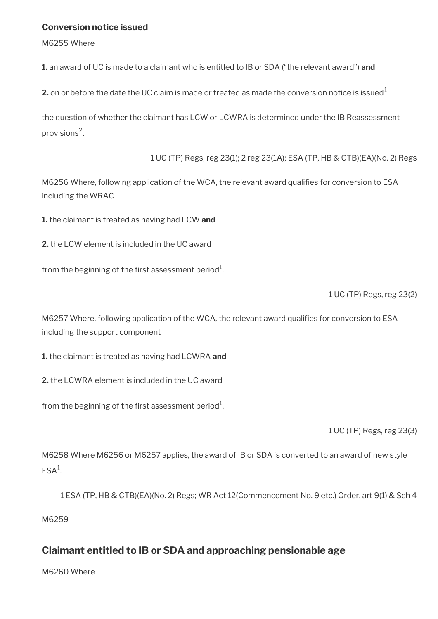### **Conversion notice issued**

M6255 Where

**1.** an award of UC is made to a claimant who is entitled to IB or SDA ("the relevant award") **and**

**2.** on or before the date the UC claim is made or treated as made the conversion notice is issued<sup>1</sup>

the question of whether the claimant has LCW or LCWRA is determined under the IB Reassessment provisions<sup>2</sup>.

1 UC (TP) Regs, reg 23(1); 2 reg 23(1A); ESA (TP, HB & CTB)(EA)(No. 2) Regs

M6256 Where, following application of the WCA, the relevant award qualifies for conversion to ESA including the WRAC

**1.** the claimant is treated as having had LCW **and**

**2.** the LCW element is included in the UC award

from the beginning of the first assessment period $^{\rm 1}$ .

1 UC (TP) Regs, reg 23(2)

M6257 Where, following application of the WCA, the relevant award qualifes for conversion to ESA including the support component

**1.** the claimant is treated as having had LCWRA **and**

**2.** the LCWRA element is included in the UC award

from the beginning of the first assessment period $^{\rm 1}$ .

1 UC (TP) Regs, reg 23(3)

M6258 Where M6256 or M6257 applies, the award of IB or SDA is converted to an award of new style  $ESA<sup>1</sup>$ .

1 ESA (TP, HB & CTB)(EA)(No. 2) Regs; WR Act 12(Commencement No. 9 etc.) Order, art 9(1) & Sch 4

M6259

## <span id="page-50-0"></span>**Claimant entitled to IB or SDA and approaching pensionable age**

M6260 Where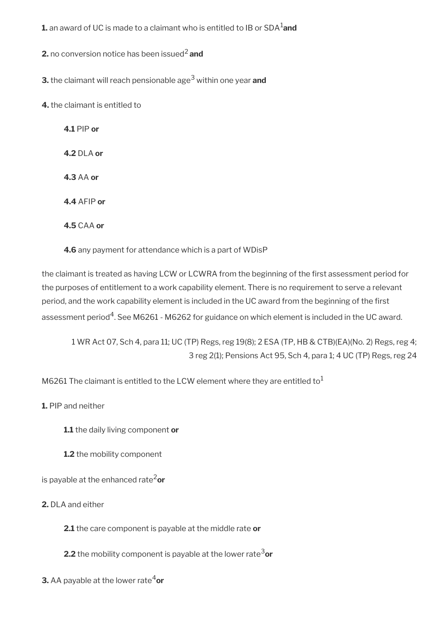**1.** an award of UC is made to a claimant who is entitled to IB or SDA<sup>1</sup>and

**2.** no conversion notice has been issued<sup>2</sup> and

**3.** the claimant will reach pensionable age<sup>3</sup> within one year **and** 

**4.** the claimant is entitled to

**4.1** PIP **or 4.2** DLA **or 4.3** AA **or 4.4** AFIP **or 4.5** CAA **or**

**4.6** any payment for attendance which is a part of WDisP

the claimant is treated as having LCW or LCWRA from the beginning of the frst assessment period for the purposes of entitlement to a work capability element. There is no requirement to serve a relevant period, and the work capability element is included in the UC award from the beginning of the first assessment period $^4$ . See M6261 - M6262 for guidance on which element is included in the UC award.

1 WR Act 07, Sch 4, para 11; UC (TP) Regs, reg 19(8); 2 ESA (TP, HB & CTB)(EA)(No. 2) Regs, reg 4; 3 reg 2(1); Pensions Act 95, Sch 4, para 1; 4 UC (TP) Regs, reg 24

M6261 The claimant is entitled to the LCW element where they are entitled to<sup>1</sup>

**1.** PIP and neither

**1.1** the daily living component **or**

**1.2** the mobility component

is payable at the enhanced rate2**or**

**2.** DLA and either

**2.1** the care component is payable at the middle rate **or**

**2.2** the mobility component is payable at the lower rate<sup>3</sup>or

**3.** AA payable at the lower rate<sup>4</sup>or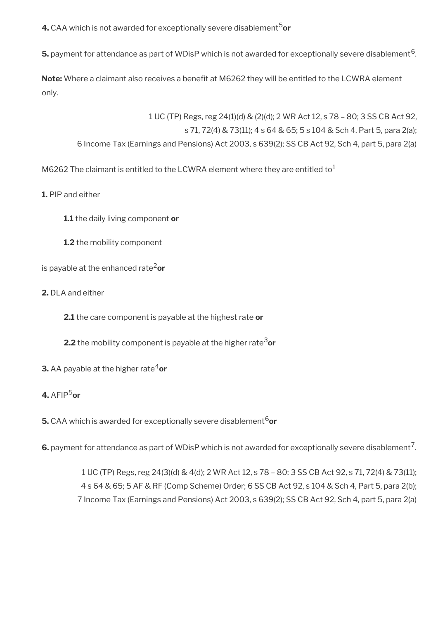**4.** CAA which is not awarded for exceptionally severe disablement<sup>5</sup>or

 ${\sf s.}$  payment for attendance as part of WDisP which is not awarded for exceptionally severe disablement<sup>6</sup>.

**Note:** Where a claimant also receives a benefit at M6262 they will be entitled to the LCWRA element only.

1 UC (TP) Regs, reg 24(1)(d) & (2)(d); 2 WR Act 12, s 78 – 80; 3 SS CB Act 92, s 71, 72(4) & 73(11); 4 s 64 & 65; 5 s 104 & Sch 4, Part 5, para 2(a); 6 Income Tax (Earnings and Pensions) Act 2003, s 639(2); SS CB Act 92, Sch 4, part 5, para 2(a)

M6262 The claimant is entitled to the LCWRA element where they are entitled to<sup>1</sup>

**1.** PIP and either

**1.1** the daily living component **or**

**1.2** the mobility component

is payable at the enhanced rate2**or**

**2.** DLA and either

**2.1** the care component is payable at the highest rate **or**

- **2.2** the mobility component is payable at the higher rate<sup>3</sup>or
- **3.** AA payable at the higher rate<sup>4</sup>or

## **4.** AFIP5**or**

**5.** CAA which is awarded for exceptionally severe disablement<sup>6</sup>or

**6.** payment for attendance as part of WDisP which is not awarded for exceptionally severe disablement<sup>7</sup>.

1 UC (TP) Regs, reg 24(3)(d) & 4(d); 2 WR Act 12, s 78 – 80; 3 SS CB Act 92, s 71, 72(4) & 73(11); 4 s 64 & 65; 5 AF & RF (Comp Scheme) Order; 6 SS CB Act 92, s 104 & Sch 4, Part 5, para 2(b); 7 Income Tax (Earnings and Pensions) Act 2003, s 639(2); SS CB Act 92, Sch 4, part 5, para 2(a)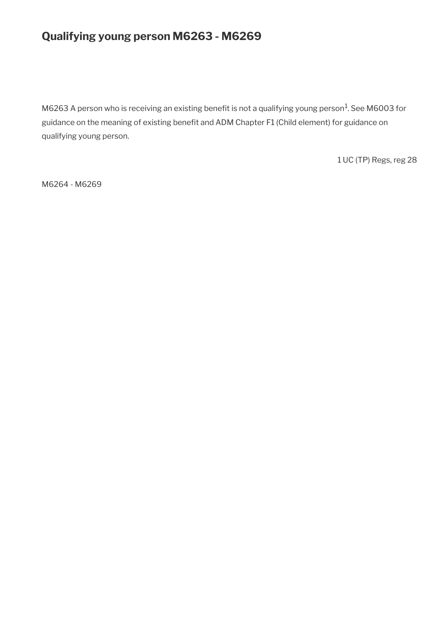# **Qualifying young person M6263 - M6269**

M6263 A person who is receiving an existing benefit is not a qualifying young person $^1$ . See M6003 for guidance on the meaning of existing benefit and ADM Chapter F1 (Child element) for guidance on qualifying young person.

1 UC (TP) Regs, reg 28

M6264 - M6269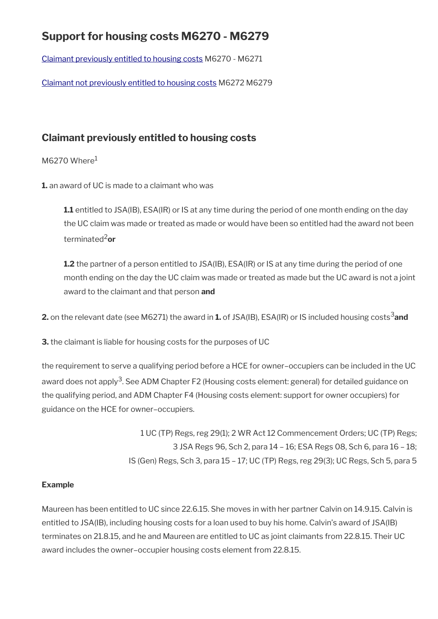# **Support for housing costs M6270 - M6279**

[Claimant previously entitled to housing costs](#page-54-0) M6270 - M6271

[Claimant not previously entitled to housing costs](#page-55-0) M6272 M6279

## <span id="page-54-0"></span>**Claimant previously entitled to housing costs**

 $M6270$  Where $1$ 

**1.** an award of UC is made to a claimant who was

**1.1** entitled to JSA(IB), ESA(IR) or IS at any time during the period of one month ending on the day the UC claim was made or treated as made or would have been so entitled had the award not been terminated2**or**

**1.2** the partner of a person entitled to JSA(IB), ESA(IR) or IS at any time during the period of one month ending on the day the UC claim was made or treated as made but the UC award is not a joint award to the claimant and that person **and**

**2.** on the relevant date (see M6271) the award in **1.** of JSA(IB), ESA(IR) or IS included housing costs<sup>3</sup> and

**3.** the claimant is liable for housing costs for the purposes of UC

the requirement to serve a qualifying period before a HCE for owner–occupiers can be included in the UC award does not apply<sup>3</sup>. See ADM Chapter F2 (Housing costs element: general) for detailed guidance on the qualifying period, and ADM Chapter F4 (Housing costs element: support for owner occupiers) for guidance on the HCE for owner–occupiers.

> 1 UC (TP) Regs, reg 29(1); 2 WR Act 12 Commencement Orders; UC (TP) Regs; 3 JSA Regs 96, Sch 2, para 14 – 16; ESA Regs 08, Sch 6, para 16 – 18; IS (Gen) Regs, Sch 3, para 15 – 17; UC (TP) Regs, reg 29(3); UC Regs, Sch 5, para 5

## **Example**

Maureen has been entitled to UC since 22.6.15. She moves in with her partner Calvin on 14.9.15. Calvin is entitled to JSA(IB), including housing costs for a loan used to buy his home. Calvin's award of JSA(IB) terminates on 21.8.15, and he and Maureen are entitled to UC as joint claimants from 22.8.15. Their UC award includes the owner–occupier housing costs element from 22.8.15.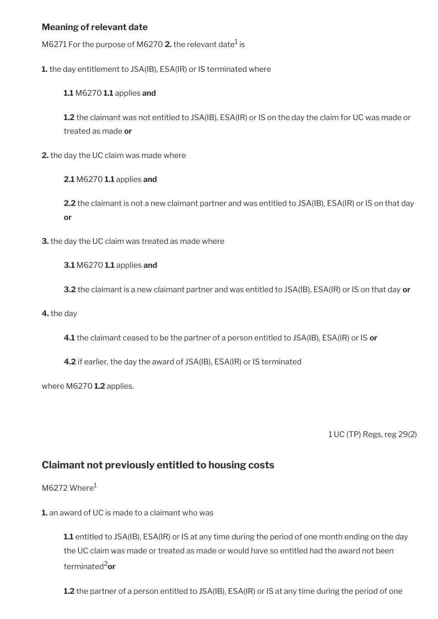## **Meaning of relevant date**

M6271 For the purpose of M6270  $\boldsymbol{2}.$  the relevant date $^1$  is

**1.** the day entitlement to JSA(IB), ESA(IR) or IS terminated where

#### **1.1** M6270 **1.1** applies **and**

**1.2** the claimant was not entitled to JSA(IB), ESA(IR) or IS on the day the claim for UC was made or treated as made **or**

**2.** the day the UC claim was made where

**2.1** M6270 **1.1** applies **and**

**2.2** the claimant is not a new claimant partner and was entitled to JSA(IB), ESA(IR) or IS on that day **or**

**3.** the day the UC claim was treated as made where

#### **3.1** M6270 **1.1** applies **and**

**3.2** the claimant is a new claimant partner and was entitled to JSA(IB), ESA(IR) or IS on that day **or**

**4.** the day

**4.1** the claimant ceased to be the partner of a person entitled to JSA(IB), ESA(IR) or IS **or**

**4.2** if earlier, the day the award of JSA(IB), ESA(IR) or IS terminated

where M6270 **1.2** applies.

1 UC (TP) Regs, reg 29(2)

## <span id="page-55-0"></span>**Claimant not previously entitled to housing costs**

 $M6272$  Where<sup>1</sup>

**1.** an award of UC is made to a claimant who was

**1.1** entitled to JSA(IB), ESA(IR) or IS at any time during the period of one month ending on the day the UC claim was made or treated as made or would have so entitled had the award not been terminated2**or**

**1.2** the partner of a person entitled to JSA(IB), ESA(IR) or IS at any time during the period of one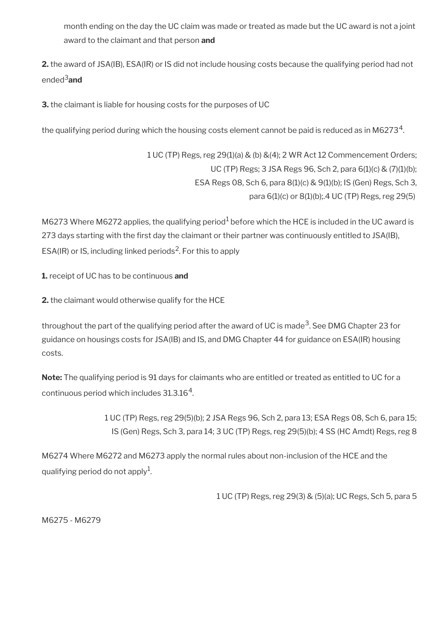month ending on the day the UC claim was made or treated as made but the UC award is not a joint award to the claimant and that person **and**

**2.** the award of JSA(IB), ESA(IR) or IS did not include housing costs because the qualifying period had not ended3**and**

**3.** the claimant is liable for housing costs for the purposes of UC

the qualifying period during which the housing costs element cannot be paid is reduced as in M6273 $^{\rm 4}$ .

1 UC (TP) Regs, reg 29(1)(a) & (b) &(4); 2 WR Act 12 Commencement Orders; UC (TP) Regs; 3 JSA Regs 96, Sch 2, para 6(1)(c) & (7)(1)(b); ESA Regs 08, Sch 6, para 8(1)(c) & 9(1)(b); IS (Gen) Regs, Sch 3, para 6(1)(c) or 8(1)(b);.4 UC (TP) Regs, reg 29(5)

M6273 Where M6272 applies, the qualifying period<sup>1</sup> before which the HCE is included in the UC award is 273 days starting with the first day the claimant or their partner was continuously entitled to JSA(IB), ESA(IR) or IS, including linked periods<sup>2</sup>. For this to apply

**1.** receipt of UC has to be continuous **and**

**2.** the claimant would otherwise qualify for the HCE

throughout the part of the qualifying period after the award of UC is made $^3$ . See DMG Chapter 23 for guidance on housings costs for JSA(IB) and IS, and DMG Chapter 44 for guidance on ESA(IR) housing costs.

**Note:** The qualifying period is 91 days for claimants who are entitled or treated as entitled to UC for a continuous period which includes 31.3.16 $^4$ .

> 1 UC (TP) Regs, reg 29(5)(b); 2 JSA Regs 96, Sch 2, para 13; ESA Regs 08, Sch 6, para 15; IS (Gen) Regs, Sch 3, para 14; 3 UC (TP) Regs, reg 29(5)(b); 4 SS (HC Amdt) Regs, reg 8

M6274 Where M6272 and M6273 apply the normal rules about non-inclusion of the HCE and the qualifying period do not apply $^{\rm 1}$ .

1 UC (TP) Regs, reg 29(3) & (5)(a); UC Regs, Sch 5, para 5

M6275 - M6279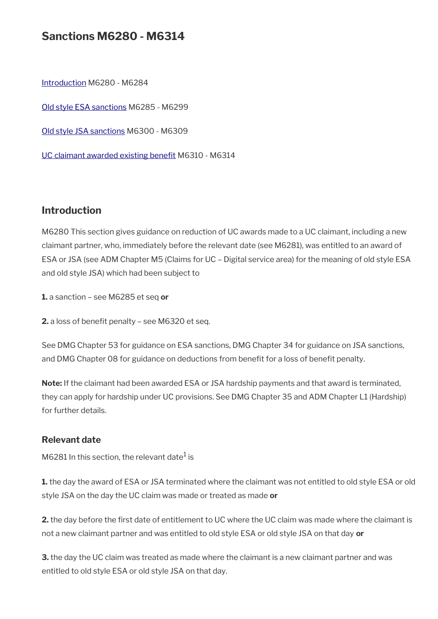## **Sanctions M6280 - M6314**

[Introduction](#page-23-0) M6280 - M6284 [Old style ESA sanctions](#page-58-0) M6285 - M6299 [Old style JSA sanctions](#page-61-0) M6300 - M6309 UC claimant awarded existing benefit M6310 - M6314

## **Introduction**

M6280 This section gives guidance on reduction of UC awards made to a UC claimant, including a new claimant partner, who, immediately before the relevant date (see M6281), was entitled to an award of ESA or JSA (see ADM Chapter M5 (Claims for UC – Digital service area) for the meaning of old style ESA and old style JSA) which had been subject to

**1.** a sanction – see M6285 et seq **or**

**2.** a loss of benefit penalty – see M6320 et seq.

See DMG Chapter 53 for guidance on ESA sanctions, DMG Chapter 34 for guidance on JSA sanctions, and DMG Chapter 08 for guidance on deductions from benefit for a loss of benefit penalty.

**Note:** If the claimant had been awarded ESA or JSA hardship payments and that award is terminated, they can apply for hardship under UC provisions. See DMG Chapter 35 and ADM Chapter L1 (Hardship) for further details.

#### **Relevant date**

M6281 In this section, the relevant date $^1$  is

**1.** the day the award of ESA or JSA terminated where the claimant was not entitled to old style ESA or old style JSA on the day the UC claim was made or treated as made **or**

2. the day before the first date of entitlement to UC where the UC claim was made where the claimant is not a new claimant partner and was entitled to old style ESA or old style JSA on that day **or**

**3.** the day the UC claim was treated as made where the claimant is a new claimant partner and was entitled to old style ESA or old style JSA on that day.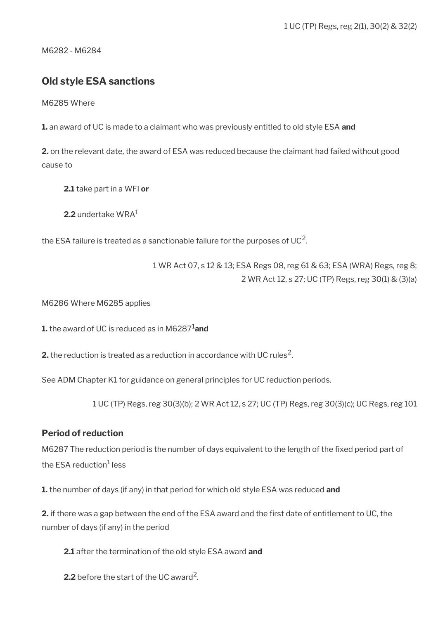M6282 - M6284

## <span id="page-58-0"></span>**Old style ESA sanctions**

M6285 Where

**1.** an award of UC is made to a claimant who was previously entitled to old style ESA **and**

**2.** on the relevant date, the award of ESA was reduced because the claimant had failed without good cause to

**2.1** take part in a WFI **or**

**2.2** undertake WRA<sup>1</sup>

the ESA failure is treated as a sanctionable failure for the purposes of UC<sup>2</sup>.

1 WR Act 07, s 12 & 13; ESA Regs 08, reg 61 & 63; ESA (WRA) Regs, reg 8; 2 WR Act 12, s 27; UC (TP) Regs, reg 30(1) & (3)(a)

M6286 Where M6285 applies

**1.** the award of UC is reduced as in M6287<sup>1</sup>and

**2.** the reduction is treated as a reduction in accordance with UC rules $^2$ .

See ADM Chapter K1 for guidance on general principles for UC reduction periods.

1 UC (TP) Regs, reg 30(3)(b); 2 WR Act 12, s 27; UC (TP) Regs, reg 30(3)(c); UC Regs, reg 101

#### **Period of reduction**

M6287 The reduction period is the number of days equivalent to the length of the fixed period part of the ESA reduction<sup>1</sup> less

**1.** the number of days (if any) in that period for which old style ESA was reduced **and**

**2.** if there was a gap between the end of the ESA award and the frst date of entitlement to UC, the number of days (if any) in the period

**2.1** after the termination of the old style ESA award **and**

**2.2** before the start of the UC award<sup>2</sup>.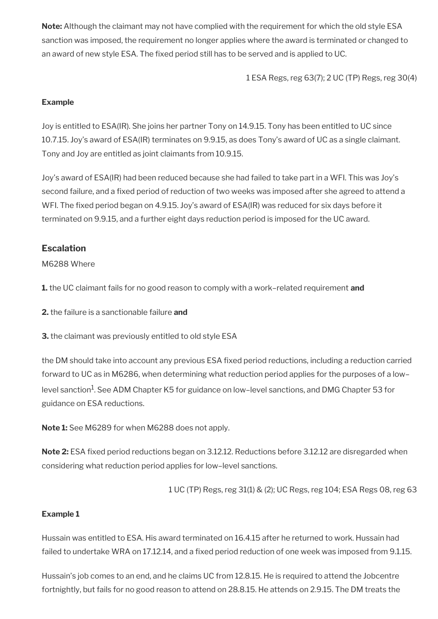**Note:** Although the claimant may not have complied with the requirement for which the old style ESA sanction was imposed, the requirement no longer applies where the award is terminated or changed to an award of new style ESA. The fixed period still has to be served and is applied to UC.

1 ESA Regs, reg 63(7); 2 UC (TP) Regs, reg 30(4)

#### **Example**

Joy is entitled to ESA(IR). She joins her partner Tony on 14.9.15. Tony has been entitled to UC since 10.7.15. Joy's award of ESA(IR) terminates on 9.9.15, as does Tony's award of UC as a single claimant. Tony and Joy are entitled as joint claimants from 10.9.15.

Joy's award of ESA(IR) had been reduced because she had failed to take part in a WFI. This was Joy's second failure, and a fixed period of reduction of two weeks was imposed after she agreed to attend a WFI. The fixed period began on 4.9.15. Joy's award of ESA(IR) was reduced for six days before it terminated on 9.9.15, and a further eight days reduction period is imposed for the UC award.

## **Escalation**

### M6288 Where

**1.** the UC claimant fails for no good reason to comply with a work–related requirement **and**

**2.** the failure is a sanctionable failure **and**

**3.** the claimant was previously entitled to old style ESA

the DM should take into account any previous ESA fxed period reductions, including a reduction carried forward to UC as in M6286, when determining what reduction period applies for the purposes of a low– level sanction<sup>1</sup>. See ADM Chapter K5 for guidance on low–level sanctions, and DMG Chapter 53 for guidance on ESA reductions.

**Note 1:** See M6289 for when M6288 does not apply.

**Note 2:** ESA fixed period reductions began on 3.12.12. Reductions before 3.12.12 are disregarded when considering what reduction period applies for low–level sanctions.

1 UC (TP) Regs, reg 31(1) & (2); UC Regs, reg 104; ESA Regs 08, reg 63

## **Example 1**

Hussain was entitled to ESA. His award terminated on 16.4.15 after he returned to work. Hussain had failed to undertake WRA on 17.12.14, and a fixed period reduction of one week was imposed from 9.1.15.

Hussain's job comes to an end, and he claims UC from 12.8.15. He is required to attend the Jobcentre fortnightly, but fails for no good reason to attend on 28.8.15. He attends on 2.9.15. The DM treats the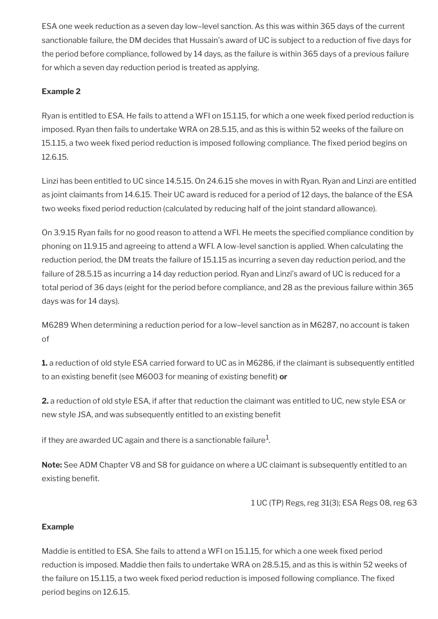ESA one week reduction as a seven day low–level sanction. As this was within 365 days of the current sanctionable failure, the DM decides that Hussain's award of UC is subject to a reduction of fve days for the period before compliance, followed by 14 days, as the failure is within 365 days of a previous failure for which a seven day reduction period is treated as applying.

## **Example 2**

Ryan is entitled to ESA. He fails to attend a WFI on 15.1.15, for which a one week fxed period reduction is imposed. Ryan then fails to undertake WRA on 28.5.15, and as this is within 52 weeks of the failure on 15.1.15, a two week fixed period reduction is imposed following compliance. The fixed period begins on 12.6.15.

Linzi has been entitled to UC since 14.5.15. On 24.6.15 she moves in with Ryan. Ryan and Linzi are entitled as joint claimants from 14.6.15. Their UC award is reduced for a period of 12 days, the balance of the ESA two weeks fixed period reduction (calculated by reducing half of the joint standard allowance).

On 3.9.15 Ryan fails for no good reason to attend a WFI. He meets the specifed compliance condition by phoning on 11.9.15 and agreeing to attend a WFI. A low-level sanction is applied. When calculating the reduction period, the DM treats the failure of 15.1.15 as incurring a seven day reduction period, and the failure of 28.5.15 as incurring a 14 day reduction period. Ryan and Linzi's award of UC is reduced for a total period of 36 days (eight for the period before compliance, and 28 as the previous failure within 365 days was for 14 days).

M6289 When determining a reduction period for a low–level sanction as in M6287, no account is taken of

**1.** a reduction of old style ESA carried forward to UC as in M6286, if the claimant is subsequently entitled to an existing beneft (see M6003 for meaning of existing beneft) **or**

**2.** a reduction of old style ESA, if after that reduction the claimant was entitled to UC, new style ESA or new style JSA, and was subsequently entitled to an existing benefit

if they are awarded UC again and there is a sanctionable failure $^1\!\!$ 

**Note:** See ADM Chapter V8 and S8 for guidance on where a UC claimant is subsequently entitled to an existing benefit.

1 UC (TP) Regs, reg 31(3); ESA Regs 08, reg 63

#### **Example**

Maddie is entitled to ESA. She fails to attend a WFI on 15.1.15, for which a one week fxed period reduction is imposed. Maddie then fails to undertake WRA on 28.5.15, and as this is within 52 weeks of the failure on 15.1.15, a two week fixed period reduction is imposed following compliance. The fixed period begins on 12.6.15.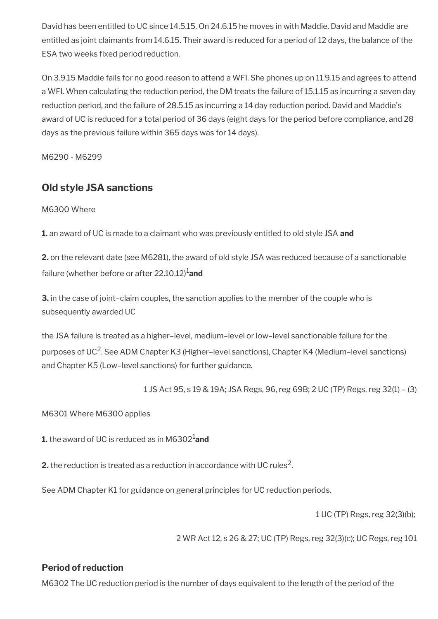David has been entitled to UC since 14.5.15. On 24.6.15 he moves in with Maddie. David and Maddie are entitled as joint claimants from 14.6.15. Their award is reduced for a period of 12 days, the balance of the ESA two weeks fixed period reduction.

On 3.9.15 Maddie fails for no good reason to attend a WFI. She phones up on 11.9.15 and agrees to attend a WFI. When calculating the reduction period, the DM treats the failure of 15.1.15 as incurring a seven day reduction period, and the failure of 28.5.15 as incurring a 14 day reduction period. David and Maddie's award of UC is reduced for a total period of 36 days (eight days for the period before compliance, and 28 days as the previous failure within 365 days was for 14 days).

M6290 - M6299

## <span id="page-61-0"></span>**Old style JSA sanctions**

M6300 Where

**1.** an award of UC is made to a claimant who was previously entitled to old style JSA **and**

**2.** on the relevant date (see M6281), the award of old style JSA was reduced because of a sanctionable failure (whether before or after 22.10.12)<sup>1</sup> and

**3.** in the case of joint–claim couples, the sanction applies to the member of the couple who is subsequently awarded UC

the JSA failure is treated as a higher–level, medium–level or low–level sanctionable failure for the purposes of UC<sup>2</sup>. See ADM Chapter K3 (Higher–level sanctions), Chapter K4 (Medium–level sanctions) and Chapter K5 (Low–level sanctions) for further guidance.

1 JS Act 95, s 19 & 19A; JSA Regs, 96, reg 69B; 2 UC (TP) Regs, reg 32(1) – (3)

M6301 Where M6300 applies

**1.** the award of UC is reduced as in M6302<sup>1</sup>and

**2.** the reduction is treated as a reduction in accordance with UC rules<sup>2</sup>.

See ADM Chapter K1 for guidance on general principles for UC reduction periods.

1 UC (TP) Regs, reg 32(3)(b);

2 WR Act 12, s 26 & 27; UC (TP) Regs, reg 32(3)(c); UC Regs, reg 101

## **Period of reduction**

M6302 The UC reduction period is the number of days equivalent to the length of the period of the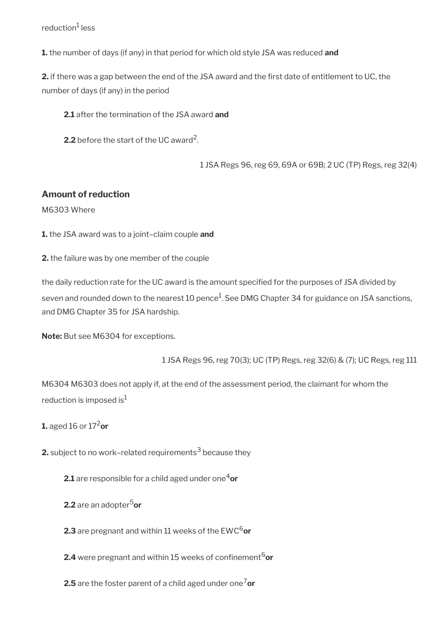#### reduction<sup>1</sup> less

**1.** the number of days (if any) in that period for which old style JSA was reduced **and**

**2.** if there was a gap between the end of the JSA award and the frst date of entitlement to UC, the number of days (if any) in the period

**2.1** after the termination of the JSA award **and**

**2.2** before the start of the UC award<sup>2</sup>.

1 JSA Regs 96, reg 69, 69A or 69B; 2 UC (TP) Regs, reg 32(4)

#### **Amount of reduction**

M6303 Where

**1.** the JSA award was to a joint–claim couple **and**

**2.** the failure was by one member of the couple

the daily reduction rate for the UC award is the amount specifed for the purposes of JSA divided by seven and rounded down to the nearest 10 pence $^1$ . See DMG Chapter 34 for guidance on JSA sanctions, and DMG Chapter 35 for JSA hardship.

**Note:** But see M6304 for exceptions.

1 JSA Regs 96, reg 70(3); UC (TP) Regs, reg 32(6) & (7); UC Regs, reg 111

M6304 M6303 does not apply if, at the end of the assessment period, the claimant for whom the reduction is imposed is $<sup>1</sup>$ </sup>

**1.** aged 16 or 17<sup>2</sup> or

**2.** subject to no work–related requirements $^3$  because they

**2.1** are responsible for a child aged under one<sup>4</sup>or

- **2.2** are an adopter<sup>5</sup>or
- **2.3** are pregnant and within 11 weeks of the EWC<sup>6</sup>or
- **2.4** were pregnant and within 15 weeks of confinement<sup>6</sup>or

**2.5** are the foster parent of a child aged under one<sup>7</sup>or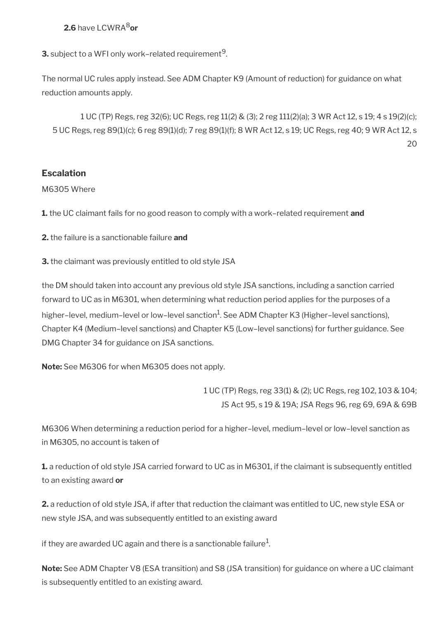## **2.6** have LCWRA8**or**

**3.** subject to a WFI only work–related requirement $^9$ .

The normal UC rules apply instead. See ADM Chapter K9 (Amount of reduction) for guidance on what reduction amounts apply.

1 UC (TP) Regs, reg 32(6); UC Regs, reg 11(2) & (3); 2 reg 111(2)(a); 3 WR Act 12, s 19; 4 s 19(2)(c); 5 UC Regs, reg 89(1)(c); 6 reg 89(1)(d); 7 reg 89(1)(f); 8 WR Act 12, s 19; UC Regs, reg 40; 9 WR Act 12, s 20

## **Escalation**

#### M6305 Where

**1.** the UC claimant fails for no good reason to comply with a work–related requirement **and**

**2.** the failure is a sanctionable failure **and**

**3.** the claimant was previously entitled to old style JSA

the DM should taken into account any previous old style JSA sanctions, including a sanction carried forward to UC as in M6301, when determining what reduction period applies for the purposes of a higher–level, medium–level or low–level sanction $^1$ . See ADM Chapter K3 (Higher–level sanctions), Chapter K4 (Medium–level sanctions) and Chapter K5 (Low–level sanctions) for further guidance. See DMG Chapter 34 for guidance on JSA sanctions.

**Note:** See M6306 for when M6305 does not apply.

1 UC (TP) Regs, reg 33(1) & (2); UC Regs, reg 102, 103 & 104; JS Act 95, s 19 & 19A; JSA Regs 96, reg 69, 69A & 69B

M6306 When determining a reduction period for a higher–level, medium–level or low–level sanction as in M6305, no account is taken of

**1.** a reduction of old style JSA carried forward to UC as in M6301, if the claimant is subsequently entitled to an existing award **or**

**2.** a reduction of old style JSA, if after that reduction the claimant was entitled to UC, new style ESA or new style JSA, and was subsequently entitled to an existing award

if they are awarded UC again and there is a sanctionable failure $^1\!\!$ 

**Note:** See ADM Chapter V8 (ESA transition) and S8 (JSA transition) for guidance on where a UC claimant is subsequently entitled to an existing award.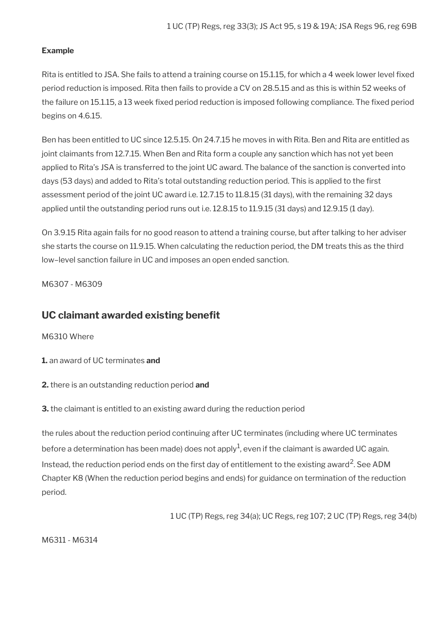#### **Example**

Rita is entitled to JSA. She fails to attend a training course on 15.1.15, for which a 4 week lower level fixed period reduction is imposed. Rita then fails to provide a CV on 28.5.15 and as this is within 52 weeks of the failure on 15.1.15, a 13 week fixed period reduction is imposed following compliance. The fixed period begins on 4.6.15.

Ben has been entitled to UC since 12.5.15. On 24.7.15 he moves in with Rita. Ben and Rita are entitled as joint claimants from 12.7.15. When Ben and Rita form a couple any sanction which has not yet been applied to Rita's JSA is transferred to the joint UC award. The balance of the sanction is converted into days (53 days) and added to Rita's total outstanding reduction period. This is applied to the first assessment period of the joint UC award i.e. 12.7.15 to 11.8.15 (31 days), with the remaining 32 days applied until the outstanding period runs out i.e. 12.8.15 to 11.9.15 (31 days) and 12.9.15 (1 day).

On 3.9.15 Rita again fails for no good reason to attend a training course, but after talking to her adviser she starts the course on 11.9.15. When calculating the reduction period, the DM treats this as the third low–level sanction failure in UC and imposes an open ended sanction.

M6307 - M6309

## <span id="page-64-0"></span>UC claimant awarded existing benefit

M6310 Where

**1.** an award of UC terminates **and**

**2.** there is an outstanding reduction period **and**

**3.** the claimant is entitled to an existing award during the reduction period

the rules about the reduction period continuing after UC terminates (including where UC terminates before a determination has been made) does not apply $^1$ , even if the claimant is awarded UC again. Instead, the reduction period ends on the first day of entitlement to the existing award<sup>2</sup>. See ADM Chapter K8 (When the reduction period begins and ends) for guidance on termination of the reduction period.

1 UC (TP) Regs, reg 34(a); UC Regs, reg 107; 2 UC (TP) Regs, reg 34(b)

M6311 - M6314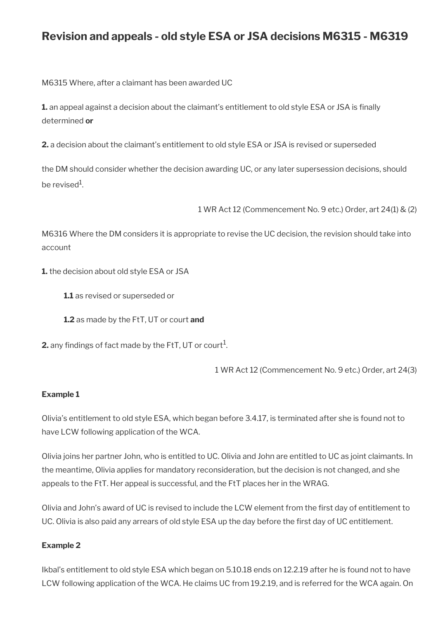# **Revision and appeals - old style ESA or JSA decisions M6315 - M6319**

M6315 Where, after a claimant has been awarded UC

**1.** an appeal against a decision about the claimant's entitlement to old style ESA or JSA is finally determined **or**

**2.** a decision about the claimant's entitlement to old style ESA or JSA is revised or superseded

the DM should consider whether the decision awarding UC, or any later supersession decisions, should be revised $^1$ .

1 WR Act 12 (Commencement No. 9 etc.) Order, art 24(1) & (2)

M6316 Where the DM considers it is appropriate to revise the UC decision, the revision should take into account

**1.** the decision about old style ESA or JSA

**1.1** as revised or superseded or

**1.2** as made by the FtT, UT or court **and**

**2.** any findings of fact made by the FtT, UT or court $^1$ .

1 WR Act 12 (Commencement No. 9 etc.) Order, art 24(3)

#### **Example 1**

Olivia's entitlement to old style ESA, which began before 3.4.17, is terminated after she is found not to have LCW following application of the WCA.

Olivia joins her partner John, who is entitled to UC. Olivia and John are entitled to UC as joint claimants. In the meantime, Olivia applies for mandatory reconsideration, but the decision is not changed, and she appeals to the FtT. Her appeal is successful, and the FtT places her in the WRAG.

Olivia and John's award of UC is revised to include the LCW element from the frst day of entitlement to UC. Olivia is also paid any arrears of old style ESA up the day before the frst day of UC entitlement.

#### **Example 2**

Ikbal's entitlement to old style ESA which began on 5.10.18 ends on 12.2.19 after he is found not to have LCW following application of the WCA. He claims UC from 19.2.19, and is referred for the WCA again. On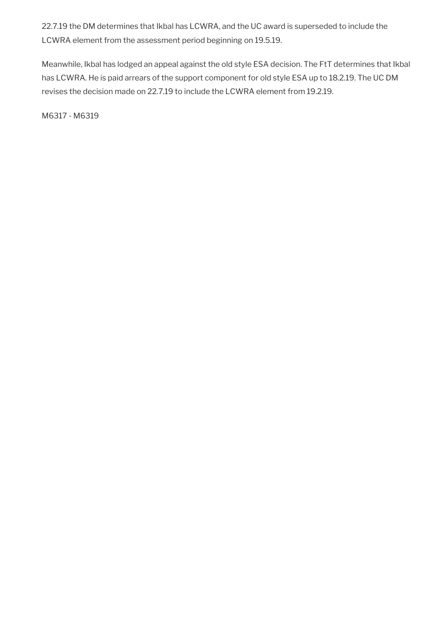22.7.19 the DM determines that Ikbal has LCWRA, and the UC award is superseded to include the LCWRA element from the assessment period beginning on 19.5.19.

Meanwhile, Ikbal has lodged an appeal against the old style ESA decision. The FtT determines that Ikbal has LCWRA. He is paid arrears of the support component for old style ESA up to 18.2.19. The UC DM revises the decision made on 22.7.19 to include the LCWRA element from 19.2.19.

M6317 - M6319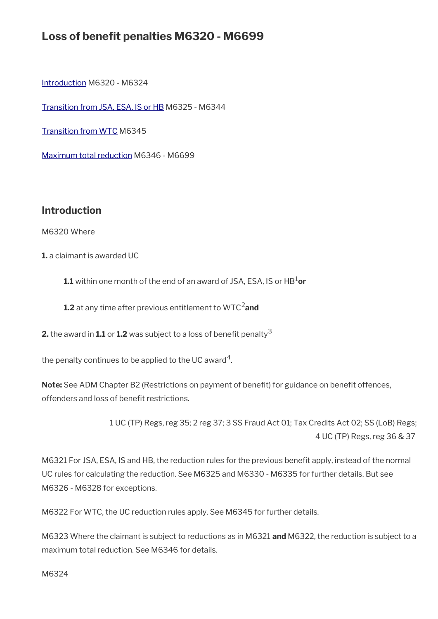# Loss of benefit penalties M6320 - M6699

[Introduction](#page-23-0) M6320 - M6324

[Transition from JSA, ESA, IS or HB](#page-68-0) M6325 - M6344

[Transition from WTC](#page-73-0) M6345

[Maximum total reduction](#page-74-0) M6346 - M6699

## **Introduction**

M6320 Where

**1.** a claimant is awarded UC

**1.1** within one month of the end of an award of JSA, ESA, IS or HB<sup>1</sup>or

**1.2** at any time after previous entitlement to WTC<sup>2</sup> and

**2.** the award in **1.1** or **1.2** was subject to a loss of benefit penalty<sup>3</sup>

the penalty continues to be applied to the UC award $^{\mathsf{4}}$ .

Note: See ADM Chapter B2 (Restrictions on payment of benefit) for guidance on benefit offences, offenders and loss of benefit restrictions.

> 1 UC (TP) Regs, reg 35; 2 reg 37; 3 SS Fraud Act 01; Tax Credits Act 02; SS (LoB) Regs; 4 UC (TP) Regs, reg 36 & 37

M6321 For JSA, ESA, IS and HB, the reduction rules for the previous beneft apply, instead of the normal UC rules for calculating the reduction. See M6325 and M6330 - M6335 for further details. But see M6326 - M6328 for exceptions.

M6322 For WTC, the UC reduction rules apply. See M6345 for further details.

M6323 Where the claimant is subject to reductions as in M6321 **and** M6322, the reduction is subject to a maximum total reduction. See M6346 for details.

M6324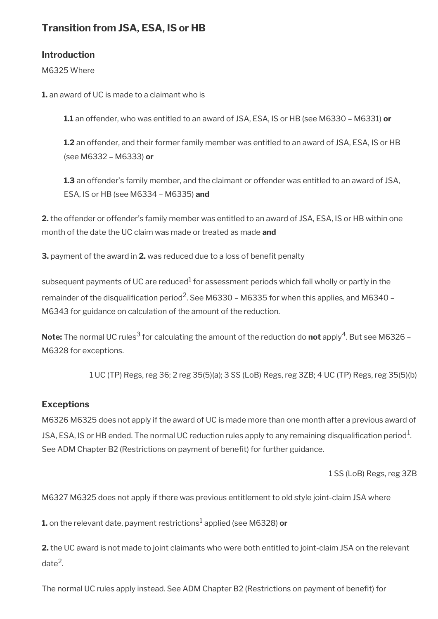## <span id="page-68-0"></span>**Transition from JSA, ESA, IS or HB**

## **Introduction**

M6325 Where

**1.** an award of UC is made to a claimant who is

**1.1** an offender, who was entitled to an award of JSA, ESA, IS or HB (see M6330 – M6331) **or**

**1.2** an offender, and their former family member was entitled to an award of JSA, ESA, IS or HB (see M6332 – M6333) **or**

**1.3** an offender's family member, and the claimant or offender was entitled to an award of JSA, ESA, IS or HB (see M6334 – M6335) **and**

**2.** the offender or offender's family member was entitled to an award of JSA, ESA, IS or HB within one month of the date the UC claim was made or treated as made **and**

**3.** payment of the award in 2. was reduced due to a loss of benefit penalty

subsequent payments of UC are reduced $^1$  for assessment periods which fall wholly or partly in the remainder of the disqualification period<sup>2</sup>. See M6330 – M6335 for when this applies, and M6340 – M6343 for guidance on calculation of the amount of the reduction.

**Note:** The normal UC rules $^3$  for calculating the amount of the reduction do  $\mathsf{not}$  apply $^4$ . But see M6326 – M6328 for exceptions.

1 UC (TP) Regs, reg 36; 2 reg 35(5)(a); 3 SS (LoB) Regs, reg 3ZB; 4 UC (TP) Regs, reg 35(5)(b)

## **Exceptions**

M6326 M6325 does not apply if the award of UC is made more than one month after a previous award of JSA, ESA, IS or HB ended. The normal UC reduction rules apply to any remaining disqualification period<sup>1</sup>. See ADM Chapter B2 (Restrictions on payment of benefit) for further guidance.

1 SS (LoB) Regs, reg 3ZB

M6327 M6325 does not apply if there was previous entitlement to old style joint-claim JSA where

**1.** on the relevant date, payment restrictions<sup>1</sup> applied (see M6328) **or** 

**2.** the UC award is not made to joint claimants who were both entitled to joint-claim JSA on the relevant date<sup>2</sup>.

The normal UC rules apply instead. See ADM Chapter B2 (Restrictions on payment of beneft) for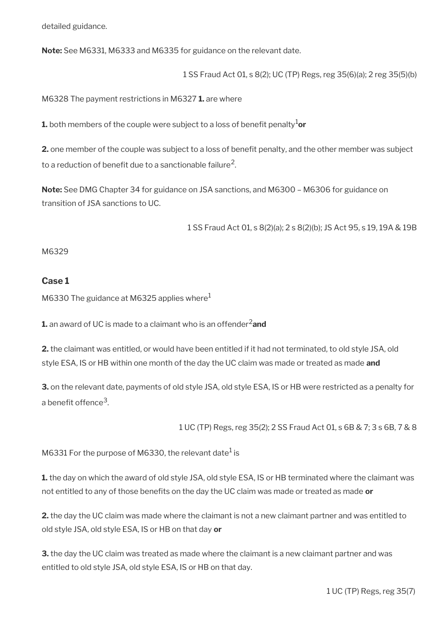detailed guidance.

**Note:** See M6331, M6333 and M6335 for guidance on the relevant date.

1 SS Fraud Act 01, s 8(2); UC (TP) Regs, reg 35(6)(a); 2 reg 35(5)(b)

M6328 The payment restrictions in M6327 **1.** are where

**1.** both members of the couple were subject to a loss of benefit penalty<sup>1</sup>or

**2.** one member of the couple was subject to a loss of benefit penalty, and the other member was subject to a reduction of benefit due to a sanctionable failure $^2\!$ 

**Note:** See DMG Chapter 34 for guidance on JSA sanctions, and M6300 – M6306 for guidance on transition of JSA sanctions to UC.

1 SS Fraud Act 01, s 8(2)(a); 2 s 8(2)(b); JS Act 95, s 19, 19A & 19B

#### M6329

#### **Case 1**

M6330 The guidance at M6325 applies where $<sup>1</sup>$ </sup>

**1.** an award of UC is made to a claimant who is an offender<sup>2</sup>and

**2.** the claimant was entitled, or would have been entitled if it had not terminated, to old style JSA, old style ESA, IS or HB within one month of the day the UC claim was made or treated as made **and**

**3.** on the relevant date, payments of old style JSA, old style ESA, IS or HB were restricted as a penalty for a benefit offence<sup>3</sup>.

1 UC (TP) Regs, reg 35(2); 2 SS Fraud Act 01, s 6B & 7; 3 s 6B, 7 & 8

M6331 For the purpose of M6330, the relevant date $^{\rm 1}$  is

**1.** the day on which the award of old style JSA, old style ESA, IS or HB terminated where the claimant was not entitled to any of those benefts on the day the UC claim was made or treated as made **or**

**2.** the day the UC claim was made where the claimant is not a new claimant partner and was entitled to old style JSA, old style ESA, IS or HB on that day **or**

**3.** the day the UC claim was treated as made where the claimant is a new claimant partner and was entitled to old style JSA, old style ESA, IS or HB on that day.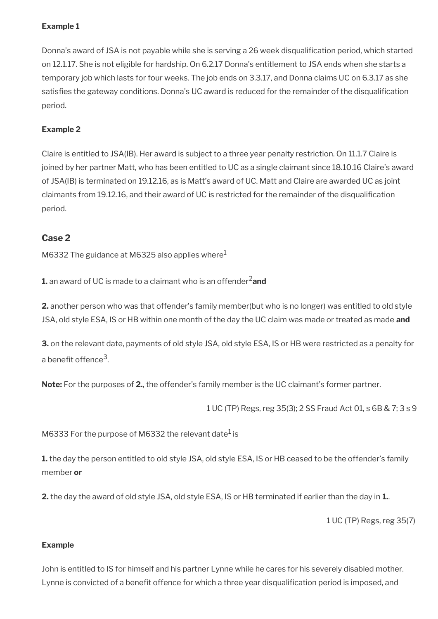### **Example 1**

Donna's award of JSA is not payable while she is serving a 26 week disqualification period, which started on 12.1.17. She is not eligible for hardship. On 6.2.17 Donna's entitlement to JSA ends when she starts a temporary job which lasts for four weeks. The job ends on 3.3.17, and Donna claims UC on 6.3.17 as she satisfies the gateway conditions. Donna's UC award is reduced for the remainder of the disqualification period.

### **Example 2**

Claire is entitled to JSA(IB). Her award is subject to a three year penalty restriction. On 11.1.7 Claire is joined by her partner Matt, who has been entitled to UC as a single claimant since 18.10.16 Claire's award of JSA(IB) is terminated on 19.12.16, as is Matt's award of UC. Matt and Claire are awarded UC as joint claimants from 19.12.16, and their award of UC is restricted for the remainder of the disqualifcation period.

## **Case 2**

M6332 The guidance at M6325 also applies where $<sup>1</sup>$ </sup>

**1.** an award of UC is made to a claimant who is an offender<sup>2</sup>and

**2.** another person who was that offender's family member(but who is no longer) was entitled to old style JSA, old style ESA, IS or HB within one month of the day the UC claim was made or treated as made **and**

**3.** on the relevant date, payments of old style JSA, old style ESA, IS or HB were restricted as a penalty for a benefit offence<sup>3</sup>.

**Note:** For the purposes of **2.**, the offender's family member is the UC claimant's former partner.

1 UC (TP) Regs, reg 35(3); 2 SS Fraud Act 01, s 6B & 7; 3 s 9

M6333 For the purpose of M6332 the relevant date $^{\rm 1}$  is

**1.** the day the person entitled to old style JSA, old style ESA, IS or HB ceased to be the offender's family member **or**

**2.** the day the award of old style JSA, old style ESA, IS or HB terminated if earlier than the day in **1.**.

1 UC (TP) Regs, reg 35(7)

#### **Example**

John is entitled to IS for himself and his partner Lynne while he cares for his severely disabled mother. Lynne is convicted of a benefit offence for which a three year disqualification period is imposed, and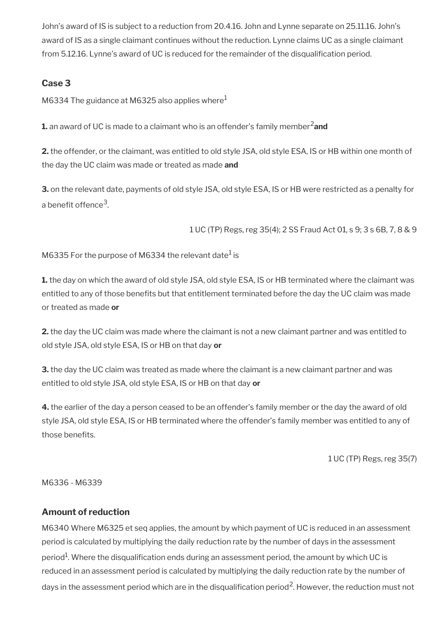John's award of IS is subject to a reduction from 20.4.16. John and Lynne separate on 25.11.16. John's award of IS as a single claimant continues without the reduction. Lynne claims UC as a single claimant from 5.12.16. Lynne's award of UC is reduced for the remainder of the disqualifcation period.

## **Case 3**

M6334 The guidance at M6325 also applies where $<sup>1</sup>$ </sup>

**1.** an award of UC is made to a claimant who is an offender's family member<sup>2</sup> and

**2.** the offender, or the claimant, was entitled to old style JSA, old style ESA, IS or HB within one month of the day the UC claim was made or treated as made **and**

**3.** on the relevant date, payments of old style JSA, old style ESA, IS or HB were restricted as a penalty for a benefit offence<sup>3</sup>.

1 UC (TP) Regs, reg 35(4); 2 SS Fraud Act 01, s 9; 3 s 6B, 7, 8 & 9

M6335 For the purpose of M6334 the relevant date $^{\rm 1}$  is

**1.** the day on which the award of old style JSA, old style ESA, IS or HB terminated where the claimant was entitled to any of those benefts but that entitlement terminated before the day the UC claim was made or treated as made **or**

**2.** the day the UC claim was made where the claimant is not a new claimant partner and was entitled to old style JSA, old style ESA, IS or HB on that day **or**

**3.** the day the UC claim was treated as made where the claimant is a new claimant partner and was entitled to old style JSA, old style ESA, IS or HB on that day **or**

**4.** the earlier of the day a person ceased to be an offender's family member or the day the award of old style JSA, old style ESA, IS or HB terminated where the offender's family member was entitled to any of those benefits.

1 UC (TP) Regs, reg 35(7)

M6336 - M6339

## **Amount of reduction**

M6340 Where M6325 et seq applies, the amount by which payment of UC is reduced in an assessment period is calculated by multiplying the daily reduction rate by the number of days in the assessment period $^{\rm 1}$ . Where the disqualification ends during an assessment period, the amount by which UC is reduced in an assessment period is calculated by multiplying the daily reduction rate by the number of days in the assessment period which are in the disqualification period<sup>2</sup>. However, the reduction must not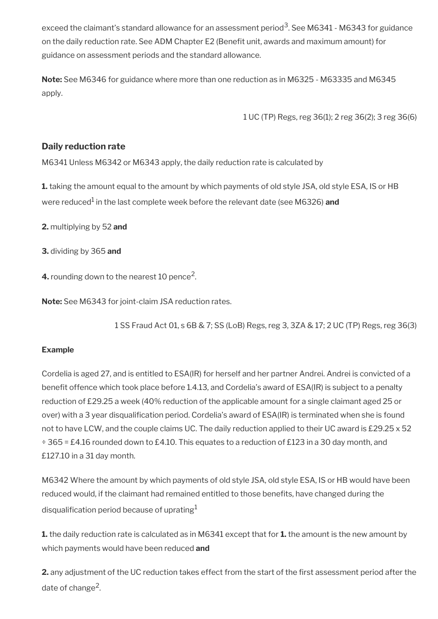exceed the claimant's standard allowance for an assessment period $^3$ . See M6341 - M6343 for guidance on the daily reduction rate. See ADM Chapter E2 (Benefit unit, awards and maximum amount) for guidance on assessment periods and the standard allowance.

**Note:** See M6346 for guidance where more than one reduction as in M6325 - M63335 and M6345 apply.

1 UC (TP) Regs, reg 36(1); 2 reg 36(2); 3 reg 36(6)

### **Daily reduction rate**

M6341 Unless M6342 or M6343 apply, the daily reduction rate is calculated by

**1.** taking the amount equal to the amount by which payments of old style JSA, old style ESA, IS or HB were reduced<sup>1</sup> in the last complete week before the relevant date (see M6326) **and** 

**2.** multiplying by 52 **and**

**3.** dividing by 365 **and**

**4.** rounding down to the nearest 10 pence<sup>2</sup>.

**Note:** See M6343 for joint-claim JSA reduction rates.

1 SS Fraud Act 01, s 6B & 7; SS (LoB) Regs, reg 3, 3ZA & 17; 2 UC (TP) Regs, reg 36(3)

### **Example**

Cordelia is aged 27, and is entitled to ESA(IR) for herself and her partner Andrei. Andrei is convicted of a benefit offence which took place before 1.4.13, and Cordelia's award of ESA(IR) is subject to a penalty reduction of £29.25 a week (40% reduction of the applicable amount for a single claimant aged 25 or over) with a 3 year disqualification period. Cordelia's award of ESA(IR) is terminated when she is found not to have LCW, and the couple claims UC. The daily reduction applied to their UC award is £29.25 x 52 ÷ 365 = £4.16 rounded down to £4.10. This equates to a reduction of £123 in a 30 day month, and £127.10 in a 31 day month.

M6342 Where the amount by which payments of old style JSA, old style ESA, IS or HB would have been reduced would, if the claimant had remained entitled to those benefits, have changed during the disqualification period because of uprating  $1$ 

**1.** the daily reduction rate is calculated as in M6341 except that for **1.** the amount is the new amount by which payments would have been reduced **and**

**2.** any adjustment of the UC reduction takes effect from the start of the first assessment period after the date of change<sup>2</sup>.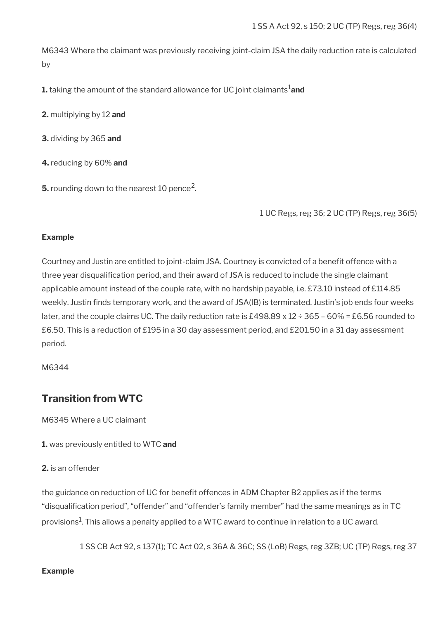M6343 Where the claimant was previously receiving joint-claim JSA the daily reduction rate is calculated by

**1.** taking the amount of the standard allowance for UC joint claimants<sup>1</sup>and

**2.** multiplying by 12 **and**

**3.** dividing by 365 **and**

**4.** reducing by 60% **and**

 $\mathsf{5}.$  rounding down to the nearest 10 pence<sup>2</sup>.

1 UC Regs, reg 36; 2 UC (TP) Regs, reg 36(5)

### **Example**

Courtney and Justin are entitled to joint-claim JSA. Courtney is convicted of a benefit offence with a three year disqualifcation period, and their award of JSA is reduced to include the single claimant applicable amount instead of the couple rate, with no hardship payable, i.e. £73.10 instead of £114.85 weekly. Justin finds temporary work, and the award of JSA(IB) is terminated. Justin's job ends four weeks later, and the couple claims UC. The daily reduction rate is £498.89 x 12  $\div$  365 – 60% = £6.56 rounded to £6.50. This is a reduction of £195 in a 30 day assessment period, and £201.50 in a 31 day assessment period.

M6344

## **Transition from WTC**

M6345 Where a UC claimant

**1.** was previously entitled to WTC **and**

**2.** is an offender

the guidance on reduction of UC for benefit offences in ADM Chapter B2 applies as if the terms "disqualifcation period", "offender" and "offender's family member" had the same meanings as in TC provisions $^1$ . This allows a penalty applied to a WTC award to continue in relation to a UC award.

1 SS CB Act 92, s 137(1); TC Act 02, s 36A & 36C; SS (LoB) Regs, reg 3ZB; UC (TP) Regs, reg 37

### **Example**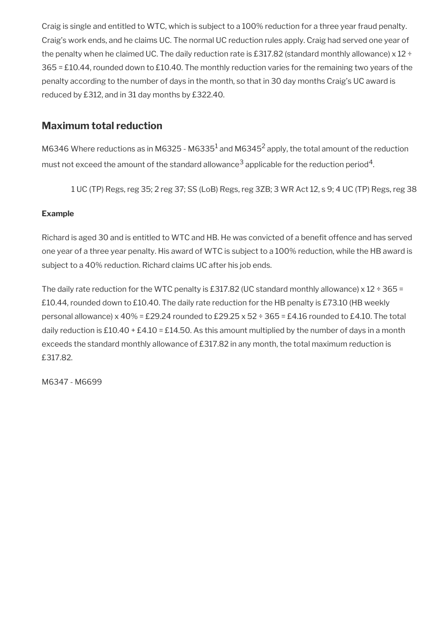Craig is single and entitled to WTC, which is subject to a 100% reduction for a three year fraud penalty. Craig's work ends, and he claims UC. The normal UC reduction rules apply. Craig had served one year of the penalty when he claimed UC. The daily reduction rate is £317.82 (standard monthly allowance) x 12 ÷ 365 = £10.44, rounded down to £10.40. The monthly reduction varies for the remaining two years of the penalty according to the number of days in the month, so that in 30 day months Craig's UC award is reduced by £312, and in 31 day months by £322.40.

## **Maximum total reduction**

M6346 Where reductions as in M6325 - M6335 $^1$  and M6345<sup>2</sup> apply, the total amount of the reduction must not exceed the amount of the standard allowance $^3$  applicable for the reduction period $^4\!$ 

1 UC (TP) Regs, reg 35; 2 reg 37; SS (LoB) Regs, reg 3ZB; 3 WR Act 12, s 9; 4 UC (TP) Regs, reg 38

### **Example**

Richard is aged 30 and is entitled to WTC and HB. He was convicted of a beneft offence and has served one year of a three year penalty. His award of WTC is subject to a 100% reduction, while the HB award is subject to a 40% reduction. Richard claims UC after his job ends.

The daily rate reduction for the WTC penalty is £317.82 (UC standard monthly allowance) x 12 ÷ 365 = £10.44, rounded down to £10.40. The daily rate reduction for the HB penalty is £73.10 (HB weekly personal allowance) x 40% = £29.24 rounded to £29.25 x 52 ÷ 365 = £4.16 rounded to £4.10. The total daily reduction is £10.40 + £4.10 = £14.50. As this amount multiplied by the number of days in a month exceeds the standard monthly allowance of £317.82 in any month, the total maximum reduction is £317.82.

M6347 - M6699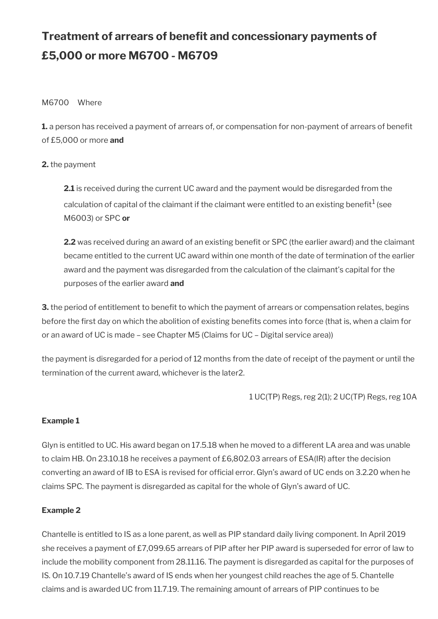# **Treatment of arrears of benefit and concessionary payments of £5,000 or more M6700 - M6709**

### M6700 Where

**1.** a person has received a payment of arrears of, or compensation for non-payment of arrears of benefit of £5,000 or more **and**

### **2.** the payment

**2.1** is received during the current UC award and the payment would be disregarded from the calculation of capital of the claimant if the claimant were entitled to an existing benefit $^1$  (see M6003) or SPC **or**

**2.2** was received during an award of an existing benefit or SPC (the earlier award) and the claimant became entitled to the current UC award within one month of the date of termination of the earlier award and the payment was disregarded from the calculation of the claimant's capital for the purposes of the earlier award **and**

**3.** the period of entitlement to benefit to which the payment of arrears or compensation relates, begins before the frst day on which the abolition of existing benefts comes into force (that is, when a claim for or an award of UC is made – see Chapter M5 (Claims for UC – Digital service area))

the payment is disregarded for a period of 12 months from the date of receipt of the payment or until the termination of the current award, whichever is the later2.

1 UC(TP) Regs, reg 2(1); 2 UC(TP) Regs, reg 10A

### **Example 1**

Glyn is entitled to UC. His award began on 17.5.18 when he moved to a different LA area and was unable to claim HB. On 23.10.18 he receives a payment of £6,802.03 arrears of ESA(IR) after the decision converting an award of IB to ESA is revised for official error. Glyn's award of UC ends on 3.2.20 when he claims SPC. The payment is disregarded as capital for the whole of Glyn's award of UC.

### **Example 2**

Chantelle is entitled to IS as a lone parent, as well as PIP standard daily living component. In April 2019 she receives a payment of £7,099.65 arrears of PIP after her PIP award is superseded for error of law to include the mobility component from 28.11.16. The payment is disregarded as capital for the purposes of IS. On 10.7.19 Chantelle's award of IS ends when her youngest child reaches the age of 5. Chantelle claims and is awarded UC from 11.7.19. The remaining amount of arrears of PIP continues to be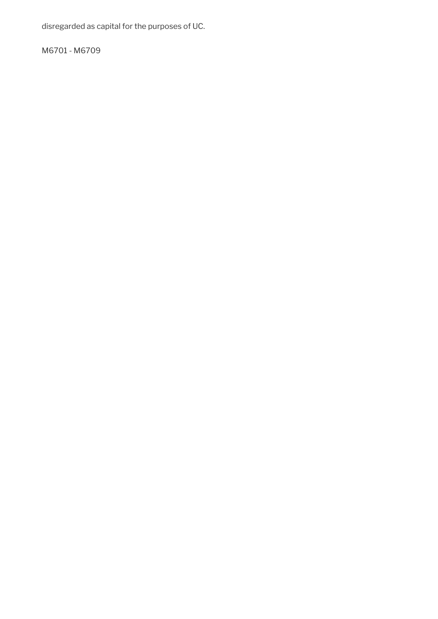disregarded as capital for the purposes of UC.

M6701 - M6709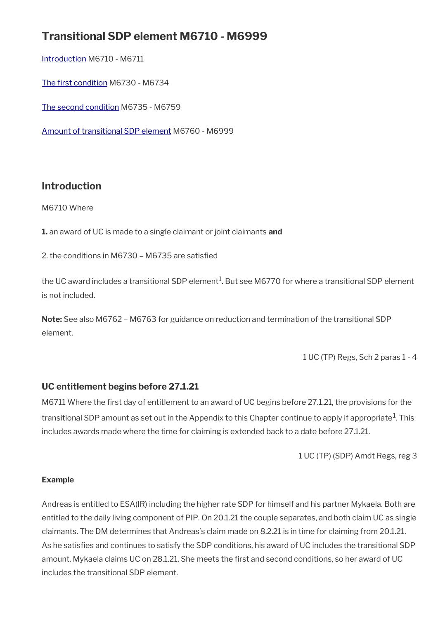## **Transitional SDP element M6710 - M6999**

[Introduction](#page-77-0) M6710 - M6711

The first condition M6730 - M6734

[The second condition](#page-78-0) M6735 - M6759

[Amount of transitional SDP element](#page-79-0) M6760 - M6999

### <span id="page-77-0"></span>**Introduction**

M6710 Where

**1.** an award of UC is made to a single claimant or joint claimants **and**

2. the conditions in M6730 – M6735 are satisfed

the UC award includes a transitional SDP element $^1$ . But see M6770 for where a transitional SDP element is not included.

**Note:** See also M6762 – M6763 for guidance on reduction and termination of the transitional SDP element.

1 UC (TP) Regs, Sch 2 paras 1 - 4

### **UC entitlement begins before 27.1.21**

M6711 Where the first day of entitlement to an award of UC begins before 27.1.21, the provisions for the transitional SDP amount as set out in the Appendix to this Chapter continue to apply if appropriate $^{\rm 1}$ . This includes awards made where the time for claiming is extended back to a date before 27.1.21.

1 UC (TP) (SDP) Amdt Regs, reg 3

### **Example**

Andreas is entitled to ESA(IR) including the higher rate SDP for himself and his partner Mykaela. Both are entitled to the daily living component of PIP. On 20.1.21 the couple separates, and both claim UC as single claimants. The DM determines that Andreas's claim made on 8.2.21 is in time for claiming from 20.1.21. As he satisfes and continues to satisfy the SDP conditions, his award of UC includes the transitional SDP amount. Mykaela claims UC on 28.1.21. She meets the frst and second conditions, so her award of UC includes the transitional SDP element.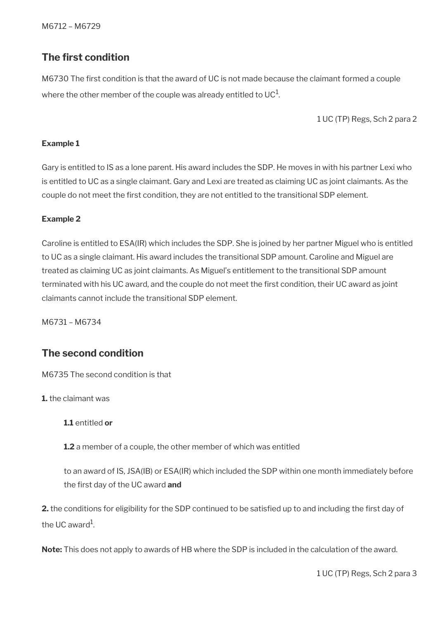## <span id="page-78-1"></span>**The first condition**

M6730 The frst condition is that the award of UC is not made because the claimant formed a couple where the other member of the couple was already entitled to UC $^{\rm 1}$ .

1 UC (TP) Regs, Sch 2 para 2

### **Example 1**

Gary is entitled to IS as a lone parent. His award includes the SDP. He moves in with his partner Lexi who is entitled to UC as a single claimant. Gary and Lexi are treated as claiming UC as joint claimants. As the couple do not meet the first condition, they are not entitled to the transitional SDP element.

### **Example 2**

Caroline is entitled to ESA(IR) which includes the SDP. She is joined by her partner Miguel who is entitled to UC as a single claimant. His award includes the transitional SDP amount. Caroline and Miguel are treated as claiming UC as joint claimants. As Miguel's entitlement to the transitional SDP amount terminated with his UC award, and the couple do not meet the frst condition, their UC award as joint claimants cannot include the transitional SDP element.

M6731 – M6734

## <span id="page-78-0"></span>**The second condition**

M6735 The second condition is that

**1.** the claimant was

**1.1** entitled **or**

**1.2** a member of a couple, the other member of which was entitled

to an award of IS, JSA(IB) or ESA(IR) which included the SDP within one month immediately before the frst day of the UC award **and**

**2.** the conditions for eligibility for the SDP continued to be satisfied up to and including the first day of the UC award $^{\rm 1}$ .

**Note:** This does not apply to awards of HB where the SDP is included in the calculation of the award.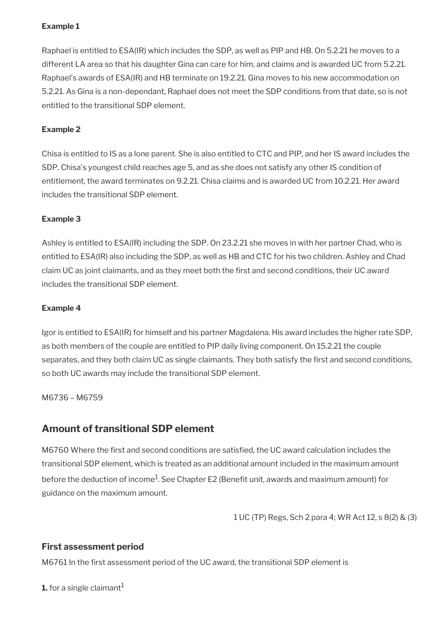### **Example 1**

Raphael is entitled to ESA(IR) which includes the SDP, as well as PIP and HB. On 5.2.21 he moves to a different LA area so that his daughter Gina can care for him, and claims and is awarded UC from 5.2.21. Raphael's awards of ESA(IR) and HB terminate on 19.2.21. Gina moves to his new accommodation on 5.2.21. As Gina is a non-dependant, Raphael does not meet the SDP conditions from that date, so is not entitled to the transitional SDP element.

### **Example 2**

Chisa is entitled to IS as a lone parent. She is also entitled to CTC and PIP, and her IS award includes the SDP. Chisa's youngest child reaches age 5, and as she does not satisfy any other IS condition of entitlement, the award terminates on 9.2.21. Chisa claims and is awarded UC from 10.2.21. Her award includes the transitional SDP element.

### **Example 3**

Ashley is entitled to ESA(IR) including the SDP. On 23.2.21 she moves in with her partner Chad, who is entitled to ESA(IR) also including the SDP, as well as HB and CTC for his two children. Ashley and Chad claim UC as joint claimants, and as they meet both the frst and second conditions, their UC award includes the transitional SDP element.

### **Example 4**

Igor is entitled to ESA(IR) for himself and his partner Magdalena. His award includes the higher rate SDP, as both members of the couple are entitled to PIP daily living component. On 15.2.21 the couple separates, and they both claim UC as single claimants. They both satisfy the first and second conditions, so both UC awards may include the transitional SDP element.

M6736 – M6759

## <span id="page-79-0"></span>**Amount of transitional SDP element**

M6760 Where the frst and second conditions are satisfed, the UC award calculation includes the transitional SDP element, which is treated as an additional amount included in the maximum amount before the deduction of income $^1$ . See Chapter E2 (Benefit unit, awards and maximum amount) for guidance on the maximum amount.

1 UC (TP) Regs, Sch 2 para 4; WR Act 12, s 8(2) & (3)

### **First assessment period**

M6761 In the frst assessment period of the UC award, the transitional SDP element is

**1.** for a single claimant<sup>1</sup>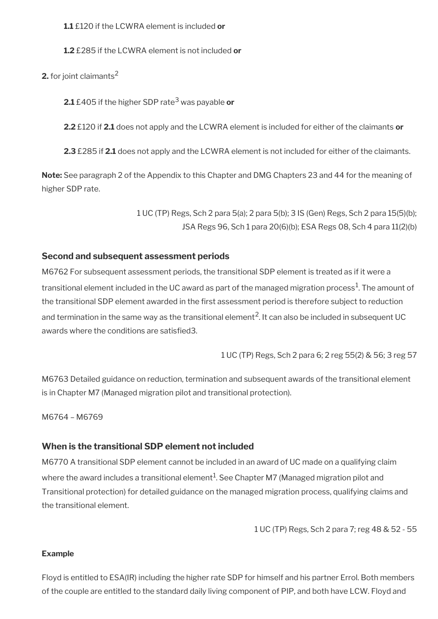**1.1** £120 if the LCWRA element is included **or**

**1.2** £285 if the LCWRA element is not included **or**

**2.** for joint claimants<sup>2</sup>

**2.1** £405 if the higher SDP rate<sup>3</sup> was payable **or**

**2.2** £120 if **2.1** does not apply and the LCWRA element is included for either of the claimants **or**

**2.3** £285 if **2.1** does not apply and the LCWRA element is not included for either of the claimants.

**Note:** See paragraph 2 of the Appendix to this Chapter and DMG Chapters 23 and 44 for the meaning of higher SDP rate.

> 1 UC (TP) Regs, Sch 2 para 5(a); 2 para 5(b); 3 IS (Gen) Regs, Sch 2 para 15(5)(b); JSA Regs 96, Sch 1 para 20(6)(b); ESA Regs 08, Sch 4 para 11(2)(b)

### **Second and subsequent assessment periods**

M6762 For subsequent assessment periods, the transitional SDP element is treated as if it were a transitional element included in the UC award as part of the managed migration process $^{\rm 1}$ . The amount of the transitional SDP element awarded in the first assessment period is therefore subject to reduction and termination in the same way as the transitional element<sup>2</sup>. It can also be included in subsequent UC awards where the conditions are satisfied 3.

1 UC (TP) Regs, Sch 2 para 6; 2 reg 55(2) & 56; 3 reg 57

M6763 Detailed guidance on reduction, termination and subsequent awards of the transitional element is in Chapter M7 (Managed migration pilot and transitional protection).

M6764 – M6769

### **When is the transitional SDP element not included**

M6770 A transitional SDP element cannot be included in an award of UC made on a qualifying claim where the award includes a transitional element $^1$ . See Chapter M7 (Managed migration pilot and Transitional protection) for detailed guidance on the managed migration process, qualifying claims and the transitional element.

1 UC (TP) Regs, Sch 2 para 7; reg 48 & 52 - 55

### **Example**

Floyd is entitled to ESA(IR) including the higher rate SDP for himself and his partner Errol. Both members of the couple are entitled to the standard daily living component of PIP, and both have LCW. Floyd and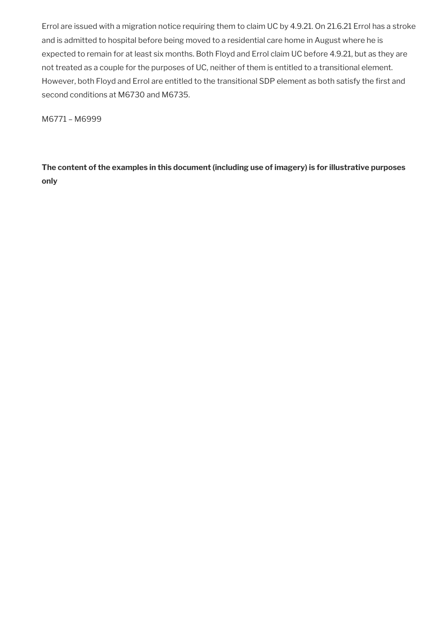Errol are issued with a migration notice requiring them to claim UC by 4.9.21. On 21.6.21 Errol has a stroke and is admitted to hospital before being moved to a residential care home in August where he is expected to remain for at least six months. Both Floyd and Errol claim UC before 4.9.21, but as they are not treated as a couple for the purposes of UC, neither of them is entitled to a transitional element. However, both Floyd and Errol are entitled to the transitional SDP element as both satisfy the first and second conditions at M6730 and M6735.

M6771 – M6999

**The content of the examples in this document (including use of imagery) is for illustrative purposes only**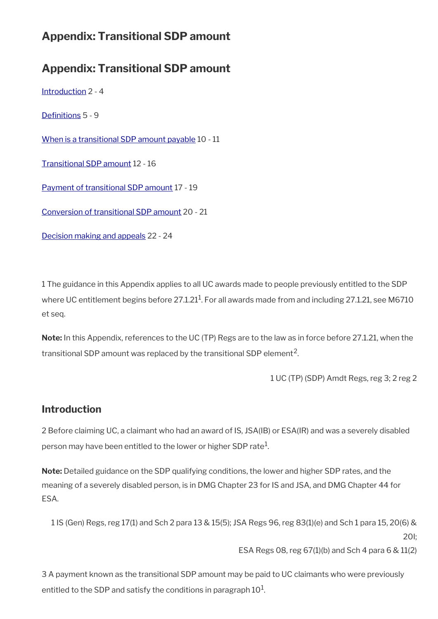## **Appendix: Transitional SDP amount**

## **Appendix: Transitional SDP amount**

[Introduction](#page-77-0) 2 - 4

Definitions 5 - 9

[When is a transitional SDP amount payable](#page-84-0) 10 - 11

[Transitional SDP amount](#page-85-0) 12 - 16

[Payment of transitional SDP amount](#page-87-0) 17 - 19

[Conversion of transitional SDP amount](#page-89-0) 20 - 21

[Decision making and appeals](#page-90-0) 22 - 24

1 The guidance in this Appendix applies to all UC awards made to people previously entitled to the SDP where UC entitlement begins before 27.1.21 $^1$ . For all awards made from and including 27.1.21, see M6710 et seq.

**Note:** In this Appendix, references to the UC (TP) Regs are to the law as in force before 27.1.21, when the transitional SDP amount was replaced by the transitional SDP element<sup>2</sup>.

```
1 UC (TP) (SDP) Amdt Regs, reg 3; 2 reg 2
```
## **Introduction**

2 Before claiming UC, a claimant who had an award of IS, JSA(IB) or ESA(IR) and was a severely disabled person may have been entitled to the lower or higher SDP rate $^1$ .

**Note:** Detailed guidance on the SDP qualifying conditions, the lower and higher SDP rates, and the meaning of a severely disabled person, is in DMG Chapter 23 for IS and JSA, and DMG Chapter 44 for ESA.

1 IS (Gen) Regs, reg 17(1) and Sch 2 para 13 & 15(5); JSA Regs 96, reg 83(1)(e) and Sch 1 para 15, 20(6) & 20I; ESA Regs 08, reg 67(1)(b) and Sch 4 para 6 & 11(2)

3 A payment known as the transitional SDP amount may be paid to UC claimants who were previously entitled to the SDP and satisfy the conditions in paragraph  $10^1\!\!.$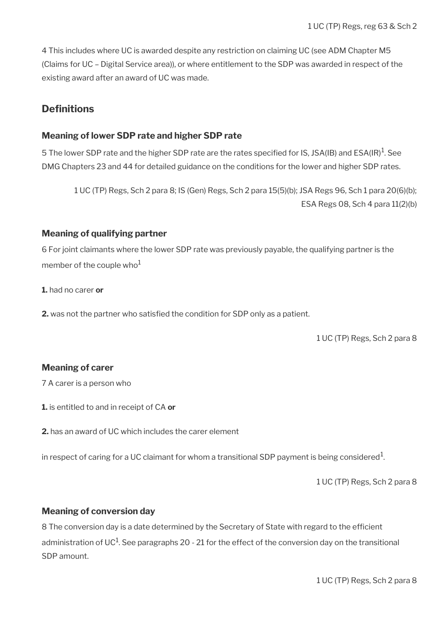4 This includes where UC is awarded despite any restriction on claiming UC (see ADM Chapter M5 (Claims for UC – Digital Service area)), or where entitlement to the SDP was awarded in respect of the existing award after an award of UC was made.

## <span id="page-83-0"></span>**Definitions**

### **Meaning of lower SDP rate and higher SDP rate**

5 The lower SDP rate and the higher SDP rate are the rates specified for IS, JSA(IB) and ESA(IR) $^{\rm 1}$ . See DMG Chapters 23 and 44 for detailed guidance on the conditions for the lower and higher SDP rates.

1 UC (TP) Regs, Sch 2 para 8; IS (Gen) Regs, Sch 2 para 15(5)(b); JSA Regs 96, Sch 1 para 20(6)(b); ESA Regs 08, Sch 4 para 11(2)(b)

### **Meaning of qualifying partner**

6 For joint claimants where the lower SDP rate was previously payable, the qualifying partner is the member of the couple who $1$ 

**1.** had no carer **or**

**2.** was not the partner who satisfed the condition for SDP only as a patient.

1 UC (TP) Regs, Sch 2 para 8

### **Meaning of carer**

7 A carer is a person who

**1.** is entitled to and in receipt of CA **or**

**2.** has an award of UC which includes the carer element

in respect of caring for a UC claimant for whom a transitional SDP payment is being considered $^1\!$ 

1 UC (TP) Regs, Sch 2 para 8

### **Meaning of conversion day**

8 The conversion day is a date determined by the Secretary of State with regard to the efficient administration of UC $^1$ . See paragraphs 20 - 21 for the effect of the conversion day on the transitional SDP amount.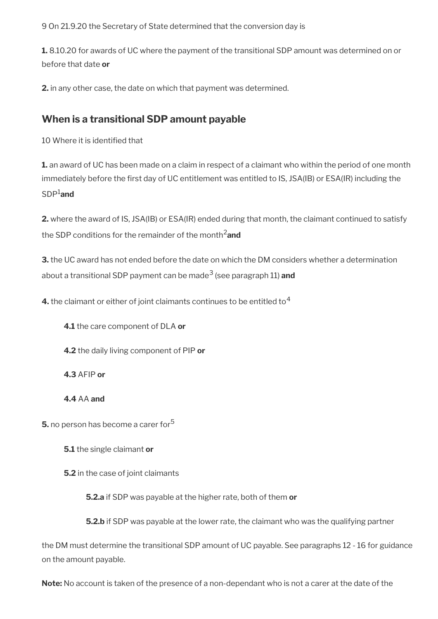9 On 21.9.20 the Secretary of State determined that the conversion day is

**1.** 8.10.20 for awards of UC where the payment of the transitional SDP amount was determined on or before that date **or**

**2.** in any other case, the date on which that payment was determined.

## <span id="page-84-0"></span>**When is a transitional SDP amount payable**

10 Where it is identifed that

**1.** an award of UC has been made on a claim in respect of a claimant who within the period of one month immediately before the frst day of UC entitlement was entitled to IS, JSA(IB) or ESA(IR) including the SDP1**and**

**2.** where the award of IS, JSA(IB) or ESA(IR) ended during that month, the claimant continued to satisfy the SDP conditions for the remainder of the month2**and**

**3.** the UC award has not ended before the date on which the DM considers whether a determination about a transitional SDP payment can be made<sup>3</sup> (see paragraph 11) **and** 

**4.** the claimant or either of joint claimants continues to be entitled to<sup>4</sup>

**4.1** the care component of DLA **or**

**4.2** the daily living component of PIP **or**

**4.3** AFIP **or**

**4.4** AA **and**

**5.** no person has become a carer for<sup>5</sup>

**5.1** the single claimant **or**

**5.2** in the case of joint claimants

**5.2.a** if SDP was payable at the higher rate, both of them **or**

**5.2.b** if SDP was payable at the lower rate, the claimant who was the qualifying partner

the DM must determine the transitional SDP amount of UC payable. See paragraphs 12 - 16 for guidance on the amount payable.

**Note:** No account is taken of the presence of a non-dependant who is not a carer at the date of the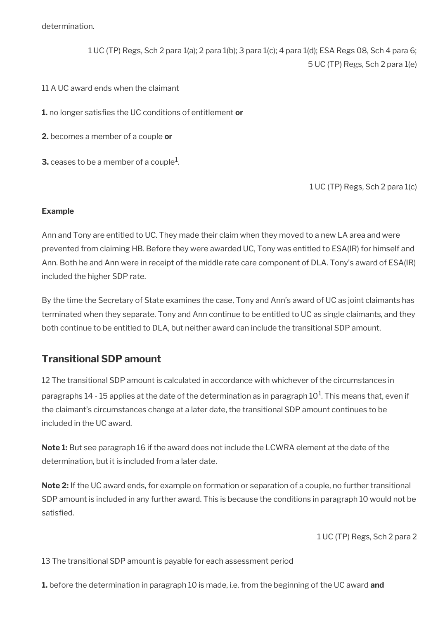determination.

1 UC (TP) Regs, Sch 2 para 1(a); 2 para 1(b); 3 para 1(c); 4 para 1(d); ESA Regs 08, Sch 4 para 6; 5 UC (TP) Regs, Sch 2 para 1(e)

11 A UC award ends when the claimant

**1.** no longer satisfes the UC conditions of entitlement **or**

**2.** becomes a member of a couple **or**

**3.** ceases to be a member of a couple $^1$ .

1 UC (TP) Regs, Sch 2 para 1(c)

### **Example**

Ann and Tony are entitled to UC. They made their claim when they moved to a new LA area and were prevented from claiming HB. Before they were awarded UC, Tony was entitled to ESA(IR) for himself and Ann. Both he and Ann were in receipt of the middle rate care component of DLA. Tony's award of ESA(IR) included the higher SDP rate.

By the time the Secretary of State examines the case, Tony and Ann's award of UC as joint claimants has terminated when they separate. Tony and Ann continue to be entitled to UC as single claimants, and they both continue to be entitled to DLA, but neither award can include the transitional SDP amount.

## <span id="page-85-0"></span>**Transitional SDP amount**

12 The transitional SDP amount is calculated in accordance with whichever of the circumstances in paragraphs 14 - 15 applies at the date of the determination as in paragraph 10<sup>1</sup>. This means that, even if the claimant's circumstances change at a later date, the transitional SDP amount continues to be included in the UC award.

**Note 1:** But see paragraph 16 if the award does not include the LCWRA element at the date of the determination, but it is included from a later date.

**Note 2:** If the UC award ends, for example on formation or separation of a couple, no further transitional SDP amount is included in any further award. This is because the conditions in paragraph 10 would not be satisfed.

1 UC (TP) Regs, Sch 2 para 2

13 The transitional SDP amount is payable for each assessment period

**1.** before the determination in paragraph 10 is made, i.e. from the beginning of the UC award **and**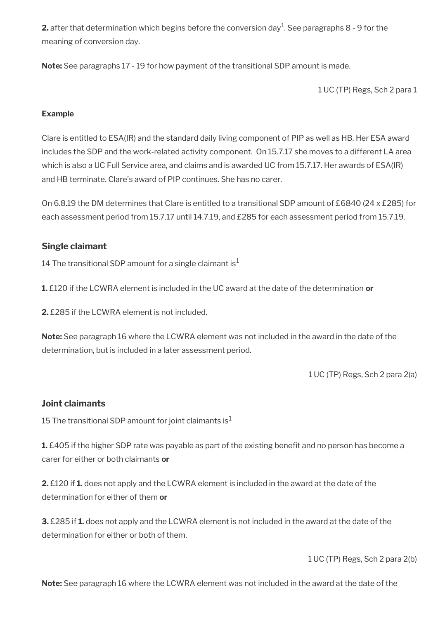**2.** after that determination which begins before the conversion day $^1$ . See paragraphs 8 - 9 for the meaning of conversion day.

**Note:** See paragraphs 17 - 19 for how payment of the transitional SDP amount is made.

1 UC (TP) Regs, Sch 2 para 1

### **Example**

Clare is entitled to ESA(IR) and the standard daily living component of PIP as well as HB. Her ESA award includes the SDP and the work-related activity component. On 15.7.17 she moves to a different LA area which is also a UC Full Service area, and claims and is awarded UC from 15.7.17. Her awards of ESA(IR) and HB terminate. Clare's award of PIP continues. She has no carer.

On 6.8.19 the DM determines that Clare is entitled to a transitional SDP amount of £6840 (24 x £285) for each assessment period from 15.7.17 until 14.7.19, and £285 for each assessment period from 15.7.19.

### **Single claimant**

14 The transitional SDP amount for a single claimant is<sup>1</sup>

**1.** £120 if the LCWRA element is included in the UC award at the date of the determination **or**

**2.** £285 if the LCWRA element is not included.

**Note:** See paragraph 16 where the LCWRA element was not included in the award in the date of the determination, but is included in a later assessment period.

1 UC (TP) Regs, Sch 2 para 2(a)

### **Joint claimants**

15 The transitional SDP amount for joint claimants is<sup>1</sup>

**1.** £405 if the higher SDP rate was payable as part of the existing benefit and no person has become a carer for either or both claimants **or**

**2.** £120 if **1.** does not apply and the LCWRA element is included in the award at the date of the determination for either of them **or**

**3.** £285 if **1.** does not apply and the LCWRA element is not included in the award at the date of the determination for either or both of them.

1 UC (TP) Regs, Sch 2 para 2(b)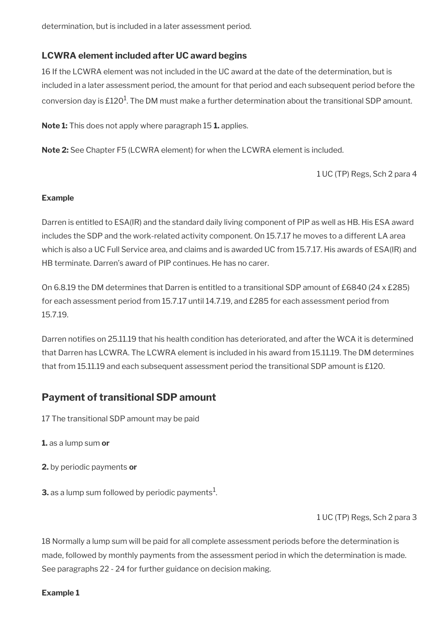determination, but is included in a later assessment period.

### **LCWRA element included after UC award begins**

16 If the LCWRA element was not included in the UC award at the date of the determination, but is included in a later assessment period, the amount for that period and each subsequent period before the conversion day is £120 $^{\rm 1}$ . The DM must make a further determination about the transitional SDP amount.

**Note 1:** This does not apply where paragraph 15 **1.** applies.

**Note 2:** See Chapter F5 (LCWRA element) for when the LCWRA element is included.

1 UC (TP) Regs, Sch 2 para 4

### **Example**

Darren is entitled to ESA(IR) and the standard daily living component of PIP as well as HB. His ESA award includes the SDP and the work-related activity component. On 15.7.17 he moves to a different LA area which is also a UC Full Service area, and claims and is awarded UC from 15.7.17. His awards of ESA(IR) and HB terminate. Darren's award of PIP continues. He has no carer.

On 6.8.19 the DM determines that Darren is entitled to a transitional SDP amount of £6840 (24 x £285) for each assessment period from 15.7.17 until 14.7.19, and £285 for each assessment period from 15.7.19.

Darren notifes on 25.11.19 that his health condition has deteriorated, and after the WCA it is determined that Darren has LCWRA. The LCWRA element is included in his award from 15.11.19. The DM determines that from 15.11.19 and each subsequent assessment period the transitional SDP amount is £120.

## <span id="page-87-0"></span>**Payment of transitional SDP amount**

- 17 The transitional SDP amount may be paid
- **1.** as a lump sum **or**
- **2.** by periodic payments **or**
- **3.** as a lump sum followed by periodic payments $^1$ .

1 UC (TP) Regs, Sch 2 para 3

18 Normally a lump sum will be paid for all complete assessment periods before the determination is made, followed by monthly payments from the assessment period in which the determination is made. See paragraphs 22 - 24 for further guidance on decision making.

### **Example 1**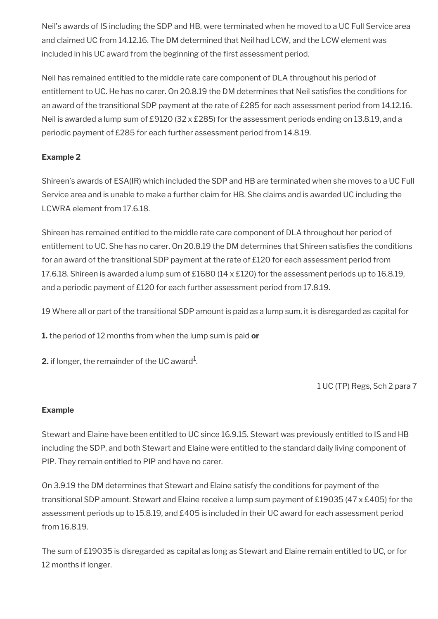Neil's awards of IS including the SDP and HB, were terminated when he moved to a UC Full Service area and claimed UC from 14.12.16. The DM determined that Neil had LCW, and the LCW element was included in his UC award from the beginning of the first assessment period.

Neil has remained entitled to the middle rate care component of DLA throughout his period of entitlement to UC. He has no carer. On 20.8.19 the DM determines that Neil satisfies the conditions for an award of the transitional SDP payment at the rate of £285 for each assessment period from 14.12.16. Neil is awarded a lump sum of £9120 (32 x £285) for the assessment periods ending on 13.8.19, and a periodic payment of £285 for each further assessment period from 14.8.19.

### **Example 2**

Shireen's awards of ESA(IR) which included the SDP and HB are terminated when she moves to a UC Full Service area and is unable to make a further claim for HB. She claims and is awarded UC including the LCWRA element from 17.6.18.

Shireen has remained entitled to the middle rate care component of DLA throughout her period of entitlement to UC. She has no carer. On 20.8.19 the DM determines that Shireen satisfies the conditions for an award of the transitional SDP payment at the rate of £120 for each assessment period from 17.6.18. Shireen is awarded a lump sum of £1680 ( $14 \times £120$ ) for the assessment periods up to 16.8.19, and a periodic payment of £120 for each further assessment period from 17.8.19.

19 Where all or part of the transitional SDP amount is paid as a lump sum, it is disregarded as capital for

**1.** the period of 12 months from when the lump sum is paid **or**

**2.** if longer, the remainder of the UC award $^1$ .

1 UC (TP) Regs, Sch 2 para 7

### **Example**

Stewart and Elaine have been entitled to UC since 16.9.15. Stewart was previously entitled to IS and HB including the SDP, and both Stewart and Elaine were entitled to the standard daily living component of PIP. They remain entitled to PIP and have no carer.

On 3.9.19 the DM determines that Stewart and Elaine satisfy the conditions for payment of the transitional SDP amount. Stewart and Elaine receive a lump sum payment of £19035 (47 x £405) for the assessment periods up to 15.8.19, and £405 is included in their UC award for each assessment period from 16.8.19.

The sum of £19035 is disregarded as capital as long as Stewart and Elaine remain entitled to UC, or for 12 months if longer.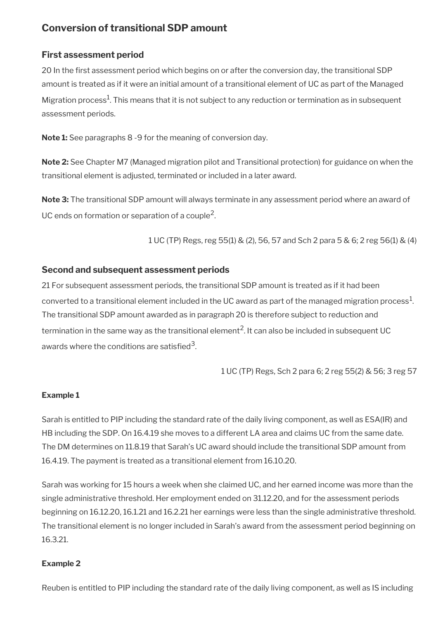## <span id="page-89-0"></span>**Conversion of transitional SDP amount**

### **First assessment period**

20 In the first assessment period which begins on or after the conversion day, the transitional SDP amount is treated as if it were an initial amount of a transitional element of UC as part of the Managed Migration process $^1$ . This means that it is not subject to any reduction or termination as in subsequent assessment periods.

**Note 1:** See paragraphs 8 -9 for the meaning of conversion day.

**Note 2:** See Chapter M7 (Managed migration pilot and Transitional protection) for guidance on when the transitional element is adjusted, terminated or included in a later award.

**Note 3:** The transitional SDP amount will always terminate in any assessment period where an award of UC ends on formation or separation of a couple<sup>2</sup>.

1 UC (TP) Regs, reg 55(1) & (2), 56, 57 and Sch 2 para 5 & 6; 2 reg 56(1) & (4)

### **Second and subsequent assessment periods**

21 For subsequent assessment periods, the transitional SDP amount is treated as if it had been converted to a transitional element included in the UC award as part of the managed migration process $^1\!$ . The transitional SDP amount awarded as in paragraph 20 is therefore subject to reduction and termination in the same way as the transitional element<sup>2</sup>. It can also be included in subsequent UC awards where the conditions are satisfied $^{\rm 3}$ .

1 UC (TP) Regs, Sch 2 para 6; 2 reg 55(2) & 56; 3 reg 57

### **Example 1**

Sarah is entitled to PIP including the standard rate of the daily living component, as well as ESA(IR) and HB including the SDP. On 16.4.19 she moves to a different LA area and claims UC from the same date. The DM determines on 11.8.19 that Sarah's UC award should include the transitional SDP amount from 16.4.19. The payment is treated as a transitional element from 16.10.20.

Sarah was working for 15 hours a week when she claimed UC, and her earned income was more than the single administrative threshold. Her employment ended on 31.12.20, and for the assessment periods beginning on 16.12.20, 16.1.21 and 16.2.21 her earnings were less than the single administrative threshold. The transitional element is no longer included in Sarah's award from the assessment period beginning on 16.3.21.

### **Example 2**

Reuben is entitled to PIP including the standard rate of the daily living component, as well as IS including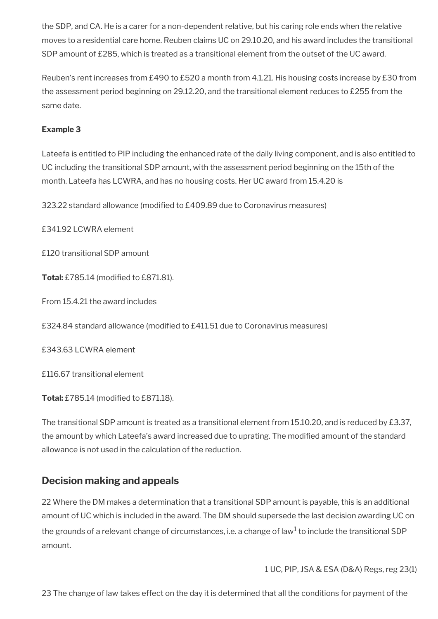the SDP, and CA. He is a carer for a non-dependent relative, but his caring role ends when the relative moves to a residential care home. Reuben claims UC on 29.10.20, and his award includes the transitional SDP amount of £285, which is treated as a transitional element from the outset of the UC award.

Reuben's rent increases from £490 to £520 a month from 4.1.21. His housing costs increase by £30 from the assessment period beginning on 29.12.20, and the transitional element reduces to £255 from the same date.

### **Example 3**

Lateefa is entitled to PIP including the enhanced rate of the daily living component, and is also entitled to UC including the transitional SDP amount, with the assessment period beginning on the 15th of the month. Lateefa has LCWRA, and has no housing costs. Her UC award from 15.4.20 is

323.22 standard allowance (modified to £409.89 due to Coronavirus measures)

£341.92 LCWRA element

£120 transitional SDP amount

**Total:** £785.14 (modified to £871.81).

From 15.4.21 the award includes

£324.84 standard allowance (modifed to £411.51 due to Coronavirus measures)

£343.63 LCWRA element

£116.67 transitional element

**Total:** £785.14 (modified to £871.18).

The transitional SDP amount is treated as a transitional element from 15.10.20, and is reduced by £3.37, the amount by which Lateefa's award increased due to uprating. The modifed amount of the standard allowance is not used in the calculation of the reduction.

## <span id="page-90-0"></span>**Decision making and appeals**

22 Where the DM makes a determination that a transitional SDP amount is payable, this is an additional amount of UC which is included in the award. The DM should supersede the last decision awarding UC on the grounds of a relevant change of circumstances, i.e. a change of law $^{\rm 1}$  to include the transitional SDP amount.

1 UC, PIP, JSA & ESA (D&A) Regs, reg 23(1)